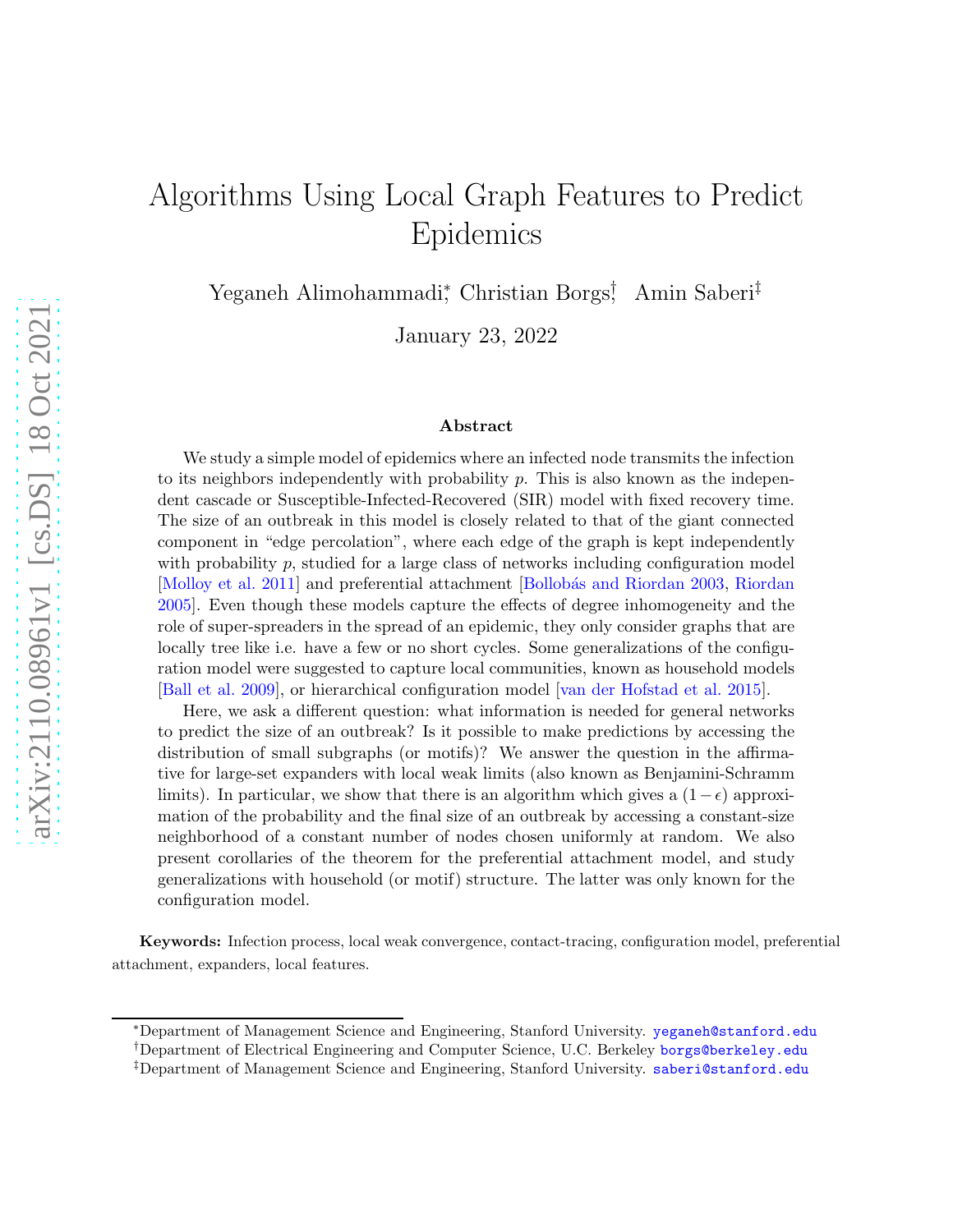# Algorithms Using Local Graph Features to Predict Epidemics

Yeganeh Alimohammadi<sup>∗</sup> , Christian Borgs† , Amin Saberi‡

January 23, 2022

#### Abstract

We study a simple model of epidemics where an infected node transmits the infection to its neighbors independently with probability  $p$ . This is also known as the independent cascade or Susceptible-Infected-Recovered (SIR) model with fixed recovery time. The size of an outbreak in this model is closely related to that of the giant connected component in "edge percolation", where each edge of the graph is kept independently with probability  $p$ , studied for a large class of networks including configuration model [\[Molloy et al. 2011](#page-34-0)] and preferential attachment [Bollobás and [Riordan](#page-34-1) 2003, Riordan [2005](#page-34-1)]. Even though these models capture the effects of degree inhomogeneity and the role of super-spreaders in the spread of an epidemic, they only consider graphs that are locally tree like i.e. have a few or no short cycles. Some generalizations of the configuration model were suggested to capture local communities, known as household models [\[Ball et al. 2009\]](#page-31-0), or hierarchical configuration model [\[van der Hofstad et al. 2015](#page-35-0)].

Here, we ask a different question: what information is needed for general networks to predict the size of an outbreak? Is it possible to make predictions by accessing the distribution of small subgraphs (or motifs)? We answer the question in the affirmative for large-set expanders with local weak limits (also known as Benjamini-Schramm limits). In particular, we show that there is an algorithm which gives a  $(1-\epsilon)$  approximation of the probability and the final size of an outbreak by accessing a constant-size neighborhood of a constant number of nodes chosen uniformly at random. We also present corollaries of the theorem for the preferential attachment model, and study generalizations with household (or motif) structure. The latter was only known for the configuration model.

Keywords: Infection process, local weak convergence, contact-tracing, configuration model, preferential attachment, expanders, local features.

<sup>∗</sup>Department of Management Science and Engineering, Stanford University. <yeganeh@stanford.edu>

<sup>†</sup>Department of Electrical Engineering and Computer Science, U.C. Berkeley <borgs@berkeley.edu>

<sup>‡</sup>Department of Management Science and Engineering, Stanford University. <saberi@stanford.edu>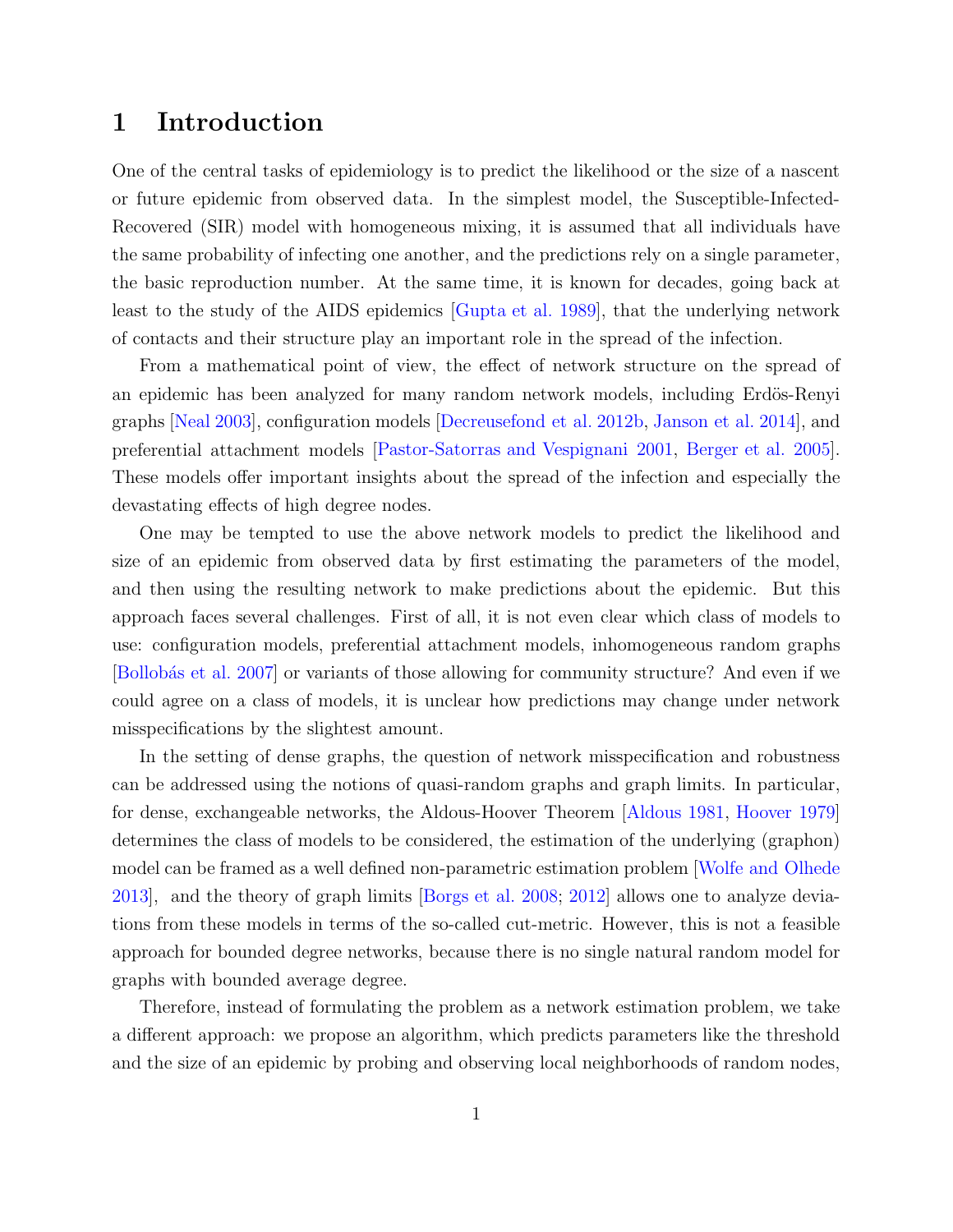### 1 Introduction

One of the central tasks of epidemiology is to predict the likelihood or the size of a nascent or future epidemic from observed data. In the simplest model, the Susceptible-Infected-Recovered (SIR) model with homogeneous mixing, it is assumed that all individuals have the same probability of infecting one another, and the predictions rely on a single parameter, the basic reproduction number. At the same time, it is known for decades, going back at least to the study of the AIDS epidemics [\[Gupta et al. 1989](#page-33-0)], that the underlying network of contacts and their structure play an important role in the spread of the infection.

From a mathematical point of view, the effect of network structure on the spread of an epidemic has been analyzed for many random network models, including Erdös-Renyi graphs [\[Neal 2003\]](#page-34-2), configuration models [\[Decreusefond et al. 2012b,](#page-33-1) [Janson et al. 2014\]](#page-33-2), and preferential attachment models [\[Pastor-Satorras and Vespignani 2001,](#page-34-3) [Berger et al. 2005\]](#page-32-1). These models offer important insights about the spread of the infection and especially the devastating effects of high degree nodes.

One may be tempted to use the above network models to predict the likelihood and size of an epidemic from observed data by first estimating the parameters of the model, and then using the resulting network to make predictions about the epidemic. But this approach faces several challenges. First of all, it is not even clear which class of models to use: configuration models, preferential attachment models, inhomogeneous random graphs [Bollobás et al. 2007] or variants of those allowing for community structure? And even if we could agree on a class of models, it is unclear how predictions may change under network misspecifications by the slightest amount.

In the setting of dense graphs, the question of network misspecification and robustness can be addressed using the notions of quasi-random graphs and graph limits. In particular, for dense, exchangeable networks, the Aldous-Hoover Theorem [\[Aldous 1981,](#page-31-1) [Hoover 1979\]](#page-33-3) determines the class of models to be considered, the estimation of the underlying (graphon) model can be framed as a well defined non-parametric estimation problem [\[Wolfe and Olhede](#page-35-1) [2013\]](#page-35-1), and the theory of graph limits [\[Borgs et al. 2008;](#page-32-3) [2012](#page-33-4)] allows one to analyze deviations from these models in terms of the so-called cut-metric. However, this is not a feasible approach for bounded degree networks, because there is no single natural random model for graphs with bounded average degree.

Therefore, instead of formulating the problem as a network estimation problem, we take a different approach: we propose an algorithm, which predicts parameters like the threshold and the size of an epidemic by probing and observing local neighborhoods of random nodes,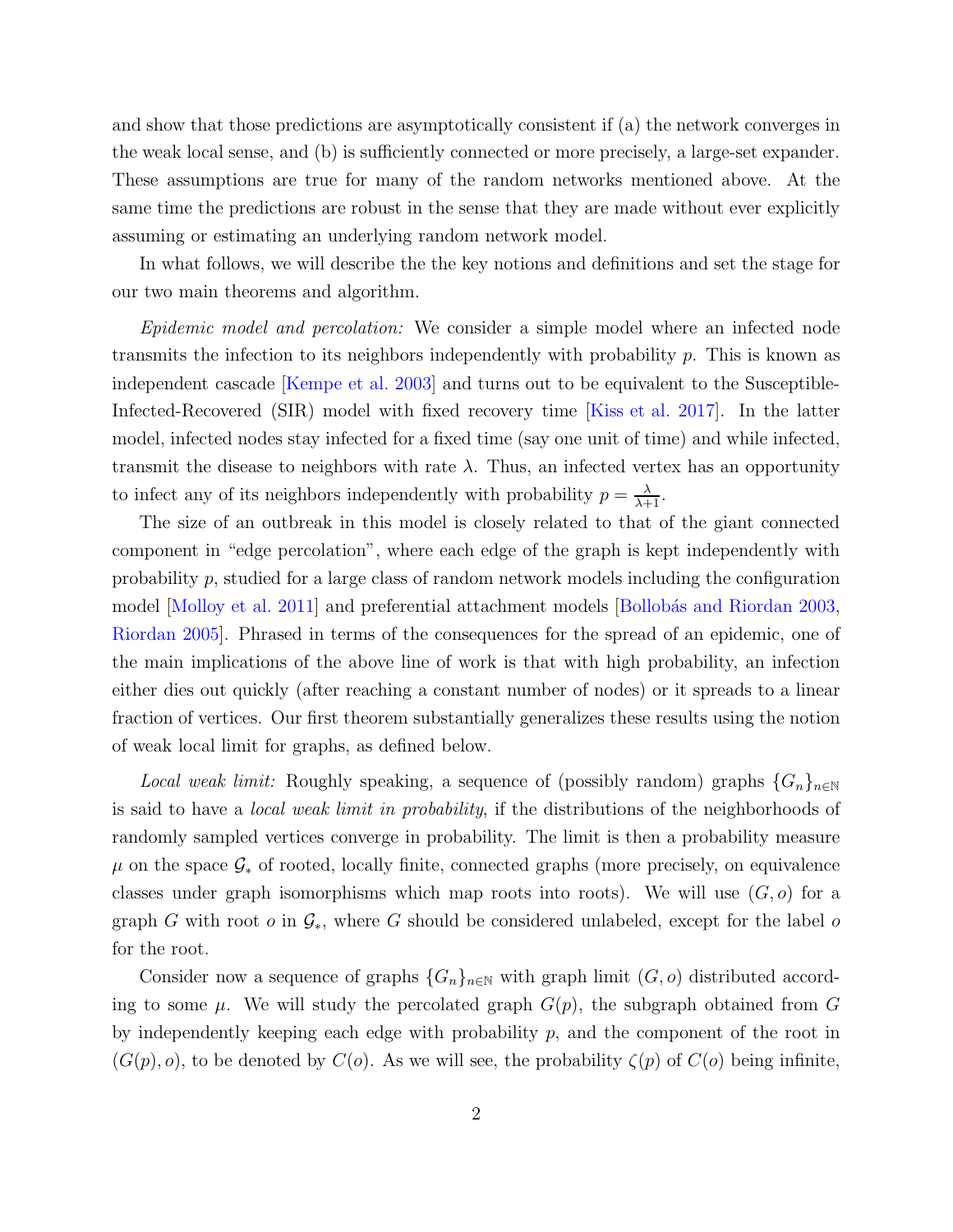and show that those predictions are asymptotically consistent if (a) the network converges in the weak local sense, and (b) is sufficiently connected or more precisely, a large-set expander. These assumptions are true for many of the random networks mentioned above. At the same time the predictions are robust in the sense that they are made without ever explicitly assuming or estimating an underlying random network model.

In what follows, we will describe the the key notions and definitions and set the stage for our two main theorems and algorithm.

Epidemic model and percolation: We consider a simple model where an infected node transmits the infection to its neighbors independently with probability p. This is known as independent cascade [\[Kempe et al. 2003](#page-33-5)] and turns out to be equivalent to the Susceptible-Infected-Recovered (SIR) model with fixed recovery time [\[Kiss et al. 2017](#page-33-6)]. In the latter model, infected nodes stay infected for a fixed time (say one unit of time) and while infected, transmit the disease to neighbors with rate  $\lambda$ . Thus, an infected vertex has an opportunity to infect any of its neighbors independently with probability  $p = \frac{\lambda}{\lambda + 1}$ .

The size of an outbreak in this model is closely related to that of the giant connected component in "edge percolation", where each edge of the graph is kept independently with probability  $p$ , studied for a large class of random network models including the configuration model [\[Molloy et al. 2011](#page-34-0)] and preferential attachment models [Bollobás and Riordan 2003, [Riordan 2005\]](#page-34-1). Phrased in terms of the consequences for the spread of an epidemic, one of the main implications of the above line of work is that with high probability, an infection either dies out quickly (after reaching a constant number of nodes) or it spreads to a linear fraction of vertices. Our first theorem substantially generalizes these results using the notion of weak local limit for graphs, as defined below.

*Local weak limit:* Roughly speaking, a sequence of (possibly random) graphs  ${G_n}_{n\in\mathbb{N}}$ is said to have a local weak limit in probability, if the distributions of the neighborhoods of randomly sampled vertices converge in probability. The limit is then a probability measure  $\mu$  on the space  $\mathcal{G}_*$  of rooted, locally finite, connected graphs (more precisely, on equivalence classes under graph isomorphisms which map roots into roots). We will use  $(G, o)$  for a graph G with root  $o$  in  $\mathcal{G}_*$ , where G should be considered unlabeled, except for the label  $o$ for the root.

Consider now a sequence of graphs  ${G_n}_{n\in\mathbb{N}}$  with graph limit  $(G, o)$  distributed according to some  $\mu$ . We will study the percolated graph  $G(p)$ , the subgraph obtained from G by independently keeping each edge with probability  $p$ , and the component of the root in  $(G(p), o)$ , to be denoted by  $C(o)$ . As we will see, the probability  $\zeta(p)$  of  $C(o)$  being infinite,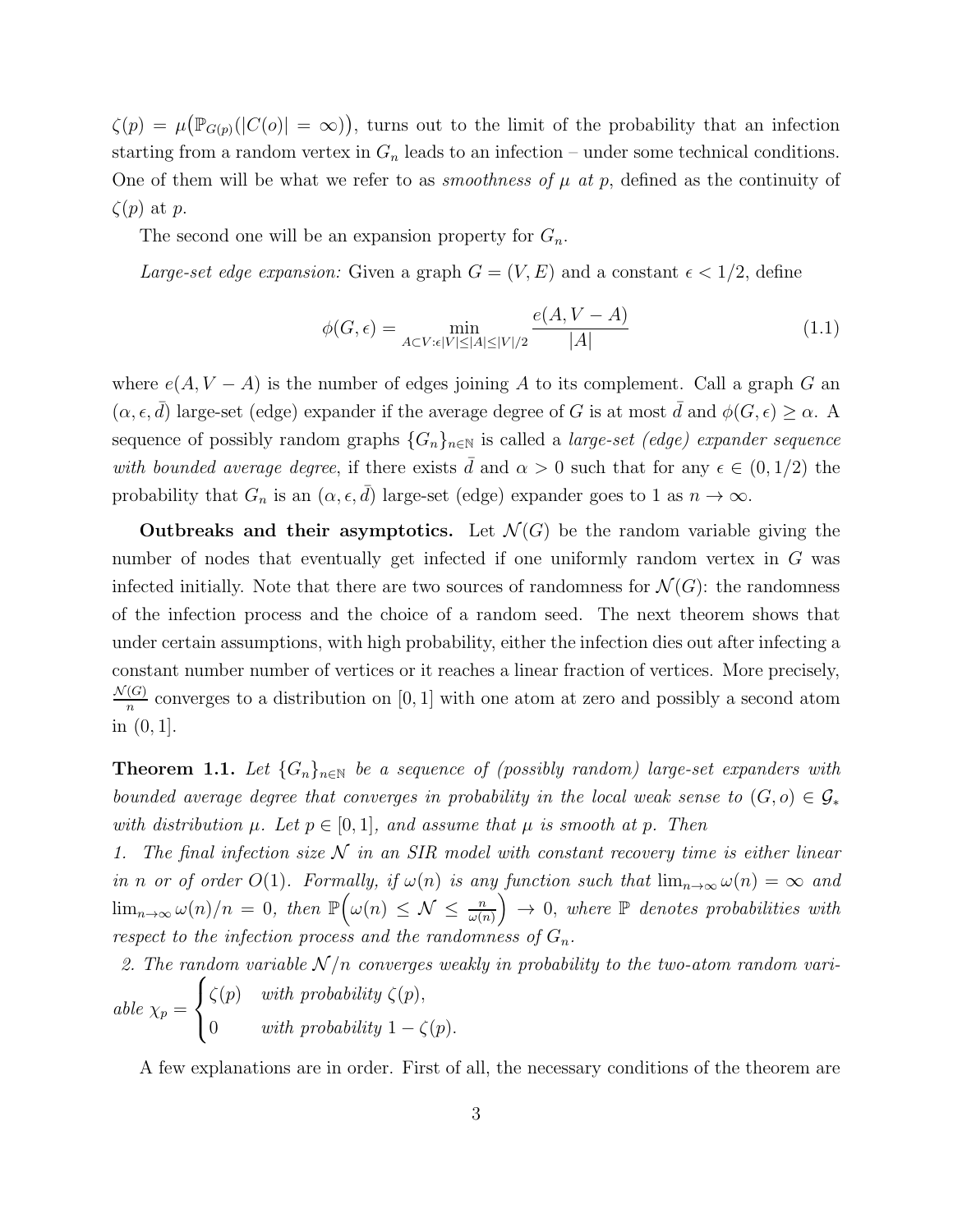$\zeta(p) = \mu(\mathbb{P}_{G(p)}(|C(o)| = \infty))$ , turns out to the limit of the probability that an infection starting from a random vertex in  $G_n$  leads to an infection – under some technical conditions. One of them will be what we refer to as *smoothness of*  $\mu$  at  $p$ , defined as the continuity of  $\zeta(p)$  at p.

The second one will be an expansion property for  $G_n$ .

Large-set edge expansion: Given a graph  $G = (V, E)$  and a constant  $\epsilon < 1/2$ , define

$$
\phi(G,\epsilon) = \min_{A \subset V: \epsilon|V| \le |A| \le |V|/2} \frac{e(A, V - A)}{|A|} \tag{1.1}
$$

where  $e(A, V - A)$  is the number of edges joining A to its complement. Call a graph G an  $(\alpha, \epsilon, \bar{d})$  large-set (edge) expander if the average degree of G is at most  $\bar{d}$  and  $\phi(G, \epsilon) \geq \alpha$ . A sequence of possibly random graphs  ${G_n}_{n\in\mathbb{N}}$  is called a *large-set (edge) expander sequence* with bounded average degree, if there exists  $\bar{d}$  and  $\alpha > 0$  such that for any  $\epsilon \in (0, 1/2)$  the probability that  $G_n$  is an  $(\alpha, \epsilon, \bar{d})$  large-set (edge) expander goes to 1 as  $n \to \infty$ .

Outbreaks and their asymptotics. Let  $\mathcal{N}(G)$  be the random variable giving the number of nodes that eventually get infected if one uniformly random vertex in G was infected initially. Note that there are two sources of randomness for  $\mathcal{N}(G)$ : the randomness of the infection process and the choice of a random seed. The next theorem shows that under certain assumptions, with high probability, either the infection dies out after infecting a constant number number of vertices or it reaches a linear fraction of vertices. More precisely,  $\mathcal{N}(G)$  $\frac{G}{n}$  converges to a distribution on [0, 1] with one atom at zero and possibly a second atom in (0, 1].

<span id="page-3-0"></span>**Theorem 1.1.** Let  ${G_n}_{n\in\mathbb{N}}$  be a sequence of (possibly random) large-set expanders with bounded average degree that converges in probability in the local weak sense to  $(G, o) \in \mathcal{G}_*$ with distribution  $\mu$ . Let  $p \in [0, 1]$ , and assume that  $\mu$  is smooth at p. Then

1. The final infection size  $N$  in an SIR model with constant recovery time is either linear in n or of order O(1). Formally, if  $\omega(n)$  is any function such that  $\lim_{n\to\infty}\omega(n) = \infty$  and  $\lim_{n\to\infty} \frac{\omega(n)}{n} = 0$ , then  $\mathbb{P}\left(\omega(n) \leq \mathcal{N} \leq \frac{n}{\omega(n)}\right)$  $\bigg($   $\rightarrow$  0, where  $\mathbb P$  denotes probabilities with respect to the infection process and the randomness of  $G_n$ .

2. The random variable  $\mathcal{N}/n$  converges weakly in probability to the two-atom random variable  $\chi_p =$  $\sqrt{ }$  $\frac{1}{2}$  $\mathbf{I}$  $\zeta(p)$  with probability  $\zeta(p)$ , 0 with probability  $1 - \zeta(p)$ .

A few explanations are in order. First of all, the necessary conditions of the theorem are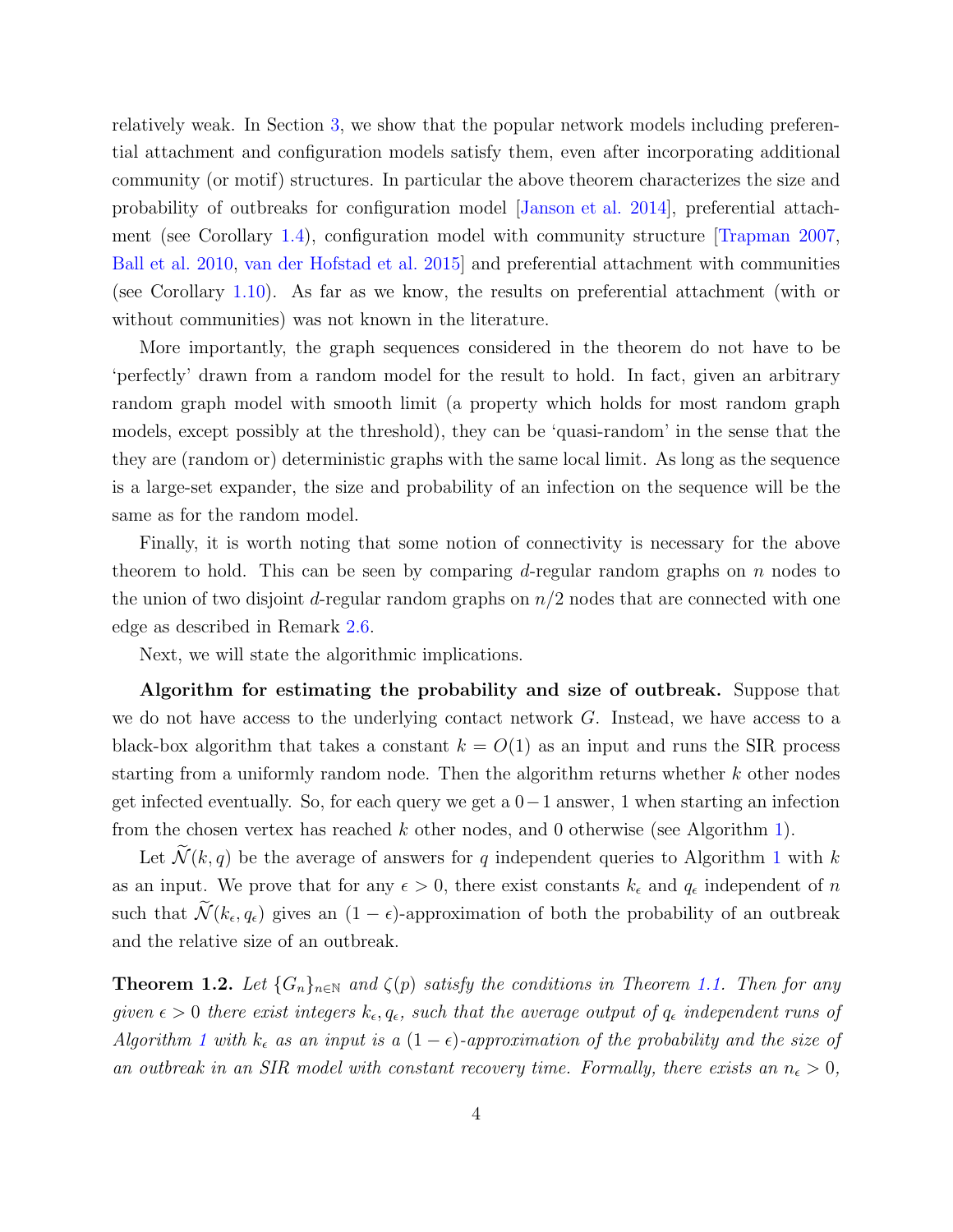relatively weak. In Section [3,](#page-20-0) we show that the popular network models including preferential attachment and configuration models satisfy them, even after incorporating additional community (or motif) structures. In particular the above theorem characterizes the size and probability of outbreaks for configuration model [\[Janson et al. 2014\]](#page-33-2), preferential attachment (see Corollary [1.4\)](#page-6-0), configuration model with community structure [\[Trapman 2007,](#page-35-2) [Ball et al. 2010,](#page-32-4) [van der Hofstad et al. 2015\]](#page-35-0) and preferential attachment with communities (see Corollary [1.10\)](#page-9-0). As far as we know, the results on preferential attachment (with or without communities) was not known in the literature.

More importantly, the graph sequences considered in the theorem do not have to be 'perfectly' drawn from a random model for the result to hold. In fact, given an arbitrary random graph model with smooth limit (a property which holds for most random graph models, except possibly at the threshold), they can be 'quasi-random' in the sense that the they are (random or) deterministic graphs with the same local limit. As long as the sequence is a large-set expander, the size and probability of an infection on the sequence will be the same as for the random model.

Finally, it is worth noting that some notion of connectivity is necessary for the above theorem to hold. This can be seen by comparing d-regular random graphs on  $n$  nodes to the union of two disjoint d-regular random graphs on  $n/2$  nodes that are connected with one edge as described in Remark [2.6.](#page-17-0)

Next, we will state the algorithmic implications.

Algorithm for estimating the probability and size of outbreak. Suppose that we do not have access to the underlying contact network  $G$ . Instead, we have access to a black-box algorithm that takes a constant  $k = O(1)$  as an input and runs the SIR process starting from a uniformly random node. Then the algorithm returns whether  $k$  other nodes get infected eventually. So, for each query we get a  $0-1$  answer, 1 when starting an infection from the chosen vertex has reached k other nodes, and 0 otherwise (see Algorithm [1\)](#page-5-0).

Let  $\widetilde{\mathcal{N}}(k,q)$  be the average of answers for q independent queries to Algorithm [1](#page-5-0) with k as an input. We prove that for any  $\epsilon > 0$ , there exist constants  $k_{\epsilon}$  and  $q_{\epsilon}$  independent of n such that  $\mathcal{N}(k_{\epsilon}, q_{\epsilon})$  gives an  $(1 - \epsilon)$ -approximation of both the probability of an outbreak and the relative size of an outbreak.

<span id="page-4-0"></span>**Theorem 1.2.** Let  $\{G_n\}_{n\in\mathbb{N}}$  and  $\zeta(p)$  satisfy the conditions in Theorem [1.1.](#page-3-0) Then for any given  $\epsilon > 0$  there exist integers  $k_{\epsilon}, q_{\epsilon}$ , such that the average output of  $q_{\epsilon}$  independent runs of Algorithm [1](#page-5-0) with  $k_{\epsilon}$  as an input is a  $(1 - \epsilon)$ -approximation of the probability and the size of an outbreak in an SIR model with constant recovery time. Formally, there exists an  $n_{\epsilon} > 0$ ,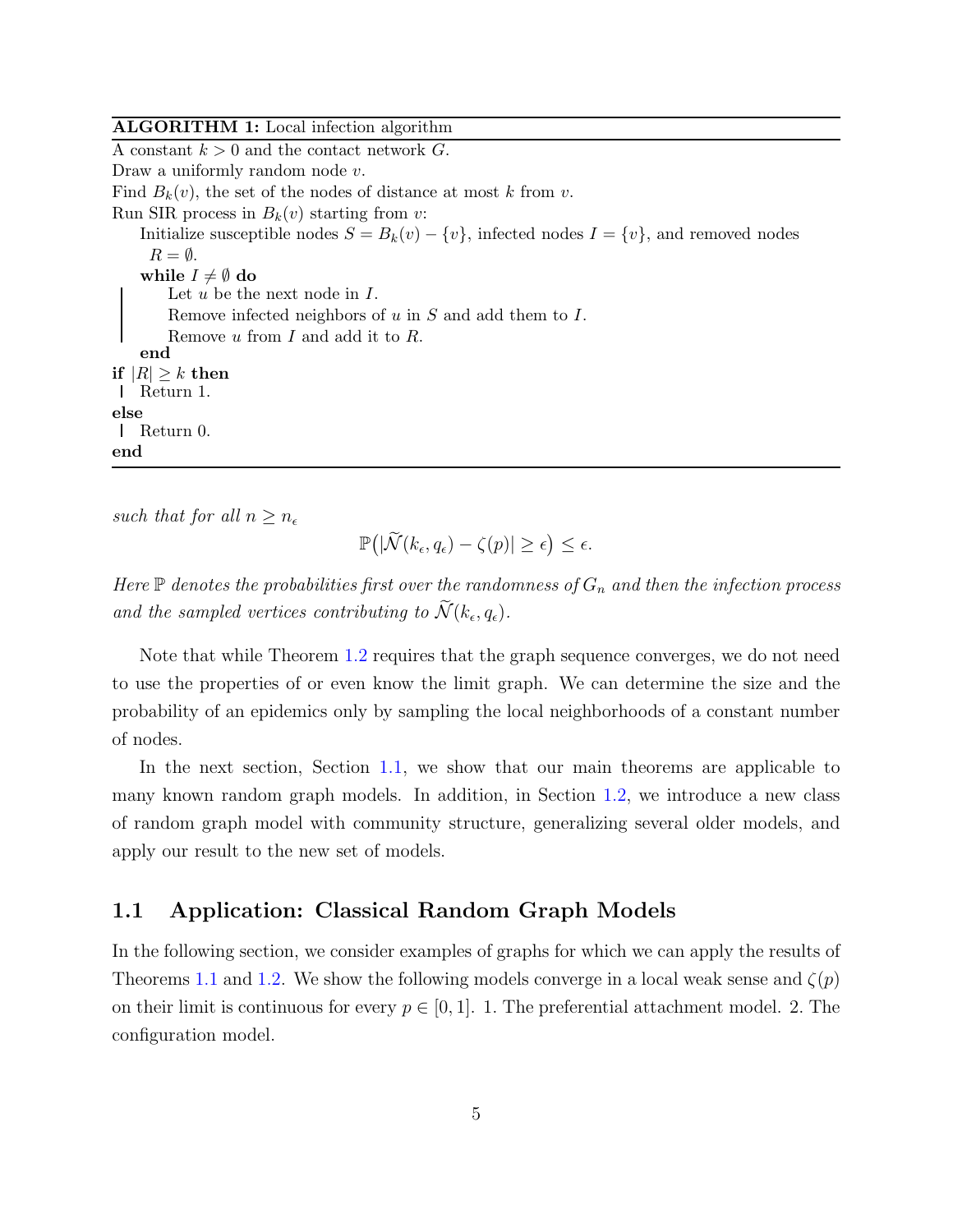### <span id="page-5-0"></span>ALGORITHM 1: Local infection algorithm A constant  $k > 0$  and the contact network  $G$ . Draw a uniformly random node  $v$ . Find  $B_k(v)$ , the set of the nodes of distance at most k from v. Run SIR process in  $B_k(v)$  starting from v: Initialize susceptible nodes  $S = B_k(v) - \{v\}$ , infected nodes  $I = \{v\}$ , and removed nodes  $R = \emptyset$ . while  $I \neq \emptyset$  do Let  $u$  be the next node in  $I$ . Remove infected neighbors of  $u$  in  $S$  and add them to  $I$ . Remove  $u$  from  $I$  and add it to  $R$ . end if  $|R| \geq k$  then Return 1. else Return 0. end

such that for all  $n \geq n_{\epsilon}$ 

$$
\mathbb{P}\big(|\widetilde{\mathcal{N}}(k_{\epsilon},q_{\epsilon})-\zeta(p)|\geq \epsilon\big)\leq \epsilon.
$$

Here  $\mathbb P$  denotes the probabilities first over the randomness of  $G_n$  and then the infection process and the sampled vertices contributing to  $\mathcal{N}(k_{\epsilon}, q_{\epsilon})$ .

Note that while Theorem [1.2](#page-4-0) requires that the graph sequence converges, we do not need to use the properties of or even know the limit graph. We can determine the size and the probability of an epidemics only by sampling the local neighborhoods of a constant number of nodes.

In the next section, Section [1.1,](#page-5-1) we show that our main theorems are applicable to many known random graph models. In addition, in Section [1.2,](#page-8-0) we introduce a new class of random graph model with community structure, generalizing several older models, and apply our result to the new set of models.

### <span id="page-5-1"></span>1.1 Application: Classical Random Graph Models

In the following section, we consider examples of graphs for which we can apply the results of Theorems [1.1](#page-3-0) and [1.2.](#page-4-0) We show the following models converge in a local weak sense and  $\zeta(p)$ on their limit is continuous for every  $p \in [0, 1]$ . The preferential attachment model. 2. The configuration model.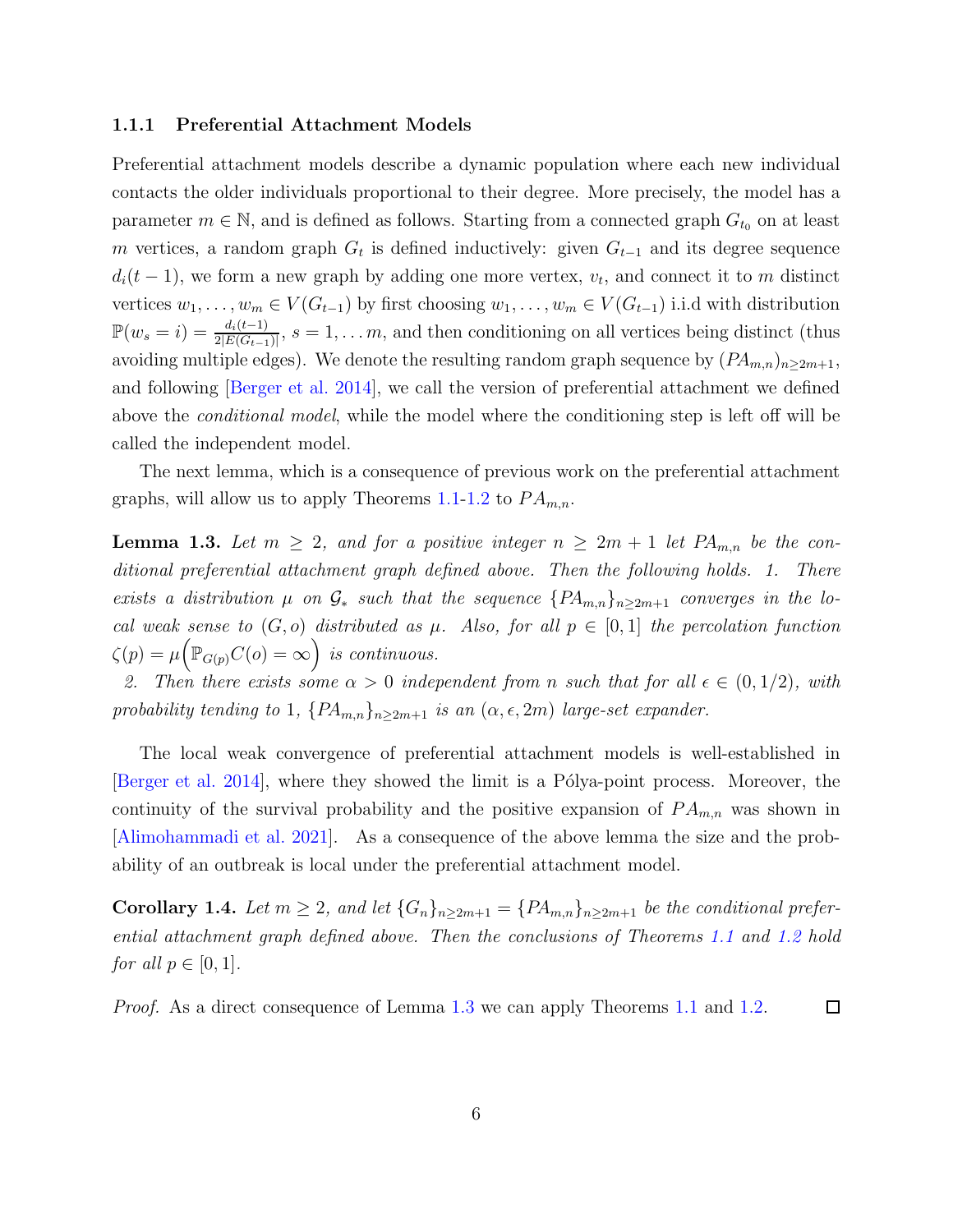#### 1.1.1 Preferential Attachment Models

Preferential attachment models describe a dynamic population where each new individual contacts the older individuals proportional to their degree. More precisely, the model has a parameter  $m \in \mathbb{N}$ , and is defined as follows. Starting from a connected graph  $G_{t_0}$  on at least m vertices, a random graph  $G_t$  is defined inductively: given  $G_{t-1}$  and its degree sequence  $d_i(t-1)$ , we form a new graph by adding one more vertex,  $v_t$ , and connect it to m distinct vertices  $w_1, \ldots, w_m \in V(G_{t-1})$  by first choosing  $w_1, \ldots, w_m \in V(G_{t-1})$  i.i.d with distribution  $\mathbb{P}(w_s=i)=\frac{d_i(t-1)}{2|E(G_{t-1})|}$ ,  $s=1,\ldots m$ , and then conditioning on all vertices being distinct (thus avoiding multiple edges). We denote the resulting random graph sequence by  $(PA_{m,n})_{n\geq 2m+1}$ , and following [\[Berger et al. 2014\]](#page-32-5), we call the version of preferential attachment we defined above the conditional model, while the model where the conditioning step is left off will be called the independent model.

<span id="page-6-1"></span>The next lemma, which is a consequence of previous work on the preferential attachment graphs, will allow us to apply Theorems [1.1-](#page-3-0)[1.2](#page-4-0) to  $PA_{m,n}$ .

**Lemma 1.3.** Let  $m \geq 2$ , and for a positive integer  $n \geq 2m + 1$  let  $PA_{m,n}$  be the conditional preferential attachment graph defined above. Then the following holds. 1. There exists a distribution  $\mu$  on  $\mathcal{G}_*$  such that the sequence  $\{PA_{m,n}\}_{n\geq 2m+1}$  converges in the local weak sense to  $(G, o)$  distributed as  $\mu$ . Also, for all  $p \in [0, 1]$  the percolation function  $\zeta(p) = \mu\Big(\mathbb{P}_{G(p)}C(o) = \infty\Big)$  is continuous.

2. Then there exists some  $\alpha > 0$  independent from n such that for all  $\epsilon \in (0, 1/2)$ , with probability tending to 1,  $\{PA_{m,n}\}_{n\geq 2m+1}$  is an  $(\alpha, \epsilon, 2m)$  large-set expander.

The local weak convergence of preferential attachment models is well-established in [\[Berger et al. 2014](#page-32-5)], where they showed the limit is a Pólya-point process. Moreover, the continuity of the survival probability and the positive expansion of  $PA_{m,n}$  was shown in [\[Alimohammadi et al. 2021\]](#page-31-2). As a consequence of the above lemma the size and the probability of an outbreak is local under the preferential attachment model.

<span id="page-6-0"></span>Corollary 1.4. Let  $m \geq 2$ , and let  $\{G_n\}_{n\geq 2m+1} = \{PA_{m,n}\}_{n\geq 2m+1}$  be the conditional preferential attachment graph defined above. Then the conclusions of Theorems [1.1](#page-3-0) and [1.2](#page-4-0) hold for all  $p \in [0, 1]$ .

*Proof.* As a direct consequence of Lemma [1.3](#page-6-1) we can apply Theorems [1.1](#page-3-0) and [1.2.](#page-4-0)  $\Box$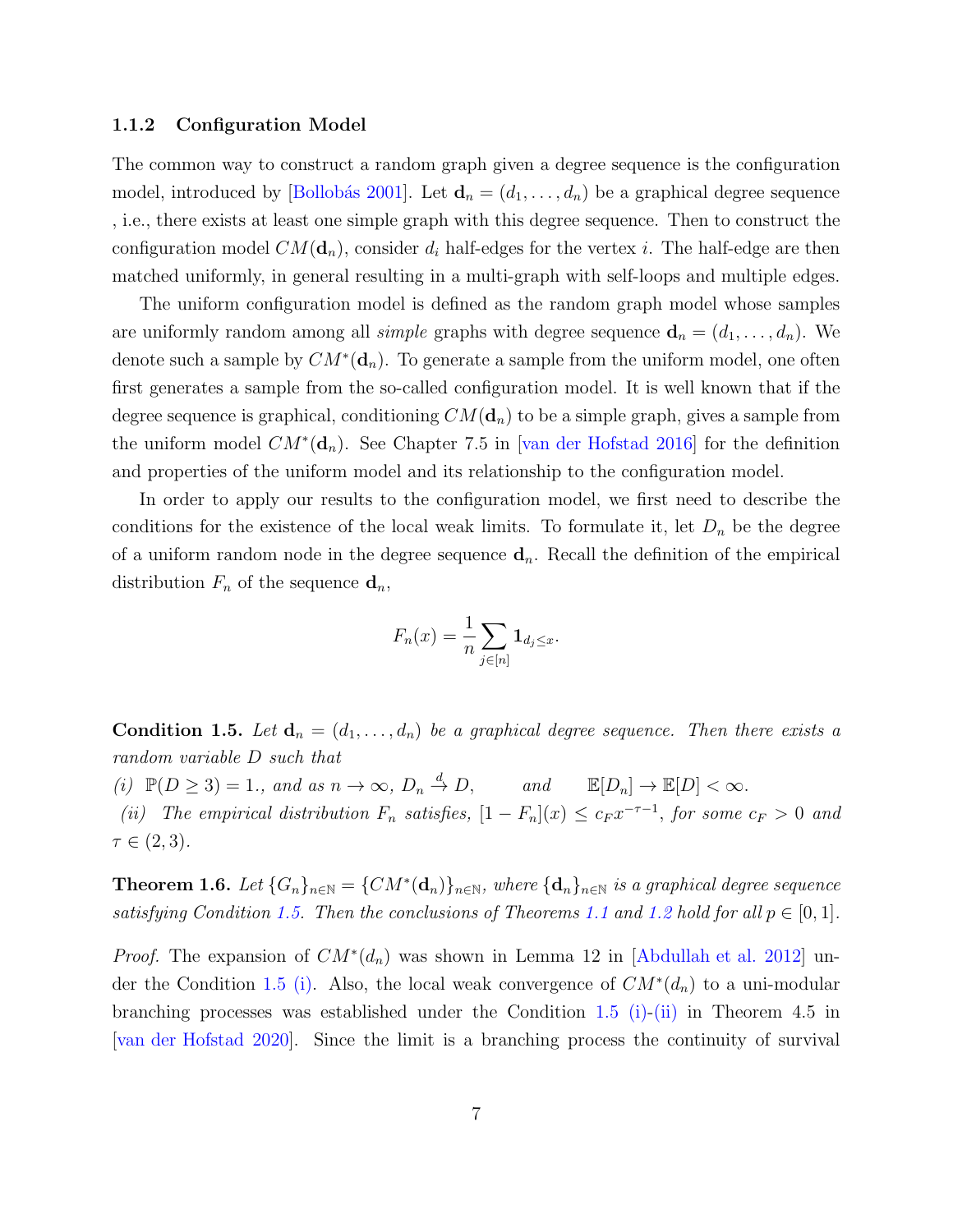#### 1.1.2 Configuration Model

The common way to construct a random graph given a degree sequence is the configuration model, introduced by [Bollobás 2001]. Let  $\mathbf{d}_n = (d_1, \ldots, d_n)$  be a graphical degree sequence , i.e., there exists at least one simple graph with this degree sequence. Then to construct the configuration model  $CM(\mathbf{d}_n)$ , consider  $d_i$  half-edges for the vertex i. The half-edge are then matched uniformly, in general resulting in a multi-graph with self-loops and multiple edges.

The uniform configuration model is defined as the random graph model whose samples are uniformly random among all *simple* graphs with degree sequence  $\mathbf{d}_n = (d_1, \ldots, d_n)$ . We denote such a sample by  $CM^*(d_n)$ . To generate a sample from the uniform model, one often first generates a sample from the so-called configuration model. It is well known that if the degree sequence is graphical, conditioning  $CM(\mathbf{d}_n)$  to be a simple graph, gives a sample from the uniform model  $CM^*(d_n)$ . See Chapter 7.5 in [\[van der Hofstad 2016](#page-35-3)] for the definition and properties of the uniform model and its relationship to the configuration model.

In order to apply our results to the configuration model, we first need to describe the conditions for the existence of the local weak limits. To formulate it, let  $D_n$  be the degree of a uniform random node in the degree sequence  $\mathbf{d}_n$ . Recall the definition of the empirical distribution  $F_n$  of the sequence  $\mathbf{d}_n$ ,

$$
F_n(x) = \frac{1}{n} \sum_{j \in [n]} \mathbf{1}_{d_j \leq x}.
$$

<span id="page-7-0"></span>**Condition 1.5.** Let  $\mathbf{d}_n = (d_1, \ldots, d_n)$  be a graphical degree sequence. Then there exists a random variable D such that

<span id="page-7-1"></span>(i)  $\mathbb{P}(D \geq 3) = 1$ ., and as  $n \to \infty$ ,  $D_n \stackrel{d}{\to} D$ , and  $\mathbb{E}[D_n] \to \mathbb{E}[D] < \infty$ .

<span id="page-7-2"></span>(ii) The empirical distribution  $F_n$  satisfies,  $[1 - F_n](x) \leq c_F x^{-\tau-1}$ , for some  $c_F > 0$  and  $\tau \in (2,3)$ .

**Theorem 1.6.** Let  $\{G_n\}_{n\in\mathbb{N}} = \{CM^*(\mathbf{d}_n)\}_{n\in\mathbb{N}}$ , where  $\{\mathbf{d}_n\}_{n\in\mathbb{N}}$  is a graphical degree sequence satisfying Condition [1.5.](#page-7-0) Then the conclusions of Theorems [1.1](#page-3-0) and [1.2](#page-4-0) hold for all  $p \in [0,1]$ .

*Proof.* The expansion of  $CM^*(d_n)$  was shown in Lemma 12 in [\[Abdullah et al. 2012\]](#page-31-3) un-der the Condition [1.5](#page-7-0) [\(i\).](#page-7-1) Also, the local weak convergence of  $CM^*(d_n)$  to a uni-modular branching processes was established under the Condition [1.5](#page-7-0) [\(i\)](#page-7-1)[-\(ii\)](#page-7-2) in Theorem 4.5 in [\[van der Hofstad 2020\]](#page-35-4). Since the limit is a branching process the continuity of survival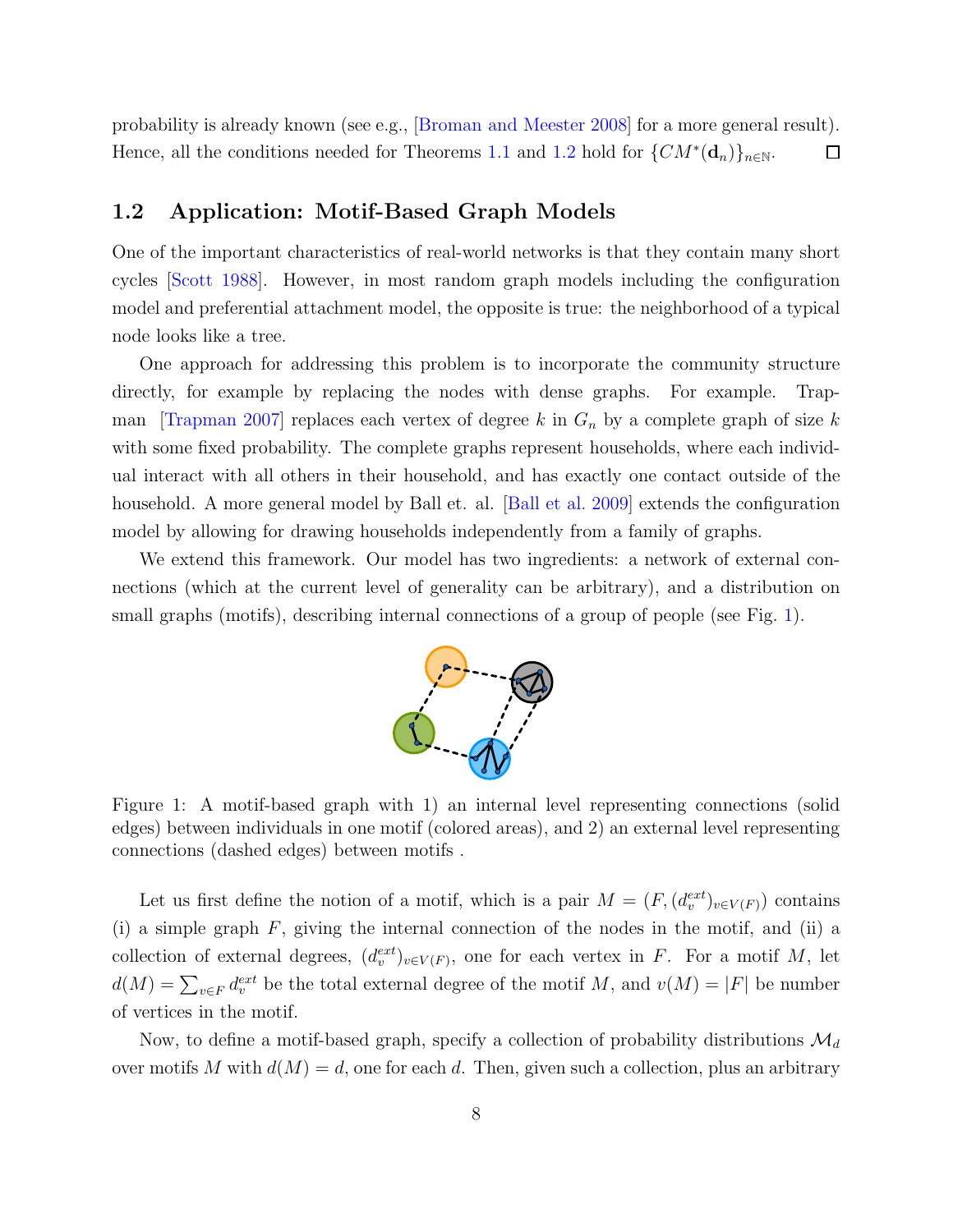probability is already known (see e.g., [\[Broman and Meester 2008\]](#page-33-7) for a more general result). Hence, all the conditions needed for Theorems [1.1](#page-3-0) and [1.2](#page-4-0) hold for  $\{CM^*(d_n)\}_{n\in\mathbb{N}}$ .  $\Box$ 

#### <span id="page-8-0"></span>1.2 Application: Motif-Based Graph Models

One of the important characteristics of real-world networks is that they contain many short cycles [\[Scott 1988\]](#page-34-4). However, in most random graph models including the configuration model and preferential attachment model, the opposite is true: the neighborhood of a typical node looks like a tree.

One approach for addressing this problem is to incorporate the community structure directly, for example by replacing the nodes with dense graphs. For example. Trap-man [\[Trapman 2007\]](#page-35-2) replaces each vertex of degree k in  $G_n$  by a complete graph of size k with some fixed probability. The complete graphs represent households, where each individual interact with all others in their household, and has exactly one contact outside of the household. A more general model by Ball et. al. [\[Ball et al. 2009\]](#page-31-0) extends the configuration model by allowing for drawing households independently from a family of graphs.

<span id="page-8-1"></span>We extend this framework. Our model has two ingredients: a network of external connections (which at the current level of generality can be arbitrary), and a distribution on small graphs (motifs), describing internal connections of a group of people (see Fig. [1\)](#page-8-1).



Figure 1: A motif-based graph with 1) an internal level representing connections (solid edges) between individuals in one motif (colored areas), and 2) an external level representing connections (dashed edges) between motifs .

Let us first define the notion of a motif, which is a pair  $M = (F, (d_v^{ext})_{v \in V(F)})$  contains (i) a simple graph  $F$ , giving the internal connection of the nodes in the motif, and (ii) a collection of external degrees,  $(d_v^{ext})_{v \in V(F)}$ , one for each vertex in F. For a motif M, let  $d(M) = \sum_{v \in F} d_v^{ext}$  be the total external degree of the motif M, and  $v(M) = |F|$  be number of vertices in the motif.

Now, to define a motif-based graph, specify a collection of probability distributions  $\mathcal{M}_d$ over motifs M with  $d(M) = d$ , one for each d. Then, given such a collection, plus an arbitrary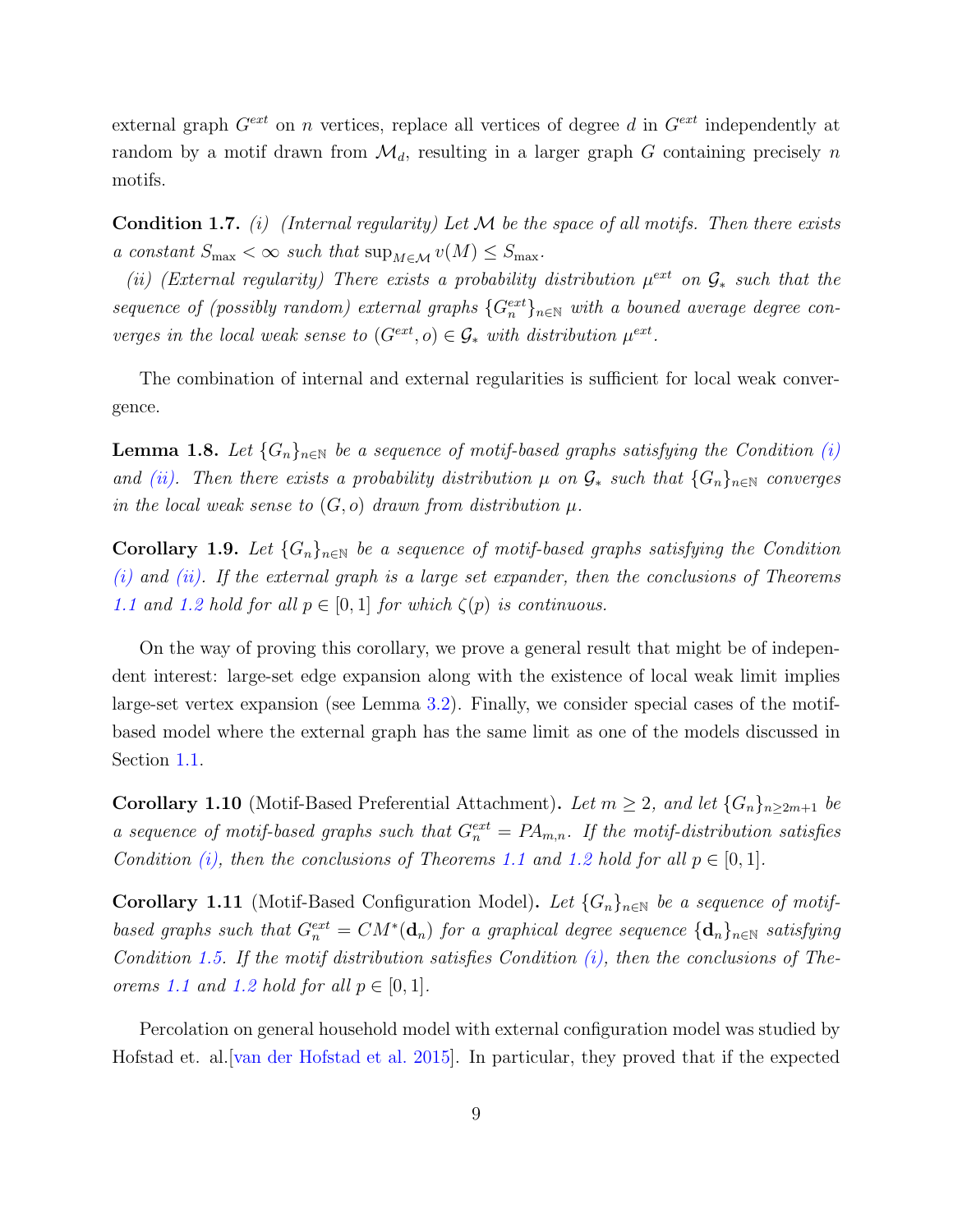external graph  $G^{ext}$  on n vertices, replace all vertices of degree d in  $G^{ext}$  independently at random by a motif drawn from  $\mathcal{M}_d$ , resulting in a larger graph G containing precisely n motifs.

<span id="page-9-1"></span>**Condition 1.7.** (i) (Internal regularity) Let  $M$  be the space of all motifs. Then there exists a constant  $S_{\text{max}} < \infty$  such that  $\sup_{M \in \mathcal{M}} v(M) \leq S_{\text{max}}$ .

<span id="page-9-2"></span>(ii) (External regularity) There exists a probability distribution  $\mu^{ext}$  on  $\mathcal{G}_*$  such that the sequence of (possibly random) external graphs  $\{G_n^{ext}\}_{n\in\mathbb{N}}$  with a bouned average degree converges in the local weak sense to  $(G<sup>ext</sup>, o) \in G_*$  with distribution  $\mu^{ext}$ .

<span id="page-9-4"></span>The combination of internal and external regularities is sufficient for local weak convergence.

**Lemma 1.8.** Let  ${G_n}_{n\in\mathbb{N}}$  be a sequence of motif-based graphs satisfying the Condition [\(i\)](#page-9-1) and [\(ii\).](#page-9-2) Then there exists a probability distribution  $\mu$  on  $\mathcal{G}_*$  such that  $\{G_n\}_{n\in\mathbb{N}}$  converges in the local weak sense to  $(G, o)$  drawn from distribution  $\mu$ .

<span id="page-9-3"></span>**Corollary 1.9.** Let  $\{G_n\}_{n\in\mathbb{N}}$  be a sequence of motif-based graphs satisfying the Condition  $(i)$  and  $(ii)$ . If the external graph is a large set expander, then the conclusions of Theorems [1.1](#page-3-0) and [1.2](#page-4-0) hold for all  $p \in [0,1]$  for which  $\zeta(p)$  is continuous.

On the way of proving this corollary, we prove a general result that might be of independent interest: large-set edge expansion along with the existence of local weak limit implies large-set vertex expansion (see Lemma [3.2\)](#page-26-0). Finally, we consider special cases of the motifbased model where the external graph has the same limit as one of the models discussed in Section [1.1.](#page-5-1)

<span id="page-9-0"></span>**Corollary 1.10** (Motif-Based Preferential Attachment). Let  $m \geq 2$ , and let  $\{G_n\}_{n\geq 2m+1}$  be a sequence of motif-based graphs such that  $G_n^{ext} = PA_{m,n}$ . If the motif-distribution satisfies Condition [\(i\),](#page-9-1) then the conclusions of Theorems [1.1](#page-3-0) and [1.2](#page-4-0) hold for all  $p \in [0, 1]$ .

<span id="page-9-5"></span>Corollary 1.11 (Motif-Based Configuration Model). Let  $\{G_n\}_{n\in\mathbb{N}}$  be a sequence of motifbased graphs such that  $G_n^{ext} = CM^*(d_n)$  for a graphical degree sequence  $\{d_n\}_{n\in\mathbb{N}}$  satisfying Condition [1.5.](#page-7-0) If the motif distribution satisfies Condition  $(i)$ , then the conclusions of The-orems [1.1](#page-3-0) and [1.2](#page-4-0) hold for all  $p \in [0,1]$ .

Percolation on general household model with external configuration model was studied by Hofstad et. al.[\[van der Hofstad et al. 2015](#page-35-0)]. In particular, they proved that if the expected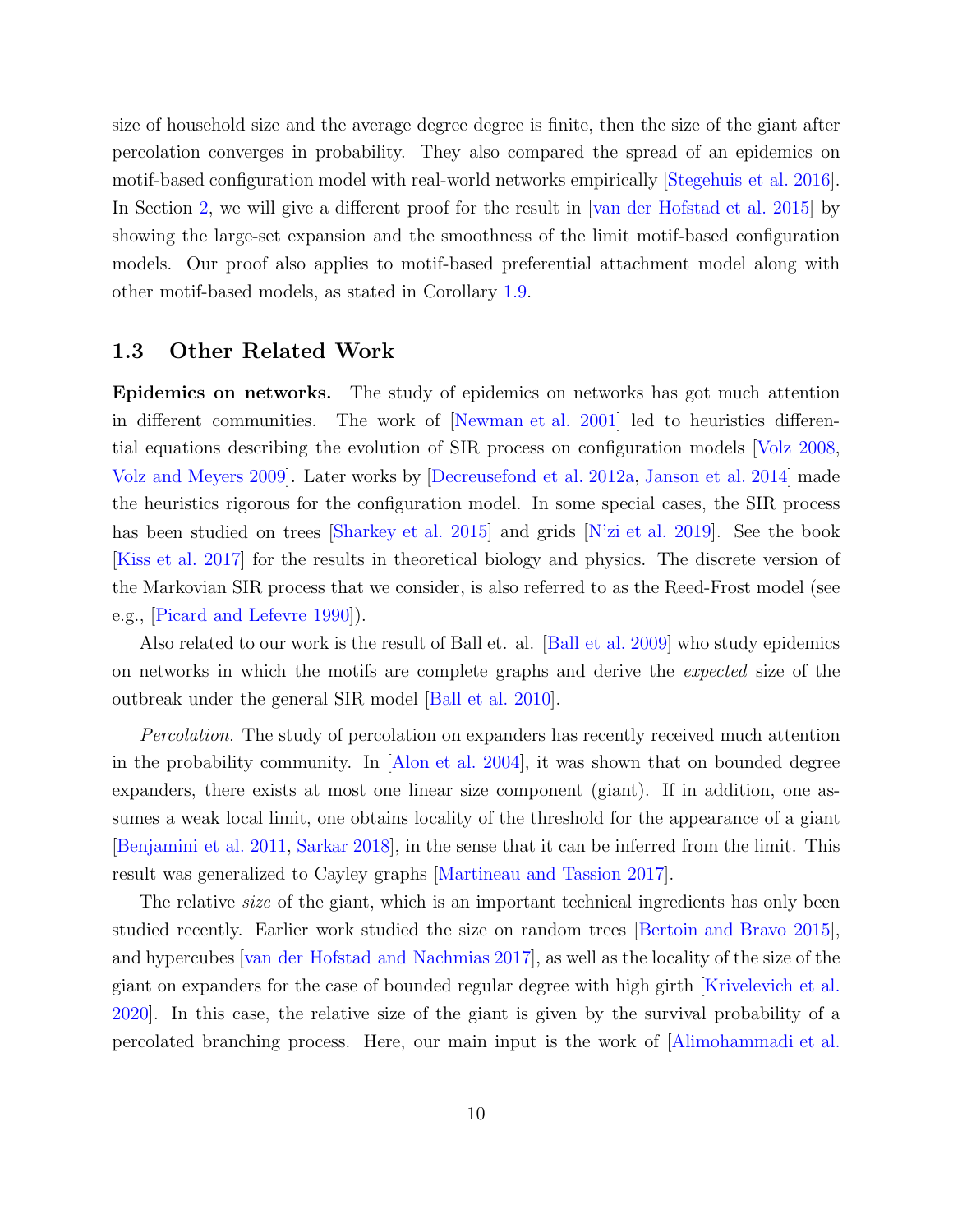size of household size and the average degree degree is finite, then the size of the giant after percolation converges in probability. They also compared the spread of an epidemics on motif-based configuration model with real-world networks empirically [\[Stegehuis et al. 2016\]](#page-35-5). In Section [2,](#page-11-0) we will give a different proof for the result in [\[van der Hofstad et al. 2015](#page-35-0)] by showing the large-set expansion and the smoothness of the limit motif-based configuration models. Our proof also applies to motif-based preferential attachment model along with other motif-based models, as stated in Corollary [1.9.](#page-9-3)

#### 1.3 Other Related Work

Epidemics on networks. The study of epidemics on networks has got much attention in different communities. The work of [\[Newman et al. 2001](#page-34-5)] led to heuristics differential equations describing the evolution of SIR process on configuration models [\[Volz 2008,](#page-35-6) [Volz and Meyers 2009\]](#page-35-7). Later works by [\[Decreusefond et al. 2012a,](#page-33-8) [Janson et al. 2014](#page-33-2)] made the heuristics rigorous for the configuration model. In some special cases, the SIR process has been studied on trees [\[Sharkey et al. 2015](#page-34-6)] and grids [\[N'zi et al. 2019](#page-34-7)]. See the book [\[Kiss et al. 2017\]](#page-33-6) for the results in theoretical biology and physics. The discrete version of the Markovian SIR process that we consider, is also referred to as the Reed-Frost model (see e.g., [\[Picard and Lefevre 1990\]](#page-34-8)).

Also related to our work is the result of Ball et. al. [\[Ball et al. 2009\]](#page-31-0) who study epidemics on networks in which the motifs are complete graphs and derive the expected size of the outbreak under the general SIR model [\[Ball et al. 2010\]](#page-32-4).

Percolation. The study of percolation on expanders has recently received much attention in the probability community. In [\[Alon et al. 2004\]](#page-31-4), it was shown that on bounded degree expanders, there exists at most one linear size component (giant). If in addition, one assumes a weak local limit, one obtains locality of the threshold for the appearance of a giant [\[Benjamini et al. 2011](#page-32-7), [Sarkar 2018\]](#page-34-9), in the sense that it can be inferred from the limit. This result was generalized to Cayley graphs [\[Martineau and Tassion 2017\]](#page-33-9).

The relative *size* of the giant, which is an important technical ingredients has only been studied recently. Earlier work studied the size on random trees [\[Bertoin and Bravo 2015\]](#page-32-8), and hypercubes [\[van der Hofstad and Nachmias 2017](#page-35-8)], as well as the locality of the size of the giant on expanders for the case of bounded regular degree with high girth [\[Krivelevich et al.](#page-33-10) [2020\]](#page-33-10). In this case, the relative size of the giant is given by the survival probability of a percolated branching process. Here, our main input is the work of [\[Alimohammadi et al.](#page-31-2)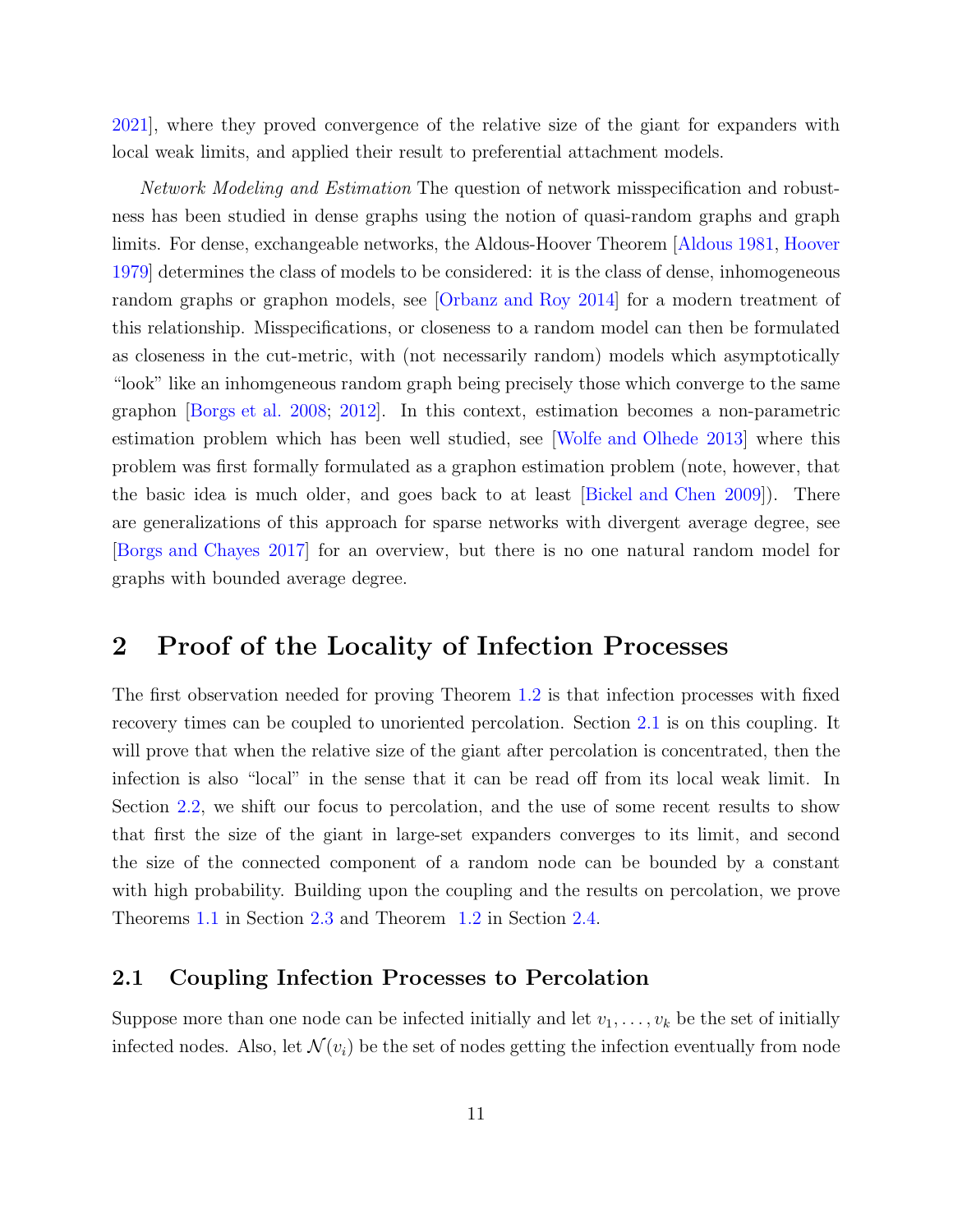[2021\]](#page-31-2), where they proved convergence of the relative size of the giant for expanders with local weak limits, and applied their result to preferential attachment models.

Network Modeling and Estimation The question of network misspecification and robustness has been studied in dense graphs using the notion of quasi-random graphs and graph limits. For dense, exchangeable networks, the Aldous-Hoover Theorem [\[Aldous 1981,](#page-31-1) [Hoover](#page-33-3) [1979\]](#page-33-3) determines the class of models to be considered: it is the class of dense, inhomogeneous random graphs or graphon models, see [\[Orbanz and Roy 2014](#page-34-10)] for a modern treatment of this relationship. Misspecifications, or closeness to a random model can then be formulated as closeness in the cut-metric, with (not necessarily random) models which asymptotically "look" like an inhomgeneous random graph being precisely those which converge to the same graphon [\[Borgs et al. 2008;](#page-32-3) [2012\]](#page-33-4). In this context, estimation becomes a non-parametric estimation problem which has been well studied, see [\[Wolfe and Olhede 2013\]](#page-35-1) where this problem was first formally formulated as a graphon estimation problem (note, however, that the basic idea is much older, and goes back to at least [\[Bickel and Chen 2009](#page-32-9)]). There are generalizations of this approach for sparse networks with divergent average degree, see [\[Borgs and Chayes 2017\]](#page-32-10) for an overview, but there is no one natural random model for graphs with bounded average degree.

### <span id="page-11-0"></span>2 Proof of the Locality of Infection Processes

The first observation needed for proving Theorem [1.2](#page-4-0) is that infection processes with fixed recovery times can be coupled to unoriented percolation. Section [2.1](#page-11-1) is on this coupling. It will prove that when the relative size of the giant after percolation is concentrated, then the infection is also "local" in the sense that it can be read off from its local weak limit. In Section [2.2,](#page-13-0) we shift our focus to percolation, and the use of some recent results to show that first the size of the giant in large-set expanders converges to its limit, and second the size of the connected component of a random node can be bounded by a constant with high probability. Building upon the coupling and the results on percolation, we prove Theorems [1.1](#page-3-0) in Section [2.3](#page-14-0) and Theorem [1.2](#page-4-0) in Section [2.4.](#page-17-1)

#### <span id="page-11-1"></span>2.1 Coupling Infection Processes to Percolation

Suppose more than one node can be infected initially and let  $v_1, \ldots, v_k$  be the set of initially infected nodes. Also, let  $\mathcal{N}(v_i)$  be the set of nodes getting the infection eventually from node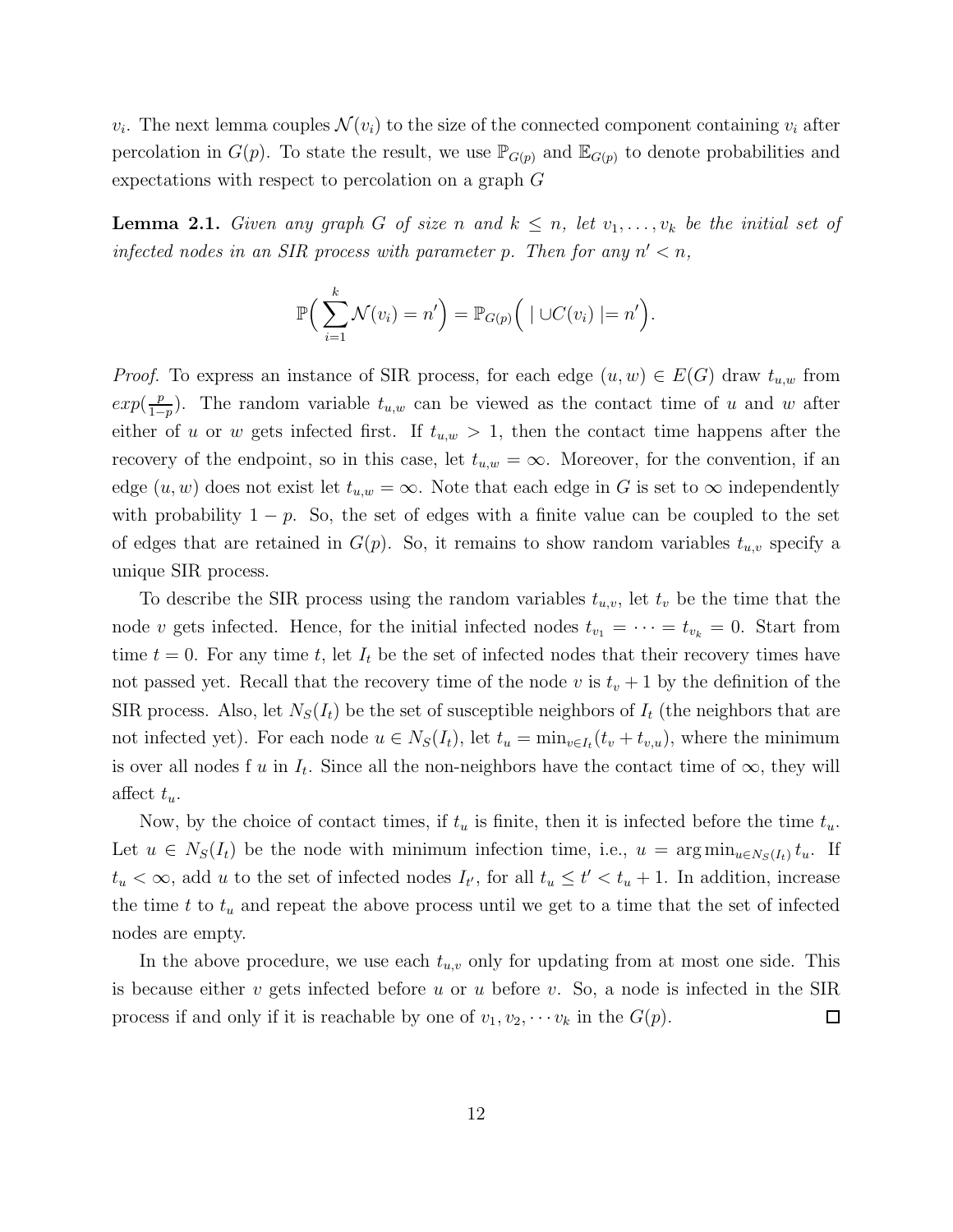<span id="page-12-0"></span> $v_i$ . The next lemma couples  $\mathcal{N}(v_i)$  to the size of the connected component containing  $v_i$  after percolation in  $G(p)$ . To state the result, we use  $\mathbb{P}_{G(p)}$  and  $\mathbb{E}_{G(p)}$  to denote probabilities and expectations with respect to percolation on a graph G

**Lemma 2.1.** Given any graph G of size n and  $k \leq n$ , let  $v_1, \ldots, v_k$  be the initial set of infected nodes in an SIR process with parameter p. Then for any  $n' < n$ ,

$$
\mathbb{P}\Big(\sum_{i=1}^k \mathcal{N}(v_i) = n'\Big) = \mathbb{P}_{G(p)}\Big(\mid \cup C(v_i) \mid = n'\Big).
$$

*Proof.* To express an instance of SIR process, for each edge  $(u, w) \in E(G)$  draw  $t_{u,w}$  from  $exp(\frac{p}{1-p})$  $\frac{p}{1-p}$ ). The random variable  $t_{u,w}$  can be viewed as the contact time of u and w after either of u or w gets infected first. If  $t_{u,w} > 1$ , then the contact time happens after the recovery of the endpoint, so in this case, let  $t_{u,w} = \infty$ . Moreover, for the convention, if an edge  $(u, w)$  does not exist let  $t_{u,w} = \infty$ . Note that each edge in G is set to  $\infty$  independently with probability  $1 - p$ . So, the set of edges with a finite value can be coupled to the set of edges that are retained in  $G(p)$ . So, it remains to show random variables  $t_{u,v}$  specify a unique SIR process.

To describe the SIR process using the random variables  $t_{u,v}$ , let  $t_v$  be the time that the node v gets infected. Hence, for the initial infected nodes  $t_{v_1} = \cdots = t_{v_k} = 0$ . Start from time  $t = 0$ . For any time t, let  $I_t$  be the set of infected nodes that their recovery times have not passed yet. Recall that the recovery time of the node v is  $t_v + 1$  by the definition of the SIR process. Also, let  $N_S(I_t)$  be the set of susceptible neighbors of  $I_t$  (the neighbors that are not infected yet). For each node  $u \in N_S(I_t)$ , let  $t_u = \min_{v \in I_t} (t_v + t_{v,u})$ , where the minimum is over all nodes f u in  $I_t$ . Since all the non-neighbors have the contact time of  $\infty$ , they will affect  $t_u$ .

Now, by the choice of contact times, if  $t_u$  is finite, then it is infected before the time  $t_u$ . Let  $u \in N_S(I_t)$  be the node with minimum infection time, i.e.,  $u = \arg \min_{u \in N_S(I_t)} t_u$ . If  $t_u < \infty$ , add u to the set of infected nodes  $I_{t'}$ , for all  $t_u \leq t' < t_u + 1$ . In addition, increase the time t to  $t<sub>u</sub>$  and repeat the above process until we get to a time that the set of infected nodes are empty.

In the above procedure, we use each  $t_{u,v}$  only for updating from at most one side. This is because either v gets infected before u or u before v. So, a node is infected in the SIR process if and only if it is reachable by one of  $v_1, v_2, \cdots v_k$  in the  $G(p)$ .  $\Box$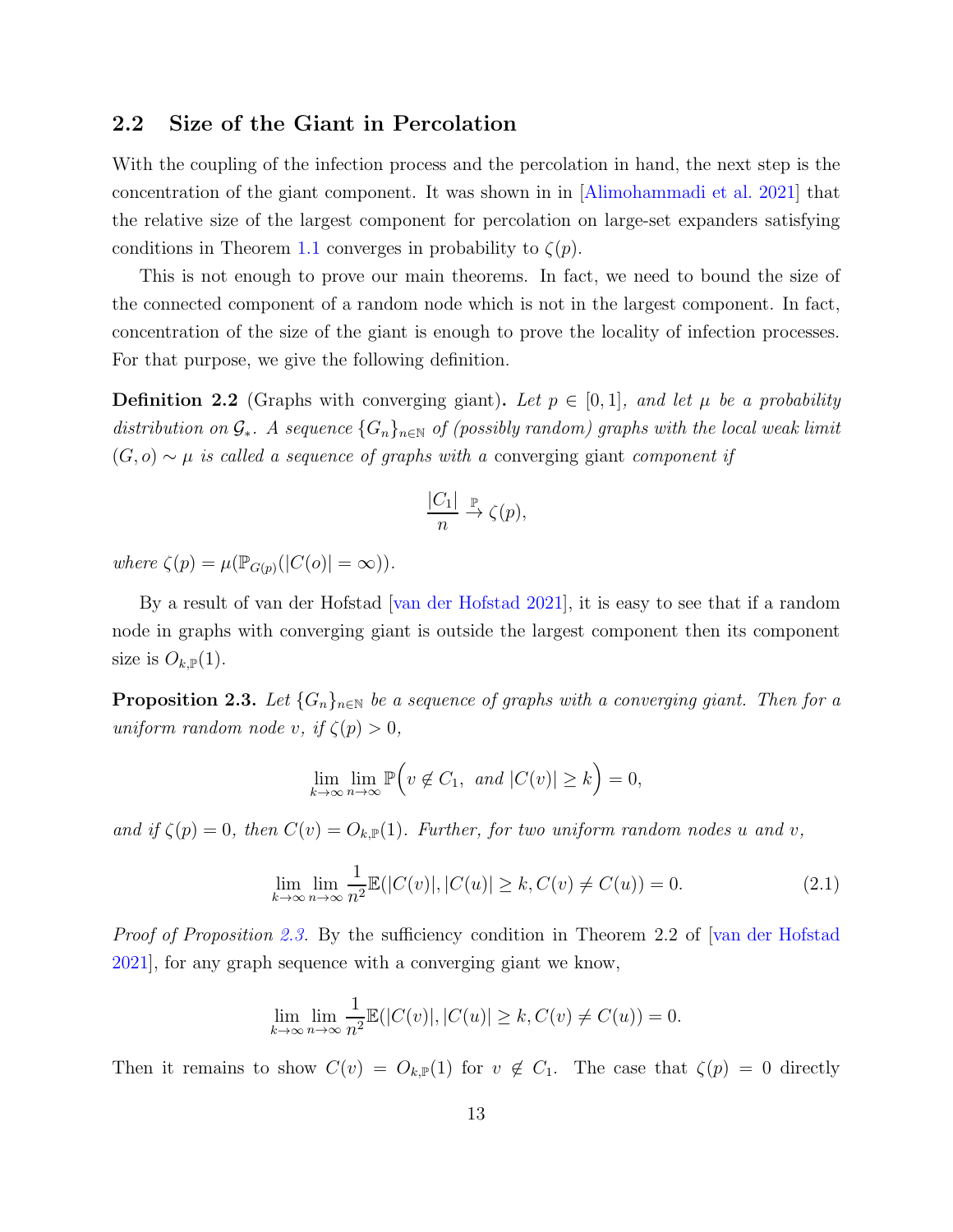#### <span id="page-13-0"></span>2.2 Size of the Giant in Percolation

With the coupling of the infection process and the percolation in hand, the next step is the concentration of the giant component. It was shown in in [\[Alimohammadi et al. 2021](#page-31-2)] that the relative size of the largest component for percolation on large-set expanders satisfying conditions in Theorem [1.1](#page-3-0) converges in probability to  $\zeta(p)$ .

This is not enough to prove our main theorems. In fact, we need to bound the size of the connected component of a random node which is not in the largest component. In fact, concentration of the size of the giant is enough to prove the locality of infection processes. For that purpose, we give the following definition.

**Definition 2.2** (Graphs with converging giant). Let  $p \in [0,1]$ , and let  $\mu$  be a probability distribution on  $\mathcal{G}_*$ . A sequence  $\{G_n\}_{n\in\mathbb{N}}$  of (possibly random) graphs with the local weak limit  $(G, o) \sim \mu$  is called a sequence of graphs with a converging giant component if

$$
\frac{|C_1|}{n} \overset{\mathbb{P}}{\to} \zeta(p),
$$

where  $\zeta(p) = \mu(\mathbb{P}_{G(p)}(|C(o)| = \infty)).$ 

By a result of van der Hofstad | van der Hofstad 2021|, it is easy to see that if a random node in graphs with converging giant is outside the largest component then its component size is  $O_{k,\mathbb{P}}(1)$ .

<span id="page-13-1"></span>**Proposition 2.3.** Let  $\{G_n\}_{n\in\mathbb{N}}$  be a sequence of graphs with a converging giant. Then for a uniform random node v, if  $\zeta(p) > 0$ ,

$$
\lim_{k \to \infty} \lim_{n \to \infty} \mathbb{P}\Big(v \notin C_1, \text{ and } |C(v)| \ge k\Big) = 0,
$$

and if  $\zeta(p) = 0$ , then  $C(v) = O_{k,\mathbb{P}}(1)$ . Further, for two uniform random nodes u and v,

<span id="page-13-2"></span>
$$
\lim_{k \to \infty} \lim_{n \to \infty} \frac{1}{n^2} \mathbb{E}(|C(v)|, |C(u)| \ge k, C(v) \ne C(u)) = 0.
$$
\n(2.1)

Proof of Proposition [2.3.](#page-13-1) By the sufficiency condition in Theorem 2.2 of [\[van der Hofstad](#page-35-9)] [2021\]](#page-35-9), for any graph sequence with a converging giant we know,

$$
\lim_{k \to \infty} \lim_{n \to \infty} \frac{1}{n^2} \mathbb{E}(|C(v)|, |C(u)| \ge k, C(v) \ne C(u)) = 0.
$$

Then it remains to show  $C(v) = O_{k,\mathbb{P}}(1)$  for  $v \notin C_1$ . The case that  $\zeta(p) = 0$  directly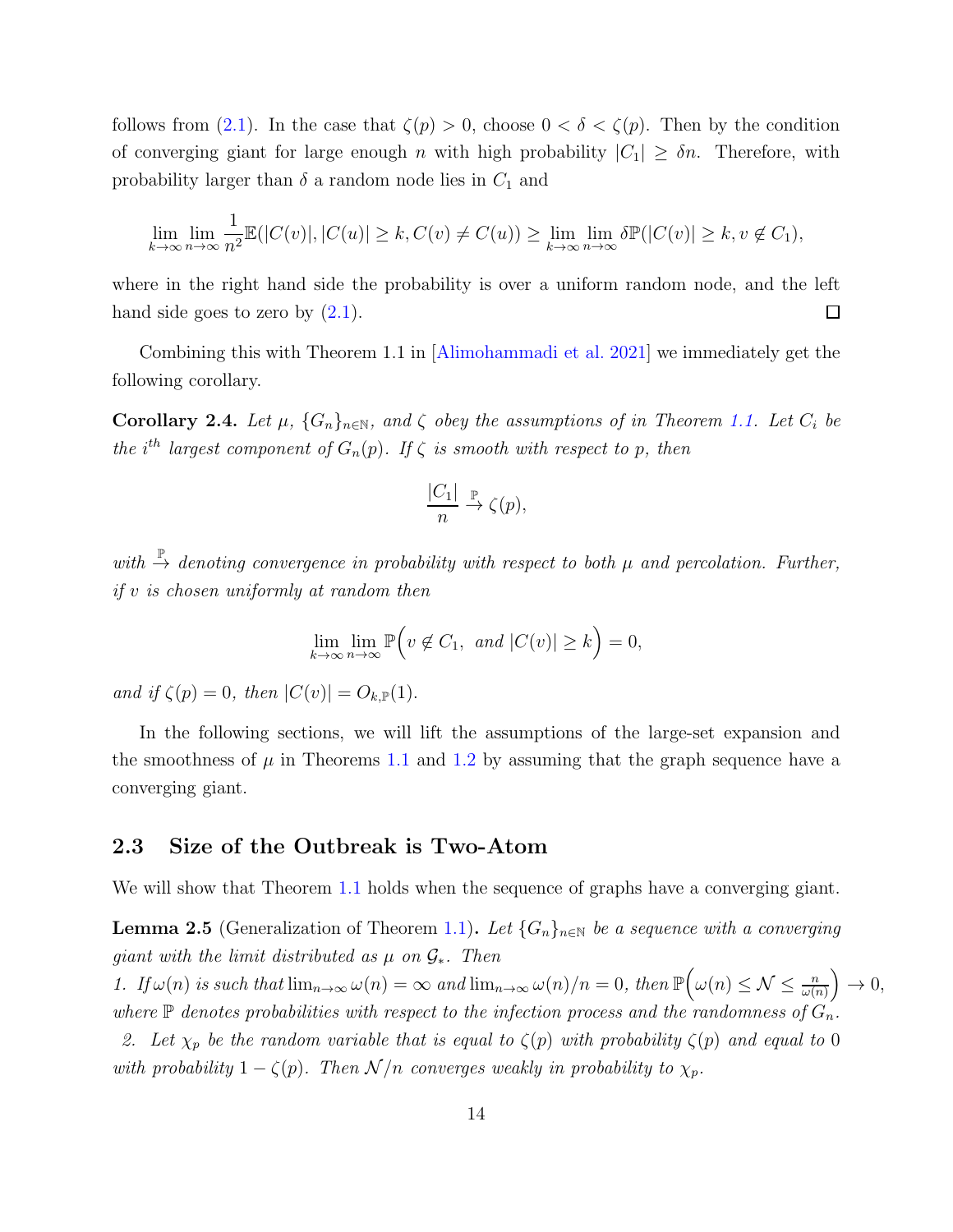follows from [\(2.1\)](#page-13-2). In the case that  $\zeta(p) > 0$ , choose  $0 < \delta < \zeta(p)$ . Then by the condition of converging giant for large enough n with high probability  $|C_1| \geq \delta n$ . Therefore, with probability larger than  $\delta$  a random node lies in  $C_1$  and

$$
\lim_{k \to \infty} \lim_{n \to \infty} \frac{1}{n^2} \mathbb{E}(|C(v)|, |C(u)| \ge k, C(v) \ne C(u)) \ge \lim_{k \to \infty} \lim_{n \to \infty} \delta \mathbb{P}(|C(v)| \ge k, v \notin C_1),
$$

where in the right hand side the probability is over a uniform random node, and the left hand side goes to zero by  $(2.1)$ .  $\Box$ 

<span id="page-14-4"></span>Combining this with Theorem 1.1 in [\[Alimohammadi et al. 2021\]](#page-31-2) we immediately get the following corollary.

Corollary 2.4. Let  $\mu$ ,  $\{G_n\}_{n\in\mathbb{N}}$ , and  $\zeta$  obey the assumptions of in Theorem [1.1.](#page-3-0) Let  $C_i$  be the i<sup>th</sup> largest component of  $G_n(p)$ . If  $\zeta$  is smooth with respect to p, then

$$
\frac{|C_1|}{n} \overset{\mathbb{P}}{\to} \zeta(p),
$$

with  $\stackrel{\mathbb{P}}{\rightarrow}$  denoting convergence in probability with respect to both  $\mu$  and percolation. Further, if v is chosen uniformly at random then

$$
\lim_{k \to \infty} \lim_{n \to \infty} \mathbb{P}\Big(v \notin C_1, \text{ and } |C(v)| \ge k\Big) = 0,
$$

and if  $\zeta(p) = 0$ , then  $|C(v)| = O_{k,\mathbb{P}}(1)$ .

In the following sections, we will lift the assumptions of the large-set expansion and the smoothness of  $\mu$  in Theorems [1.1](#page-3-0) and [1.2](#page-4-0) by assuming that the graph sequence have a converging giant.

#### <span id="page-14-0"></span>2.3 Size of the Outbreak is Two-Atom

<span id="page-14-3"></span>We will show that Theorem [1.1](#page-3-0) holds when the sequence of graphs have a converging giant.

**Lemma 2.5** (Generalization of Theorem [1.1\)](#page-3-0). Let  $\{G_n\}_{n\in\mathbb{N}}$  be a sequence with a converging giant with the limit distributed as  $\mu$  on  $\mathcal{G}_*$ . Then

<span id="page-14-1"></span>1. If  $\omega(n)$  is such that  $\lim_{n\to\infty}\omega(n)=\infty$  and  $\lim_{n\to\infty}\omega(n)/n=0$ , then  $\mathbb{P}\left(\omega(n)\leq\mathcal{N}\leq\frac{n}{\omega(n)}\right)$  $\big) \rightarrow 0,$ where  $\mathbb P$  denotes probabilities with respect to the infection process and the randomness of  $G_n$ .

<span id="page-14-2"></span>2. Let  $\chi_p$  be the random variable that is equal to  $\zeta(p)$  with probability  $\zeta(p)$  and equal to 0 with probability  $1 - \zeta(p)$ . Then  $\mathcal{N}/n$  converges weakly in probability to  $\chi_p$ .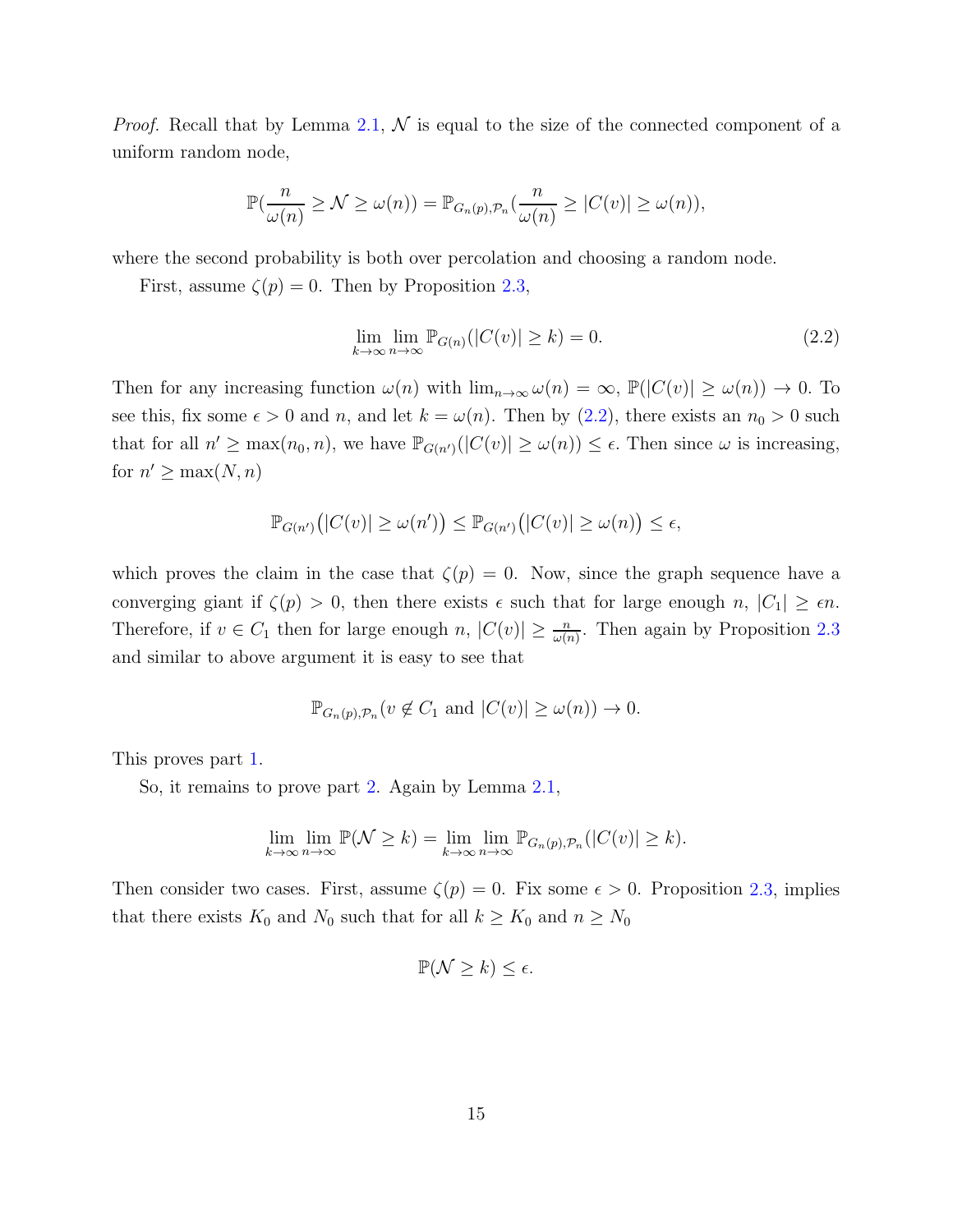*Proof.* Recall that by Lemma [2.1,](#page-12-0)  $\mathcal{N}$  is equal to the size of the connected component of a uniform random node,

$$
\mathbb{P}(\frac{n}{\omega(n)} \ge \mathcal{N} \ge \omega(n)) = \mathbb{P}_{G_n(p), \mathcal{P}_n}(\frac{n}{\omega(n)} \ge |C(v)| \ge \omega(n)),
$$

where the second probability is both over percolation and choosing a random node.

First, assume  $\zeta(p) = 0$ . Then by Proposition [2.3,](#page-13-1)

<span id="page-15-0"></span>
$$
\lim_{k \to \infty} \lim_{n \to \infty} \mathbb{P}_{G(n)}(|C(v)| \ge k) = 0.
$$
\n(2.2)

Then for any increasing function  $\omega(n)$  with  $\lim_{n\to\infty}\omega(n) = \infty$ ,  $\mathbb{P}(|C(v)| \geq \omega(n)) \to 0$ . To see this, fix some  $\epsilon > 0$  and n, and let  $k = \omega(n)$ . Then by [\(2.2\)](#page-15-0), there exists an  $n_0 > 0$  such that for all  $n' \ge \max(n_0, n)$ , we have  $\mathbb{P}_{G(n')}(|C(v)| \ge \omega(n)) \le \epsilon$ . Then since  $\omega$  is increasing, for  $n' \geq \max(N, n)$ 

$$
\mathbb{P}_{G(n')}(|C(v)| \ge \omega(n')) \le \mathbb{P}_{G(n')}(|C(v)| \ge \omega(n)) \le \epsilon,
$$

which proves the claim in the case that  $\zeta(p) = 0$ . Now, since the graph sequence have a converging giant if  $\zeta(p) > 0$ , then there exists  $\epsilon$  such that for large enough  $n, |C_1| \geq \epsilon n$ . Therefore, if  $v \in C_1$  then for large enough  $n, |C(v)| \geq \frac{n}{\omega(n)}$ . Then again by Proposition [2.3](#page-13-1) and similar to above argument it is easy to see that

$$
\mathbb{P}_{G_n(p),\mathcal{P}_n}(v \notin C_1 \text{ and } |C(v)| \geq \omega(n)) \to 0.
$$

This proves part [1.](#page-14-1)

So, it remains to prove part [2.](#page-14-2) Again by Lemma [2.1,](#page-12-0)

$$
\lim_{k \to \infty} \lim_{n \to \infty} \mathbb{P}(\mathcal{N} \ge k) = \lim_{k \to \infty} \lim_{n \to \infty} \mathbb{P}_{G_n(p), \mathcal{P}_n}(|C(v)| \ge k).
$$

Then consider two cases. First, assume  $\zeta(p) = 0$ . Fix some  $\epsilon > 0$ . Proposition [2.3,](#page-13-1) implies that there exists  $K_0$  and  $N_0$  such that for all  $k \ge K_0$  and  $n \ge N_0$ 

$$
\mathbb{P}(\mathcal{N} \geq k) \leq \epsilon.
$$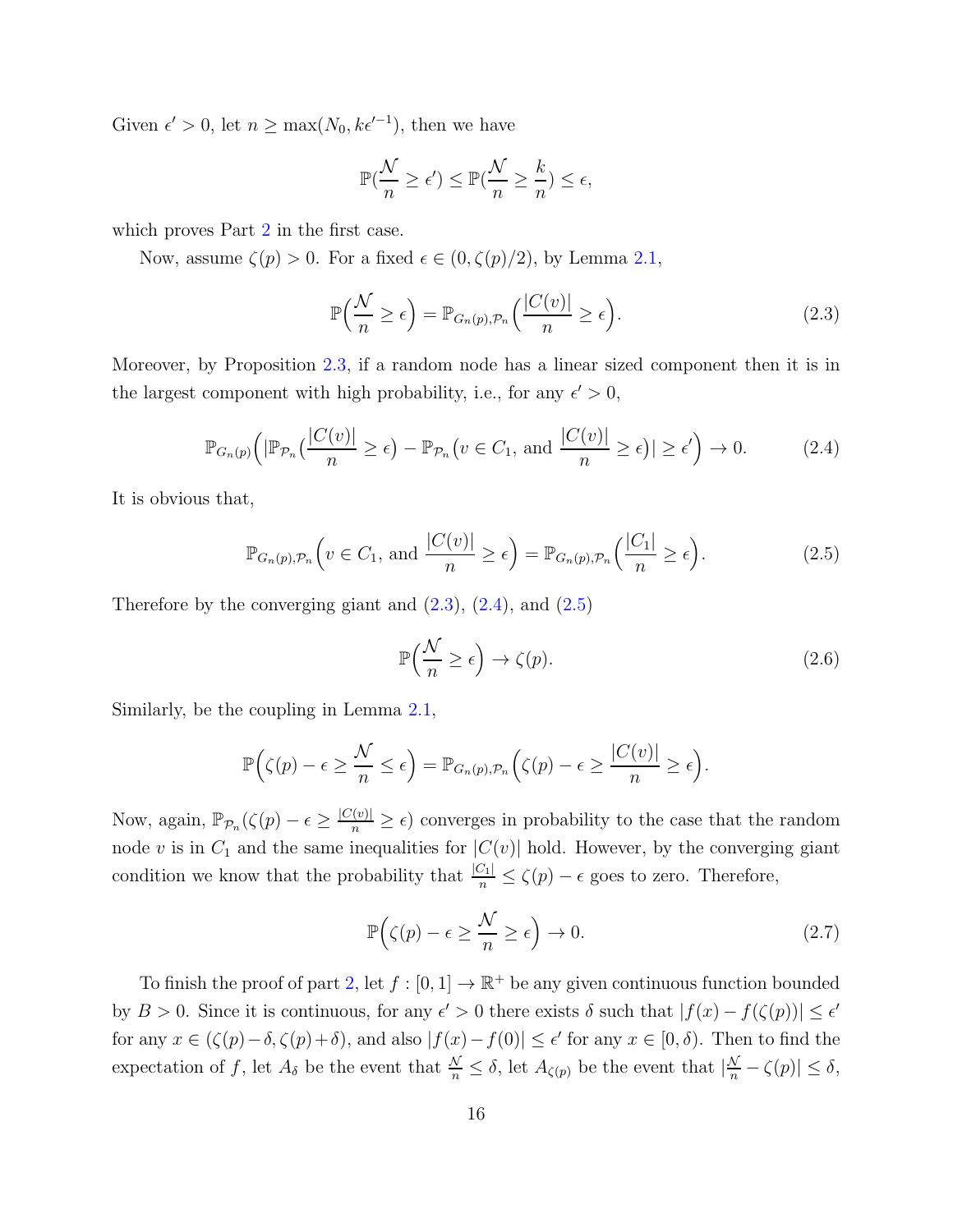Given  $\epsilon' > 0$ , let  $n \ge \max(N_0, k\epsilon'^{-1})$ , then we have

$$
\mathbb{P}(\frac{\mathcal{N}}{n} \geq \epsilon') \leq \mathbb{P}(\frac{\mathcal{N}}{n} \geq \frac{k}{n}) \leq \epsilon,
$$

which proves Part [2](#page-14-2) in the first case.

Now, assume  $\zeta(p) > 0$ . For a fixed  $\epsilon \in (0, \zeta(p)/2)$ , by Lemma [2.1,](#page-12-0)

<span id="page-16-0"></span>
$$
\mathbb{P}\left(\frac{\mathcal{N}}{n} \ge \epsilon\right) = \mathbb{P}_{G_n(p), \mathcal{P}_n}\left(\frac{|C(v)|}{n} \ge \epsilon\right). \tag{2.3}
$$

Moreover, by Proposition [2.3,](#page-13-1) if a random node has a linear sized component then it is in the largest component with high probability, i.e., for any  $\epsilon' > 0$ ,

<span id="page-16-1"></span>
$$
\mathbb{P}_{G_n(p)}\Big(|\mathbb{P}_{\mathcal{P}_n}\big(\frac{|C(v)|}{n}\geq \epsilon\big)-\mathbb{P}_{\mathcal{P}_n}\big(v\in C_1,\text{ and }\frac{|C(v)|}{n}\geq \epsilon\big)|\geq \epsilon'\Big)\to 0.\tag{2.4}
$$

It is obvious that,

<span id="page-16-2"></span>
$$
\mathbb{P}_{G_n(p), \mathcal{P}_n} \left( v \in C_1, \text{ and } \frac{|C(v)|}{n} \ge \epsilon \right) = \mathbb{P}_{G_n(p), \mathcal{P}_n} \left( \frac{|C_1|}{n} \ge \epsilon \right). \tag{2.5}
$$

Therefore by the converging giant and  $(2.3)$ ,  $(2.4)$ , and  $(2.5)$ 

<span id="page-16-3"></span>
$$
\mathbb{P}\left(\frac{\mathcal{N}}{n} \ge \epsilon\right) \to \zeta(p). \tag{2.6}
$$

Similarly, be the coupling in Lemma [2.1,](#page-12-0)

$$
\mathbb{P}\Big(\zeta(p)-\epsilon\geq \frac{\mathcal{N}}{n}\leq \epsilon\Big)=\mathbb{P}_{G_n(p),\mathcal{P}_n}\Big(\zeta(p)-\epsilon\geq \frac{|C(v)|}{n}\geq \epsilon\Big).
$$

Now, again,  $\mathbb{P}_{\mathcal{P}_n}(\zeta(p)-\epsilon \geq \frac{|C(v)|}{n} \geq \epsilon)$  converges in probability to the case that the random node v is in  $C_1$  and the same inequalities for  $|C(v)|$  hold. However, by the converging giant condition we know that the probability that  $\frac{|C_1|}{n} \le \zeta(p) - \epsilon$  goes to zero. Therefore,

<span id="page-16-4"></span>
$$
\mathbb{P}\Big(\zeta(p) - \epsilon \ge \frac{\mathcal{N}}{n} \ge \epsilon\Big) \to 0. \tag{2.7}
$$

To finish the proof of part [2,](#page-14-2) let  $f : [0, 1] \to \mathbb{R}^+$  be any given continuous function bounded by  $B > 0$ . Since it is continuous, for any  $\epsilon' > 0$  there exists  $\delta$  such that  $|f(x) - f(\zeta(p))| \leq \epsilon'$ for any  $x \in (\zeta(p) - \delta, \zeta(p) + \delta)$ , and also  $|f(x) - f(0)| \leq \epsilon'$  for any  $x \in [0, \delta)$ . Then to find the expectation of f, let  $A_{\delta}$  be the event that  $\frac{\mathcal{N}}{n} \leq \delta$ , let  $A_{\zeta(p)}$  be the event that  $|\frac{\mathcal{N}}{n} - \zeta(p)| \leq \delta$ ,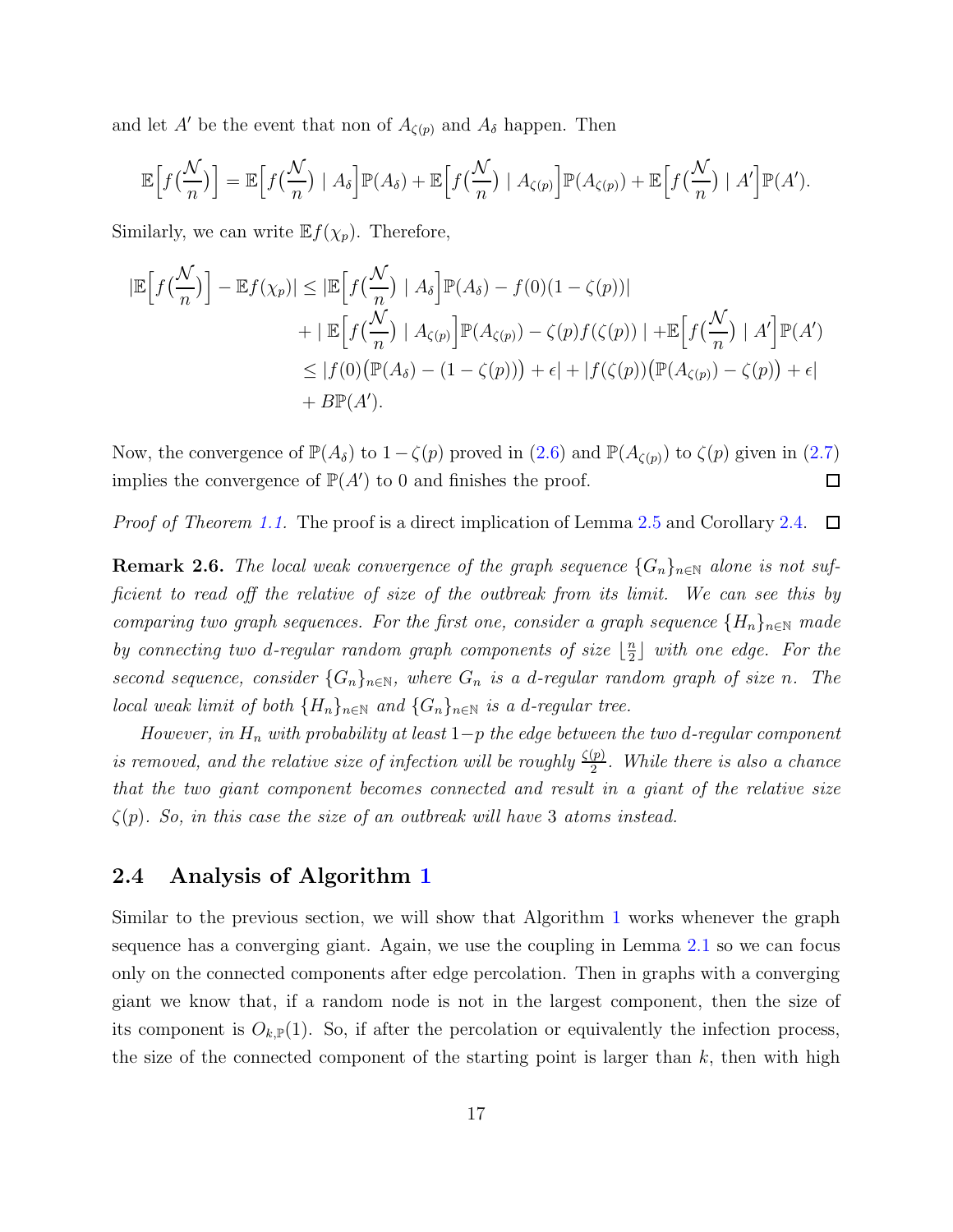and let A' be the event that non of  $A_{\zeta(p)}$  and  $A_{\delta}$  happen. Then

$$
\mathbb{E}\Big[f\big(\frac{\mathcal{N}}{n}\big)\Big] = \mathbb{E}\Big[f\big(\frac{\mathcal{N}}{n}\big) \mid A_{\delta}\Big]\mathbb{P}(A_{\delta}) + \mathbb{E}\Big[f\big(\frac{\mathcal{N}}{n}\big) \mid A_{\zeta(p)}\Big]\mathbb{P}(A_{\zeta(p)}) + \mathbb{E}\Big[f\big(\frac{\mathcal{N}}{n}\big) \mid A'\Big]\mathbb{P}(A').
$$

Similarly, we can write  $\mathbb{E} f(\chi_p)$ . Therefore,

$$
|\mathbb{E}\Big[f\big(\frac{\mathcal{N}}{n}\big)\Big] - \mathbb{E}f(\chi_p)| \leq |\mathbb{E}\Big[f\big(\frac{\mathcal{N}}{n}\big) \mid A_\delta\Big] \mathbb{P}(A_\delta) - f(0)(1 - \zeta(p))|
$$
  
+ 
$$
+ |\mathbb{E}\Big[f\big(\frac{\mathcal{N}}{n}\big) \mid A_{\zeta(p)}\Big] \mathbb{P}(A_{\zeta(p)}) - \zeta(p)f(\zeta(p))| + \mathbb{E}\Big[f\big(\frac{\mathcal{N}}{n}\big) \mid A'\Big] \mathbb{P}(A')
$$
  

$$
\leq |f(0) \big(\mathbb{P}(A_\delta) - (1 - \zeta(p))\big) + \epsilon | + |f(\zeta(p)) \big(\mathbb{P}(A_{\zeta(p)}) - \zeta(p)) + \epsilon |
$$
  
+ 
$$
B\mathbb{P}(A').
$$

Now, the convergence of  $\mathbb{P}(A_{\delta})$  to  $1-\zeta(p)$  proved in  $(2.6)$  and  $\mathbb{P}(A_{\zeta(p)})$  to  $\zeta(p)$  given in  $(2.7)$ implies the convergence of  $\mathbb{P}(A')$  to 0 and finishes the proof.  $\Box$ 

<span id="page-17-0"></span>Proof of Theorem [1.1.](#page-3-0) The proof is a direct implication of Lemma [2.5](#page-14-3) and Corollary [2.4.](#page-14-4)  $\Box$ 

**Remark 2.6.** The local weak convergence of the graph sequence  $\{G_n\}_{n\in\mathbb{N}}$  alone is not sufficient to read off the relative of size of the outbreak from its limit. We can see this by comparing two graph sequences. For the first one, consider a graph sequence  $\{H_n\}_{n\in\mathbb{N}}$  made by connecting two d-regular random graph components of size  $\frac{1}{2}$  $\frac{n}{2}$ ] with one edge. For the second sequence, consider  $\{G_n\}_{n\in\mathbb{N}}$ , where  $G_n$  is a d-regular random graph of size n. The local weak limit of both  $\{H_n\}_{n\in\mathbb{N}}$  and  $\{G_n\}_{n\in\mathbb{N}}$  is a d-regular tree.

However, in  $H_n$  with probability at least  $1-p$  the edge between the two d-regular component is removed, and the relative size of infection will be roughly  $\frac{\zeta(p)}{2}$  $\frac{(p)}{2}$ . While there is also a chance that the two giant component becomes connected and result in a giant of the relative size  $\zeta(p)$ . So, in this case the size of an outbreak will have 3 atoms instead.

### <span id="page-17-1"></span>2.4 Analysis of Algorithm [1](#page-5-0)

Similar to the previous section, we will show that Algorithm [1](#page-5-0) works whenever the graph sequence has a converging giant. Again, we use the coupling in Lemma [2.1](#page-12-0) so we can focus only on the connected components after edge percolation. Then in graphs with a converging giant we know that, if a random node is not in the largest component, then the size of its component is  $O_{k,\mathbb{P}}(1)$ . So, if after the percolation or equivalently the infection process, the size of the connected component of the starting point is larger than  $k$ , then with high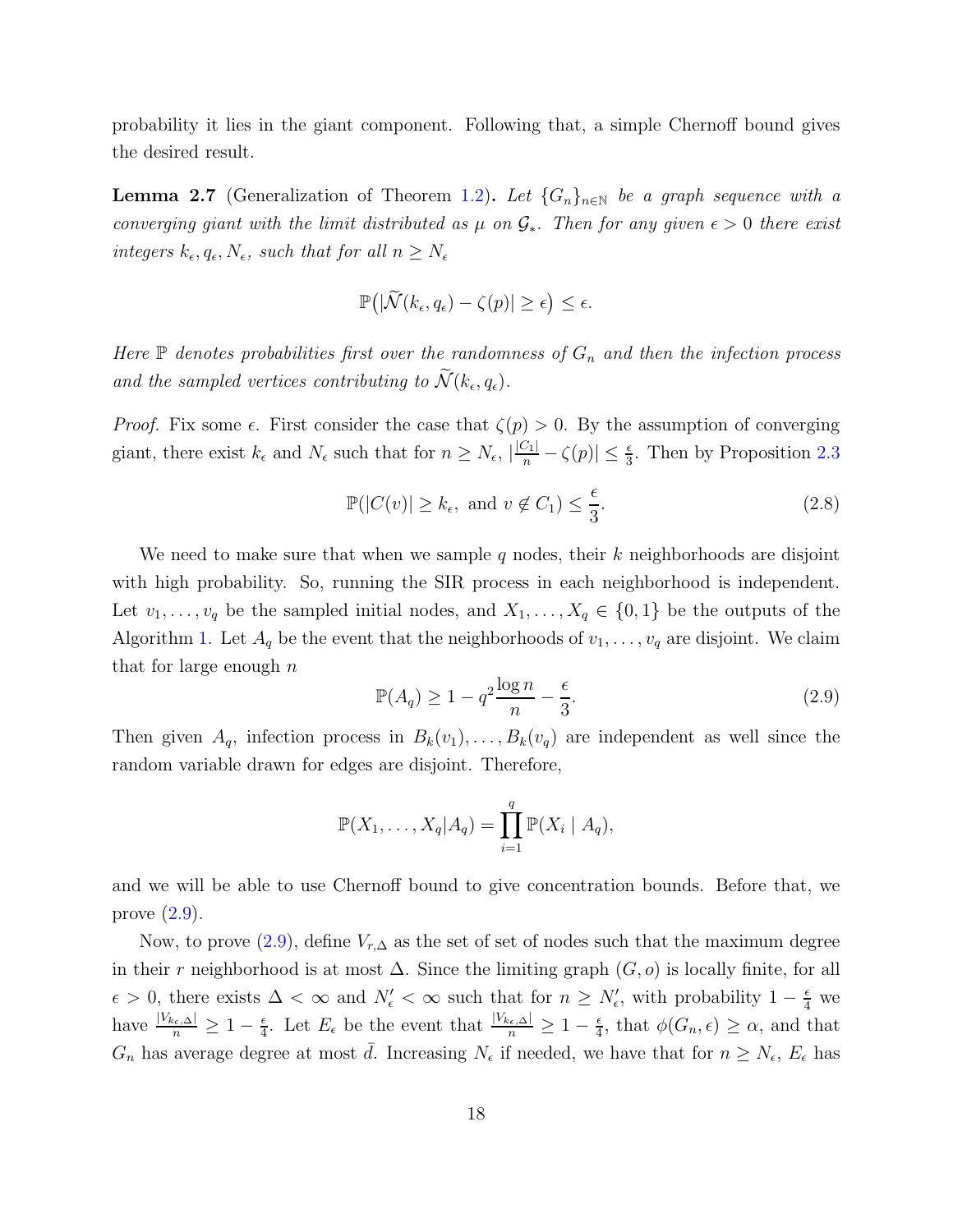<span id="page-18-2"></span>probability it lies in the giant component. Following that, a simple Chernoff bound gives the desired result.

**Lemma 2.7** (Generalization of Theorem [1.2\)](#page-4-0). Let  $\{G_n\}_{n\in\mathbb{N}}$  be a graph sequence with a converging giant with the limit distributed as  $\mu$  on  $\mathcal{G}_*$ . Then for any given  $\epsilon > 0$  there exist integers  $k_{\epsilon}, q_{\epsilon}, N_{\epsilon}$ , such that for all  $n \geq N_{\epsilon}$ 

$$
\mathbb{P}\big(|\widetilde{\mathcal{N}}(k_\epsilon,q_\epsilon)-\zeta(p)|\geq \epsilon\big)\leq \epsilon.
$$

Here  $\mathbb P$  denotes probabilities first over the randomness of  $G_n$  and then the infection process and the sampled vertices contributing to  $\mathcal{N}(k_{\epsilon}, q_{\epsilon})$ .

Proof. Fix some  $\epsilon$ . First consider the case that  $\zeta(p) > 0$ . By the assumption of converging giant, there exist  $k_{\epsilon}$  and  $N_{\epsilon}$  such that for  $n \ge N_{\epsilon}$ ,  $\left|\frac{|C_1|}{n} - \zeta(p)\right| \le \frac{\epsilon}{3}$ . Then by Proposition [2.3](#page-13-1)

<span id="page-18-1"></span>
$$
\mathbb{P}(|C(v)| \ge k_{\epsilon}, \text{ and } v \notin C_1) \le \frac{\epsilon}{3}.
$$
\n(2.8)

We need to make sure that when we sample q nodes, their  $k$  neighborhoods are disjoint with high probability. So, running the SIR process in each neighborhood is independent. Let  $v_1, \ldots, v_q$  be the sampled initial nodes, and  $X_1, \ldots, X_q \in \{0,1\}$  be the outputs of the Algorithm [1.](#page-5-0) Let  $A_q$  be the event that the neighborhoods of  $v_1, \ldots, v_q$  are disjoint. We claim that for large enough  $n$ 

<span id="page-18-0"></span>
$$
\mathbb{P}(A_q) \ge 1 - q^2 \frac{\log n}{n} - \frac{\epsilon}{3}.\tag{2.9}
$$

Then given  $A_q$ , infection process in  $B_k(v_1), \ldots, B_k(v_q)$  are independent as well since the random variable drawn for edges are disjoint. Therefore,

$$
\mathbb{P}(X_1,\ldots,X_q|A_q)=\prod_{i=1}^q\mathbb{P}(X_i\mid A_q),
$$

and we will be able to use Chernoff bound to give concentration bounds. Before that, we prove [\(2.9\)](#page-18-0).

Now, to prove  $(2.9)$ , define  $V_{r,\Delta}$  as the set of set of nodes such that the maximum degree in their r neighborhood is at most  $\Delta$ . Since the limiting graph  $(G, o)$  is locally finite, for all  $\epsilon > 0$ , there exists  $\Delta < \infty$  and  $N'_{\epsilon} < \infty$  such that for  $n \ge N'_{\epsilon}$ , with probability  $1 - \frac{\epsilon}{4}$  we have  $\frac{|V_{k_{\epsilon},\Delta}|}{n}\geq 1-\frac{\epsilon}{4}$  $\frac{\epsilon}{4}$ . Let  $E_{\epsilon}$  be the event that  $\frac{|V_{k_{\epsilon},\Delta}|}{n}\geq 1-\frac{\epsilon}{4}$  $\frac{\epsilon}{4}$ , that  $\phi(G_n, \epsilon) \geq \alpha$ , and that  $G_n$  has average degree at most  $\bar{d}$ . Increasing  $N_{\epsilon}$  if needed, we have that for  $n \geq N_{\epsilon}$ ,  $E_{\epsilon}$  has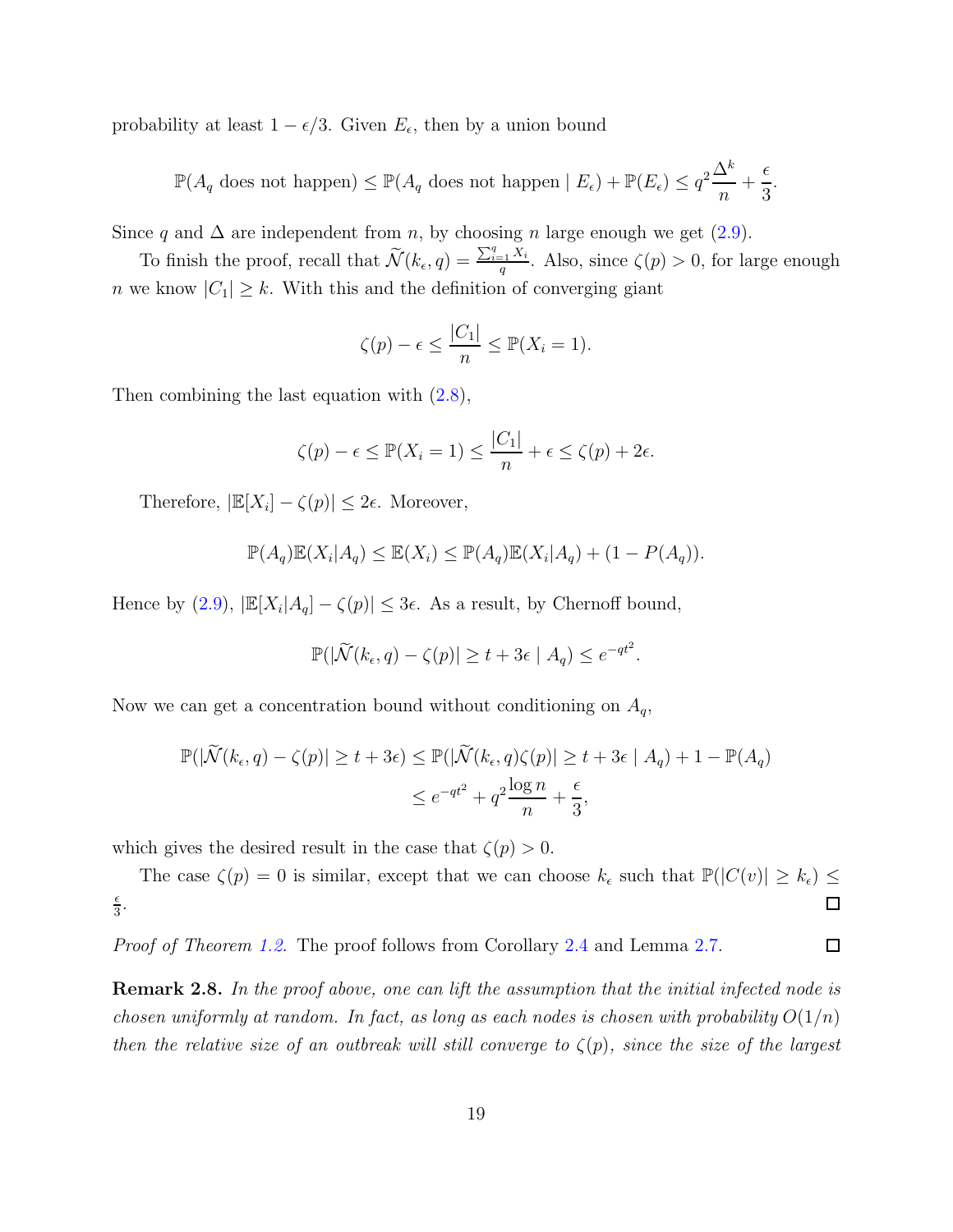probability at least  $1 - \epsilon/3$ . Given  $E_{\epsilon}$ , then by a union bound

 $\mathbb{P}(A_q \text{ does not happen}) \leq \mathbb{P}(A_q \text{ does not happen} | E_{\epsilon}) + \mathbb{P}(E_{\epsilon}) \leq q^2 \frac{\Delta^k}{n}$  $\overline{n}$  $+$  $\epsilon$ 3 .

Since q and  $\Delta$  are independent from n, by choosing n large enough we get [\(2.9\)](#page-18-0).

To finish the proof, recall that  $\widetilde{\mathcal{N}}(k_{\epsilon}, q) = \frac{\sum_{i=1}^{q} X_i}{q}$  $\frac{q}{q}$ . Also, since  $\zeta(p) > 0$ , for large enough n we know  $|C_1| \geq k$ . With this and the definition of converging giant

$$
\zeta(p) - \epsilon \le \frac{|C_1|}{n} \le \mathbb{P}(X_i = 1).
$$

Then combining the last equation with  $(2.8)$ ,

$$
\zeta(p) - \epsilon \le \mathbb{P}(X_i = 1) \le \frac{|C_1|}{n} + \epsilon \le \zeta(p) + 2\epsilon.
$$

Therefore,  $|\mathbb{E}[X_i] - \zeta(p)| \leq 2\epsilon$ . Moreover,

$$
\mathbb{P}(A_q)\mathbb{E}(X_i|A_q) \leq \mathbb{E}(X_i) \leq \mathbb{P}(A_q)\mathbb{E}(X_i|A_q) + (1 - P(A_q)).
$$

Hence by  $(2.9)$ ,  $|\mathbb{E}[X_i|A_q] - \zeta(p)| \leq 3\epsilon$ . As a result, by Chernoff bound,

$$
\mathbb{P}(|\widetilde{\mathcal{N}}(k_{\epsilon}, q) - \zeta(p)| \ge t + 3\epsilon \mid A_q) \le e^{-qt^2}.
$$

Now we can get a concentration bound without conditioning on  $A_q$ ,

$$
\mathbb{P}(|\widetilde{\mathcal{N}}(k_{\epsilon}, q) - \zeta(p)| \ge t + 3\epsilon) \le \mathbb{P}(|\widetilde{\mathcal{N}}(k_{\epsilon}, q)\zeta(p)| \ge t + 3\epsilon | A_q) + 1 - \mathbb{P}(A_q)
$$
  

$$
\le e^{-qt^2} + q^2 \frac{\log n}{n} + \frac{\epsilon}{3},
$$

which gives the desired result in the case that  $\zeta(p) > 0$ .

The case  $\zeta(p) = 0$  is similar, except that we can choose  $k_{\epsilon}$  such that  $\mathbb{P}(|C(v)| \geq k_{\epsilon}) \leq$  $\epsilon$  $\frac{\epsilon}{3}$ . 口

Proof of Theorem [1.2.](#page-4-0) The proof follows from Corollary [2.4](#page-14-4) and Lemma [2.7.](#page-18-2)  $\Box$ 

**Remark 2.8.** In the proof above, one can lift the assumption that the initial infected node is chosen uniformly at random. In fact, as long as each nodes is chosen with probability  $O(1/n)$ then the relative size of an outbreak will still converge to  $\zeta(p)$ , since the size of the largest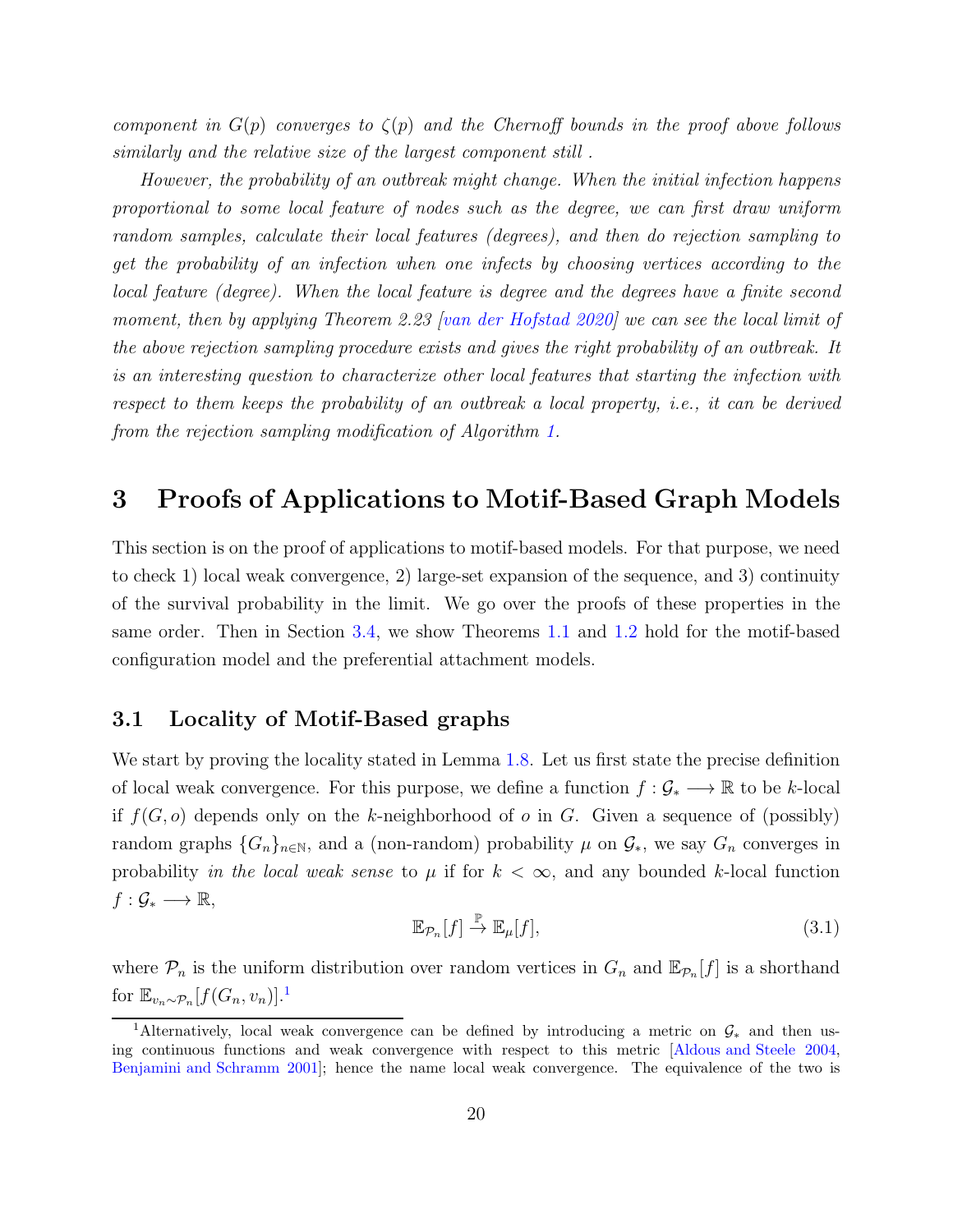component in  $G(p)$  converges to  $\zeta(p)$  and the Chernoff bounds in the proof above follows similarly and the relative size of the largest component still .

However, the probability of an outbreak might change. When the initial infection happens proportional to some local feature of nodes such as the degree, we can first draw uniform random samples, calculate their local features (degrees), and then do rejection sampling to get the probability of an infection when one infects by choosing vertices according to the local feature (degree). When the local feature is degree and the degrees have a finite second moment, then by applying Theorem 2.23 [\[van der Hofstad 2020\]](#page-35-4) we can see the local limit of the above rejection sampling procedure exists and gives the right probability of an outbreak. It is an interesting question to characterize other local features that starting the infection with respect to them keeps the probability of an outbreak a local property, i.e., it can be derived from the rejection sampling modification of Algorithm [1.](#page-5-0)

## <span id="page-20-0"></span>3 Proofs of Applications to Motif-Based Graph Models

This section is on the proof of applications to motif-based models. For that purpose, we need to check 1) local weak convergence, 2) large-set expansion of the sequence, and 3) continuity of the survival probability in the limit. We go over the proofs of these properties in the same order. Then in Section [3.4,](#page-30-0) we show Theorems [1.1](#page-3-0) and [1.2](#page-4-0) hold for the motif-based configuration model and the preferential attachment models.

### 3.1 Locality of Motif-Based graphs

We start by proving the locality stated in Lemma [1.8.](#page-9-4) Let us first state the precise definition of local weak convergence. For this purpose, we define a function  $f: \mathcal{G}_* \longrightarrow \mathbb{R}$  to be k-local if  $f(G, o)$  depends only on the k-neighborhood of o in G. Given a sequence of (possibly) random graphs  $\{G_n\}_{n\in\mathbb{N}}$ , and a (non-random) probability  $\mu$  on  $\mathcal{G}_*$ , we say  $G_n$  converges in probability in the local weak sense to  $\mu$  if for  $k < \infty$ , and any bounded k-local function  $f: \mathcal{G}_* \longrightarrow \mathbb{R},$ 

<span id="page-20-1"></span>
$$
\mathbb{E}_{\mathcal{P}_n}[f] \stackrel{\mathbb{P}}{\to} \mathbb{E}_{\mu}[f],\tag{3.1}
$$

where  $\mathcal{P}_n$  is the uniform distribution over random vertices in  $G_n$  and  $\mathbb{E}_{\mathcal{P}_n}[f]$  is a shorthand for  $\mathbb{E}_{v_n \sim \mathcal{P}_n}[f(G_n, v_n)]$ .<sup>1</sup>

<sup>&</sup>lt;sup>1</sup>Alternatively, local weak convergence can be defined by introducing a metric on  $\mathcal{G}_*$  and then using continuous functions and weak convergence with respect to this metric [\[Aldous and Steele 2004](#page-31-5), [Benjamini and Schramm 2001\]](#page-32-11); hence the name local weak convergence. The equivalence of the two is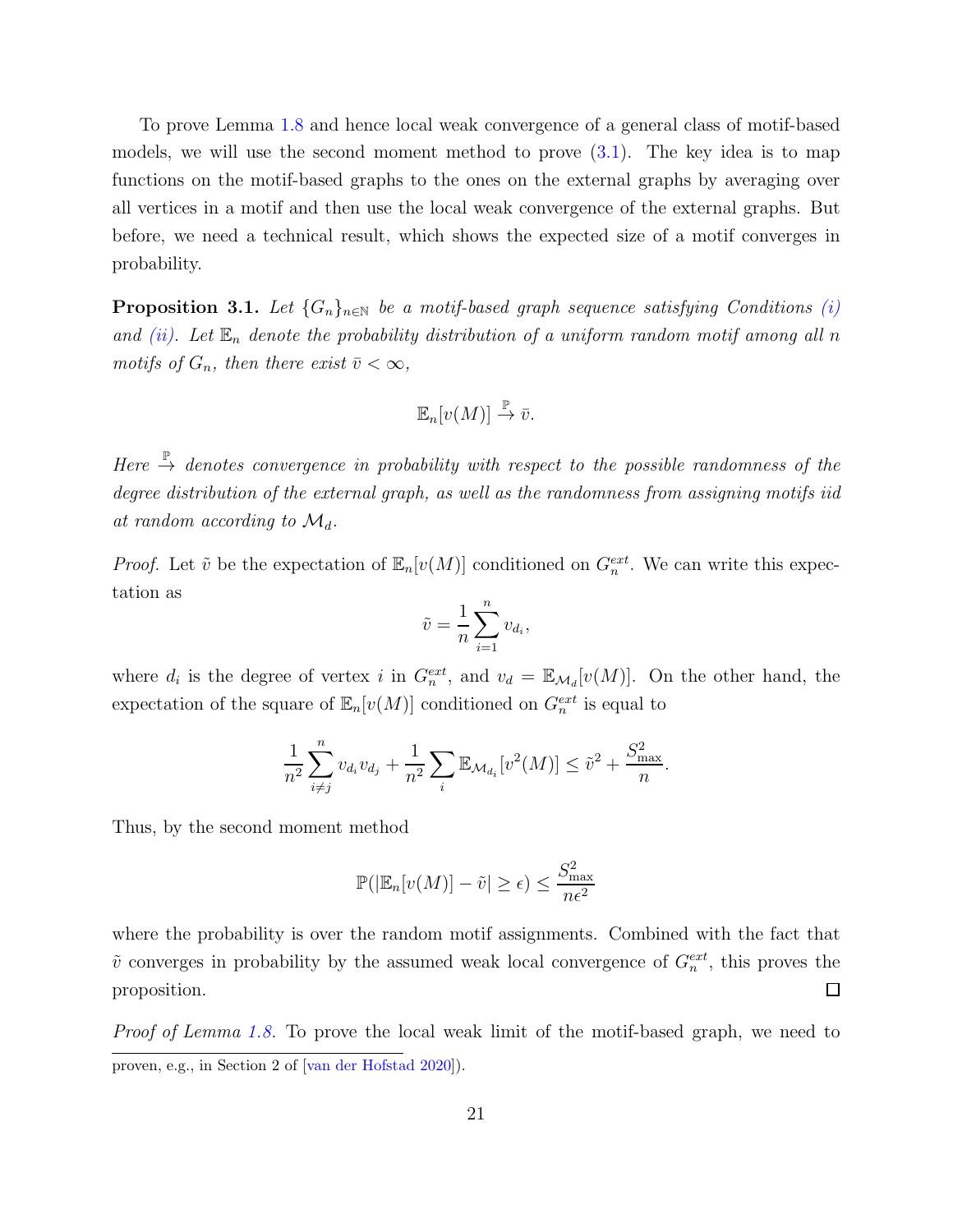To prove Lemma [1.8](#page-9-4) and hence local weak convergence of a general class of motif-based models, we will use the second moment method to prove  $(3.1)$ . The key idea is to map functions on the motif-based graphs to the ones on the external graphs by averaging over all vertices in a motif and then use the local weak convergence of the external graphs. But before, we need a technical result, which shows the expected size of a motif converges in probability.

<span id="page-21-0"></span>**Proposition 3.1.** Let  $\{G_n\}_{n\in\mathbb{N}}$  be a motif-based graph sequence satisfying Conditions [\(i\)](#page-9-1) and [\(ii\).](#page-9-2) Let  $\mathbb{E}_n$  denote the probability distribution of a uniform random motif among all n motifs of  $G_n$ , then there exist  $\bar{v} < \infty$ ,

$$
\mathbb{E}_n[v(M)] \stackrel{\mathbb{P}}{\to} \bar{v}.
$$

Here  $\stackrel{\mathbb{P}}{\rightarrow}$  denotes convergence in probability with respect to the possible randomness of the degree distribution of the external graph, as well as the randomness from assigning motifs iid at random according to  $\mathcal{M}_d$ .

*Proof.* Let  $\tilde{v}$  be the expectation of  $\mathbb{E}_n[v(M)]$  conditioned on  $G_n^{ext}$ . We can write this expectation as

$$
\tilde{v} = \frac{1}{n} \sum_{i=1}^{n} v_{d_i},
$$

where  $d_i$  is the degree of vertex i in  $G_n^{ext}$ , and  $v_d = \mathbb{E}_{\mathcal{M}_d}[v(M)]$ . On the other hand, the expectation of the square of  $\mathbb{E}_n[v(M)]$  conditioned on  $G_n^{ext}$  is equal to

$$
\frac{1}{n^2} \sum_{i \neq j}^n v_{d_i} v_{d_j} + \frac{1}{n^2} \sum_i \mathbb{E}_{\mathcal{M}_{d_i}}[v^2(M)] \le \tilde{v}^2 + \frac{S_{\text{max}}^2}{n}.
$$

Thus, by the second moment method

$$
\mathbb{P}(|\mathbb{E}_n[v(M)] - \tilde{v}| \ge \epsilon) \le \frac{S_{\text{max}}^2}{n\epsilon^2}
$$

where the probability is over the random motif assignments. Combined with the fact that  $\tilde{v}$  converges in probability by the assumed weak local convergence of  $G_n^{ext}$ , this proves the proposition.  $\Box$ 

Proof of Lemma [1.8.](#page-9-4) To prove the local weak limit of the motif-based graph, we need to proven, e.g., in Section 2 of [\[van der Hofstad 2020\]](#page-35-4)).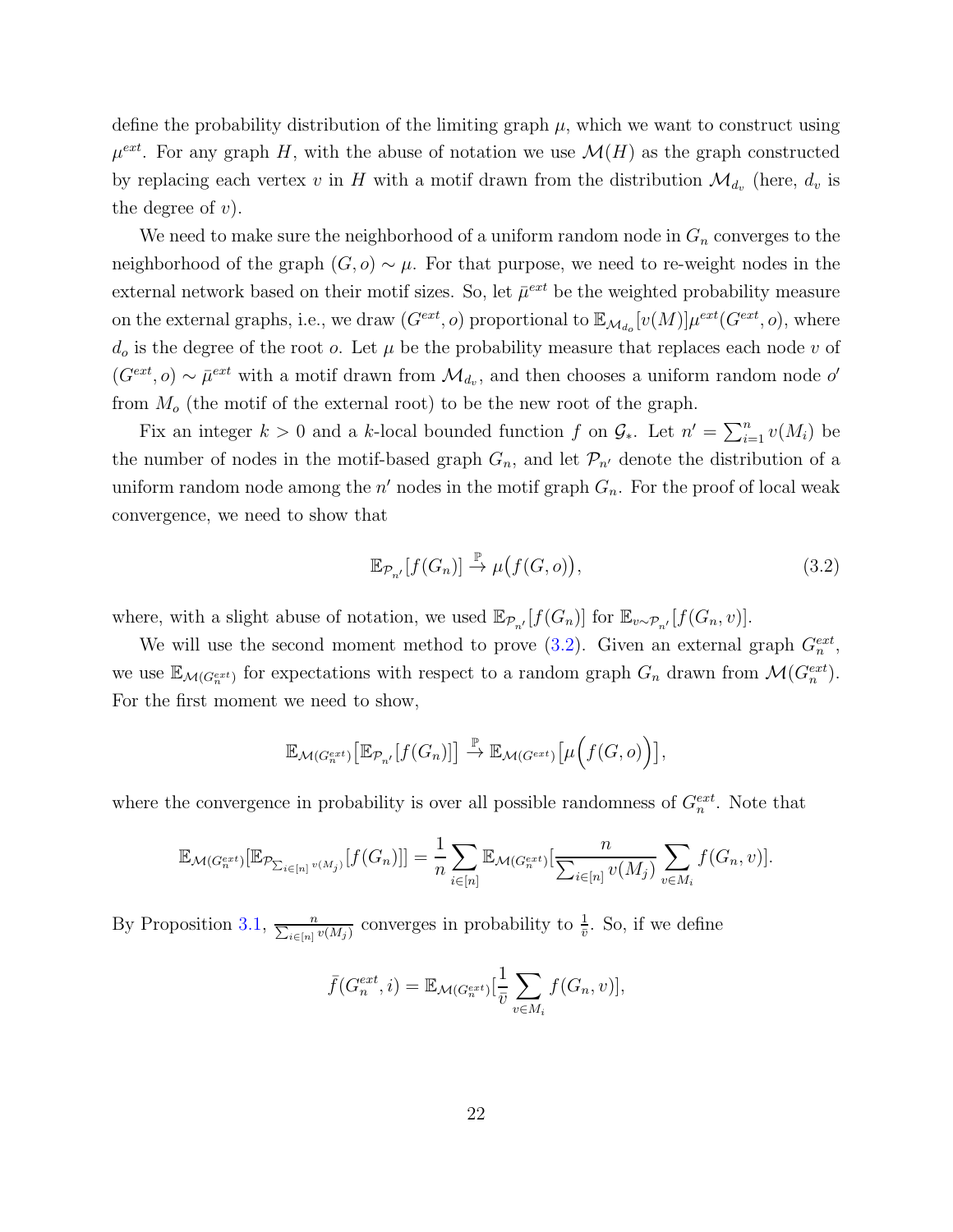define the probability distribution of the limiting graph  $\mu$ , which we want to construct using  $\mu^{ext}$ . For any graph H, with the abuse of notation we use  $\mathcal{M}(H)$  as the graph constructed by replacing each vertex v in H with a motif drawn from the distribution  $\mathcal{M}_{d_v}$  (here,  $d_v$  is the degree of  $v$ ).

We need to make sure the neighborhood of a uniform random node in  $G_n$  converges to the neighborhood of the graph  $(G, o) \sim \mu$ . For that purpose, we need to re-weight nodes in the external network based on their motif sizes. So, let  $\bar{\mu}^{ext}$  be the weighted probability measure on the external graphs, i.e., we draw  $(G^{ext}, o)$  proportional to  $\mathbb{E}_{\mathcal{M}_{d_o}}[v(M)]\mu^{ext}(G^{ext}, o)$ , where  $d_o$  is the degree of the root  $o$ . Let  $\mu$  be the probability measure that replaces each node  $v$  of  $(G^{ext}, o) \sim \bar{\mu}^{ext}$  with a motif drawn from  $\mathcal{M}_{d_v}$ , and then chooses a uniform random node o' from  $M<sub>o</sub>$  (the motif of the external root) to be the new root of the graph.

Fix an integer  $k > 0$  and a k-local bounded function f on  $\mathcal{G}_{*}$ . Let  $n' = \sum_{i=1}^{n} v(M_i)$  be the number of nodes in the motif-based graph  $G_n$ , and let  $\mathcal{P}_{n'}$  denote the distribution of a uniform random node among the  $n'$  nodes in the motif graph  $G_n$ . For the proof of local weak convergence, we need to show that

<span id="page-22-0"></span>
$$
\mathbb{E}_{\mathcal{P}_{n'}}[f(G_n)] \stackrel{\mathbb{P}}{\to} \mu\big(f(G,o)\big),\tag{3.2}
$$

where, with a slight abuse of notation, we used  $\mathbb{E}_{\mathcal{P}_{n'}}[f(G_n)]$  for  $\mathbb{E}_{v \sim \mathcal{P}_{n'}}[f(G_n,v)]$ .

We will use the second moment method to prove  $(3.2)$ . Given an external graph  $G_n^{ext}$ , we use  $\mathbb{E}_{\mathcal{M}(G_n^{ext})}$  for expectations with respect to a random graph  $G_n$  drawn from  $\mathcal{M}(G_n^{ext})$ . For the first moment we need to show,

$$
\mathbb{E}_{\mathcal{M}(G_n^{ext})}\big[\mathbb{E}_{\mathcal{P}_{n'}}[f(G_n)]\big] \xrightarrow{\mathbb{P}} \mathbb{E}_{\mathcal{M}(G^{ext})}\big[\mu\Big(f(G,o)\Big)\big],
$$

where the convergence in probability is over all possible randomness of  $G_n^{ext}$ . Note that

$$
\mathbb{E}_{\mathcal{M}(G_n^{ext})}[\mathbb{E}_{\mathcal{P}_{\sum_{i\in[n]}v(M_j)}}[f(G_n)]] = \frac{1}{n} \sum_{i\in[n]} \mathbb{E}_{\mathcal{M}(G_n^{ext})}[\frac{n}{\sum_{i\in[n]}v(M_i)}\sum_{v\in M_i}f(G_n,v)].
$$

By Proposition [3.1,](#page-21-0)  $\frac{n}{\sum_{i\in[n]}v(M_i)}$  converges in probability to  $\frac{1}{\bar{v}}$ . So, if we define

$$
\bar{f}(G_n^{ext}, i) = \mathbb{E}_{\mathcal{M}(G_n^{ext})}[\frac{1}{\bar{v}} \sum_{v \in M_i} f(G_n, v)],
$$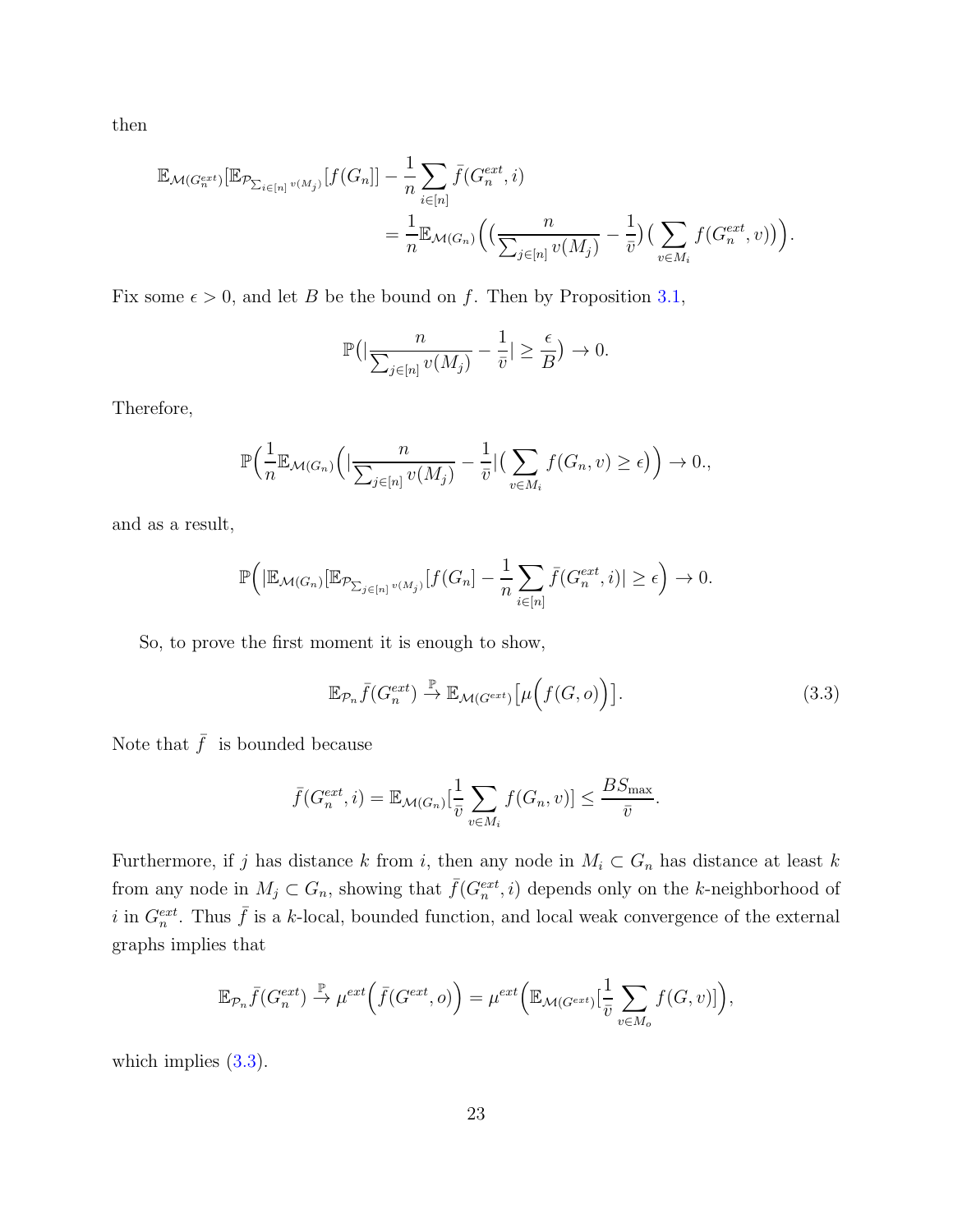then

$$
\mathbb{E}_{\mathcal{M}(G_n^{ext})}[\mathbb{E}_{\mathcal{P}_{\sum_{i\in[n]}v(M_j)}}[f(G_n)] - \frac{1}{n}\sum_{i\in[n]} \bar{f}(G_n^{ext}, i)
$$
  

$$
= \frac{1}{n} \mathbb{E}_{\mathcal{M}(G_n)}\Big(\Big(\frac{n}{\sum_{j\in[n]}v(M_j)} - \frac{1}{\bar{v}}\Big)\Big(\sum_{v\in M_i}f(G_n^{ext}, v)\Big)\Big).
$$

Fix some  $\epsilon > 0$ , and let B be the bound on f. Then by Proposition [3.1,](#page-21-0)

$$
\mathbb{P}\big(\big|\frac{n}{\sum_{j\in[n]}v(M_j)} - \frac{1}{\bar{v}}\big| \geq \frac{\epsilon}{B}\big) \to 0.
$$

Therefore,

$$
\mathbb{P}\Big(\frac{1}{n}\mathbb{E}_{\mathcal{M}(G_n)}\Big(|\frac{n}{\sum_{j\in[n]}v(M_j)}-\frac{1}{\bar{v}}|\Big(\sum_{v\in M_i}f(G_n,v)\geq\epsilon\Big)\Big)\to 0.,
$$

and as a result,

$$
\mathbb{P}\Big(\big|\mathbb{E}_{\mathcal{M}(G_n)}[\mathbb{E}_{\mathcal{P}_{\sum_{j\in[n]}v(M_j)}}[f(G_n]-\frac{1}{n}\sum_{i\in[n]}\bar{f}(G_n^{ext},i)|\geq\epsilon\Big)\to 0.
$$

So, to prove the first moment it is enough to show,

<span id="page-23-0"></span>
$$
\mathbb{E}_{\mathcal{P}_n}\bar{f}(G_n^{ext}) \stackrel{\mathbb{P}}{\to} \mathbb{E}_{\mathcal{M}(G^{ext})}\left[\mu\big(f(G,o)\big)\right].\tag{3.3}
$$

Note that  $\bar{f}$  is bounded because

$$
\bar{f}(G_n^{ext}, i) = \mathbb{E}_{\mathcal{M}(G_n)}[\frac{1}{\bar{v}} \sum_{v \in M_i} f(G_n, v)] \leq \frac{BS_{\text{max}}}{\bar{v}}.
$$

Furthermore, if j has distance k from i, then any node in  $M_i \subset G_n$  has distance at least k from any node in  $M_j \subset G_n$ , showing that  $\bar{f}(G_n^{ext}, i)$  depends only on the k-neighborhood of i in  $G_n^{ext}$ . Thus  $\bar{f}$  is a k-local, bounded function, and local weak convergence of the external graphs implies that

$$
\mathbb{E}_{\mathcal{P}_n}\bar{f}(G_n^{ext}) \stackrel{\mathbb{P}}{\to} \mu^{ext}\Big(\bar{f}(G^{ext}, o)\Big) = \mu^{ext}\Big(\mathbb{E}_{\mathcal{M}(G^{ext})}[\frac{1}{\bar{v}}\sum_{v \in M_o}f(G, v)]\Big),
$$

which implies  $(3.3)$ .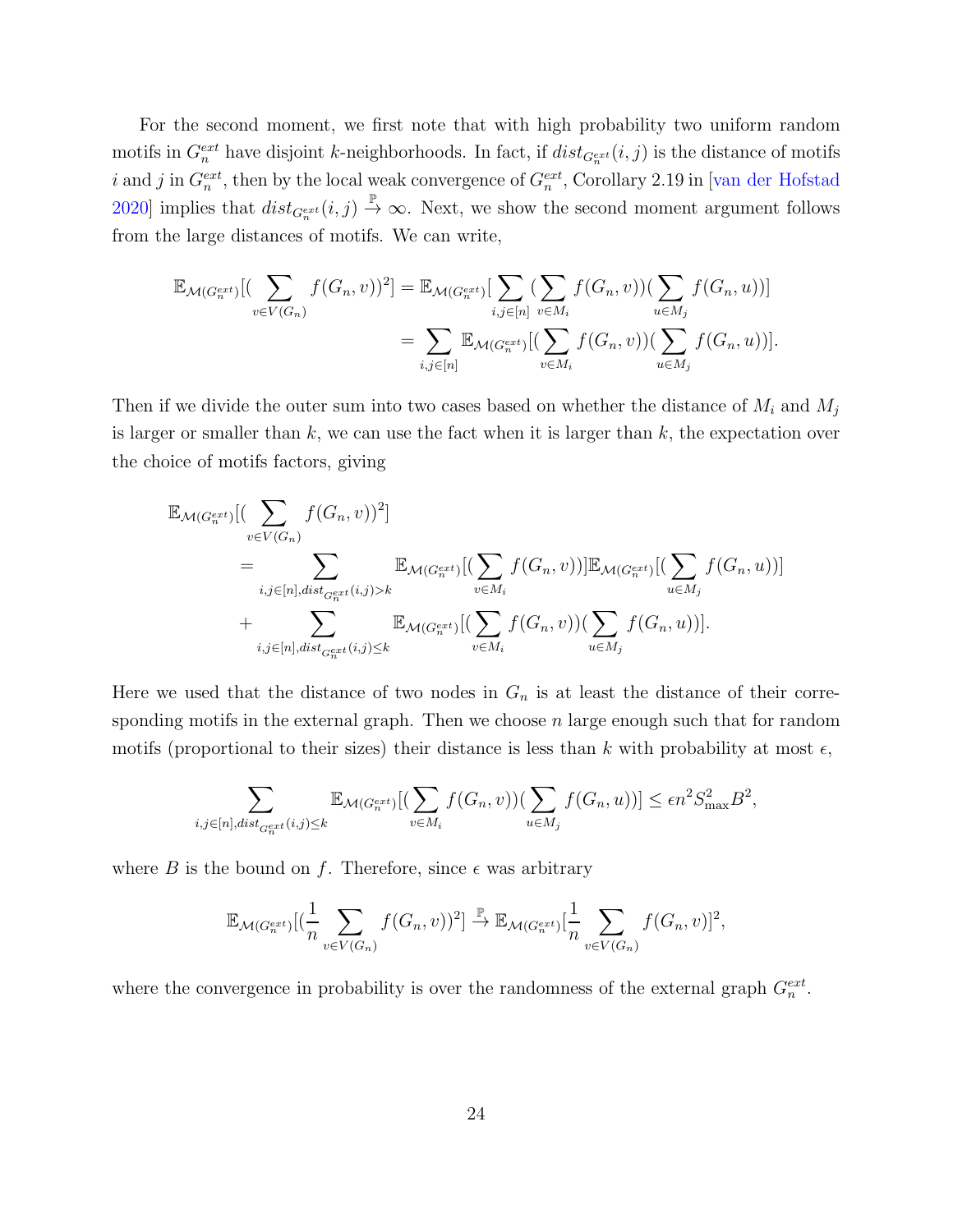For the second moment, we first note that with high probability two uniform random motifs in  $G_n^{ext}$  have disjoint k-neighborhoods. In fact, if  $dist_{G_n^{ext}}(i, j)$  is the distance of motifs *i* and *j* in  $G_n^{ext}$ , then by the local weak convergence of  $G_n^{ext}$ , Corollary 2.19 in [\[van der Hofstad](#page-35-4) [2020\]](#page-35-4) implies that  $dist_{G_n^{ext}}(i,j) \stackrel{\mathbb{P}}{\rightarrow} \infty$ . Next, we show the second moment argument follows from the large distances of motifs. We can write,

$$
\mathbb{E}_{\mathcal{M}(G_n^{ext})}[(\sum_{v \in V(G_n)} f(G_n, v))^2] = \mathbb{E}_{\mathcal{M}(G_n^{ext})}[\sum_{i,j \in [n]} (\sum_{v \in M_i} f(G_n, v))(\sum_{u \in M_j} f(G_n, u))]
$$

$$
= \sum_{i,j \in [n]} \mathbb{E}_{\mathcal{M}(G_n^{ext})}[(\sum_{v \in M_i} f(G_n, v))(\sum_{u \in M_j} f(G_n, u))].
$$

Then if we divide the outer sum into two cases based on whether the distance of  $M_i$  and  $M_j$ is larger or smaller than  $k$ , we can use the fact when it is larger than  $k$ , the expectation over the choice of motifs factors, giving

$$
\mathbb{E}_{\mathcal{M}(G_n^{ext})}[(\sum_{v \in V(G_n)} f(G_n, v))^2]
$$
\n
$$
= \sum_{i,j \in [n], dist_{G_n^{ext}}(i,j) > k} \mathbb{E}_{\mathcal{M}(G_n^{ext})}[(\sum_{v \in M_i} f(G_n, v))] \mathbb{E}_{\mathcal{M}(G_n^{ext})}[(\sum_{u \in M_j} f(G_n, u))]
$$
\n
$$
+ \sum_{i,j \in [n], dist_{G_n^{ext}}(i,j) \le k} \mathbb{E}_{\mathcal{M}(G_n^{ext})}[(\sum_{v \in M_i} f(G_n, v))(\sum_{u \in M_j} f(G_n, u))].
$$

Here we used that the distance of two nodes in  $G_n$  is at least the distance of their corresponding motifs in the external graph. Then we choose  $n$  large enough such that for random motifs (proportional to their sizes) their distance is less than k with probability at most  $\epsilon$ ,

$$
\sum_{i,j\in[n], dist_{G_n^{ext}}(i,j)\leq k} \mathbb{E}_{\mathcal{M}(G_n^{ext})}[(\sum_{v\in M_i} f(G_n,v))(\sum_{u\in M_j} f(G_n,u))] \leq \epsilon n^2 S_{\text{max}}^2 B^2,
$$

where B is the bound on f. Therefore, since  $\epsilon$  was arbitrary

$$
\mathbb{E}_{\mathcal{M}(G_n^{ext})}[(\frac{1}{n}\sum_{v\in V(G_n)}f(G_n,v))^2] \xrightarrow{\mathbb{P}} \mathbb{E}_{\mathcal{M}(G_n^{ext})}[\frac{1}{n}\sum_{v\in V(G_n)}f(G_n,v)]^2,
$$

where the convergence in probability is over the randomness of the external graph  $G_n^{ext}$ .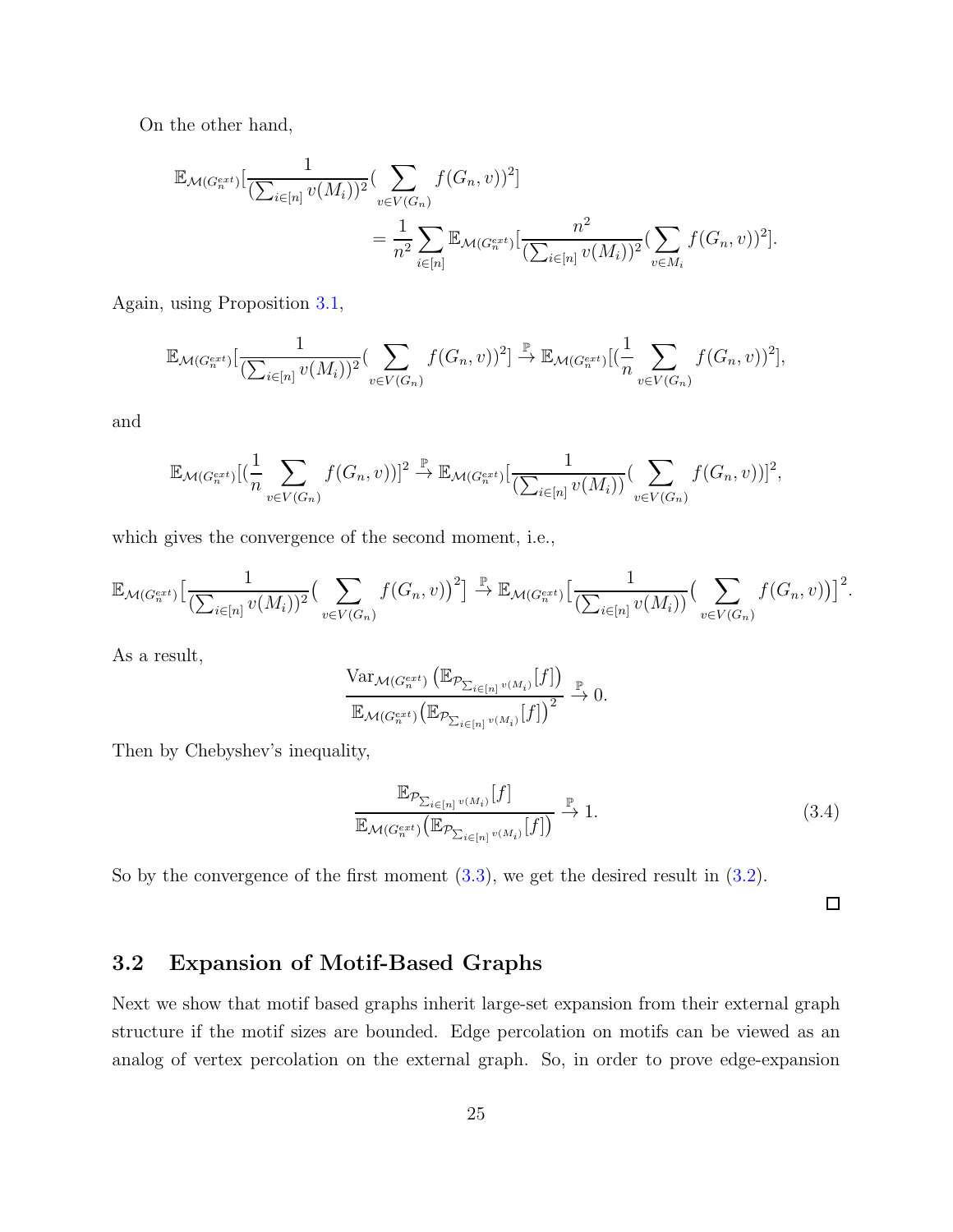On the other hand,

$$
\mathbb{E}_{\mathcal{M}(G_n^{ext})}[\frac{1}{(\sum_{i\in[n]} v(M_i))^2} (\sum_{v\in V(G_n)} f(G_n, v))^2]
$$
  
= 
$$
\frac{1}{n^2} \sum_{i\in[n]} \mathbb{E}_{\mathcal{M}(G_n^{ext})}[\frac{n^2}{(\sum_{i\in[n]} v(M_i))^2} (\sum_{v\in M_i} f(G_n, v))^2].
$$

Again, using Proposition [3.1,](#page-21-0)

$$
\mathbb{E}_{\mathcal{M}(G_n^{ext})}[\frac{1}{(\sum_{i\in[n]} v(M_i))^2}(\sum_{v\in V(G_n)} f(G_n,v))^2] \stackrel{\mathbb{P}}{\to} \mathbb{E}_{\mathcal{M}(G_n^{ext})}[(\frac{1}{n}\sum_{v\in V(G_n)} f(G_n,v))^2],
$$

and

$$
\mathbb{E}_{\mathcal{M}(G_n^{ext})}[(\frac{1}{n}\sum_{v\in V(G_n)}f(G_n,v))]^2 \xrightarrow{\mathbb{P}} \mathbb{E}_{\mathcal{M}(G_n^{ext})}[\frac{1}{(\sum_{i\in[n]}v(M_i))}(\sum_{v\in V(G_n)}f(G_n,v))]^2,
$$

which gives the convergence of the second moment, i.e.,

$$
\mathbb{E}_{\mathcal{M}(G_n^{ext})}\Big[\frac{1}{(\sum_{i\in[n]}v(M_i))^2}\big(\sum_{v\in V(G_n)}f(G_n,v)\big)^2\Big] \stackrel{\mathbb{P}}{\to} \mathbb{E}_{\mathcal{M}(G_n^{ext})}\Big[\frac{1}{(\sum_{i\in[n]}v(M_i))}\big(\sum_{v\in V(G_n)}f(G_n,v)\big)\Big]^2.
$$

As a result,

$$
\frac{\text{Var}_{\mathcal{M}(G_n^{ext})}\left(\mathbb{E}_{\mathcal{P}_{\sum_{i\in[n]}v(M_i)}}[f]\right)}{\mathbb{E}_{\mathcal{M}(G_n^{ext})}\left(\mathbb{E}_{\mathcal{P}_{\sum_{i\in[n]}v(M_i)}}[f]\right)^2} \xrightarrow{\mathbb{P}} 0.
$$

Then by Chebyshev's inequality,

$$
\frac{\mathbb{E}_{\mathcal{P}_{\sum_{i\in[n]}v(M_i)}}[f]}{\mathbb{E}_{\mathcal{M}(G_n^{ext})}(\mathbb{E}_{\mathcal{P}_{\sum_{i\in[n]}v(M_i)}}[f])} \xrightarrow{\mathbb{P}} 1.
$$
\n(3.4)

So by the convergence of the first moment  $(3.3)$ , we get the desired result in  $(3.2)$ .

 $\Box$ 

### 3.2 Expansion of Motif-Based Graphs

Next we show that motif based graphs inherit large-set expansion from their external graph structure if the motif sizes are bounded. Edge percolation on motifs can be viewed as an analog of vertex percolation on the external graph. So, in order to prove edge-expansion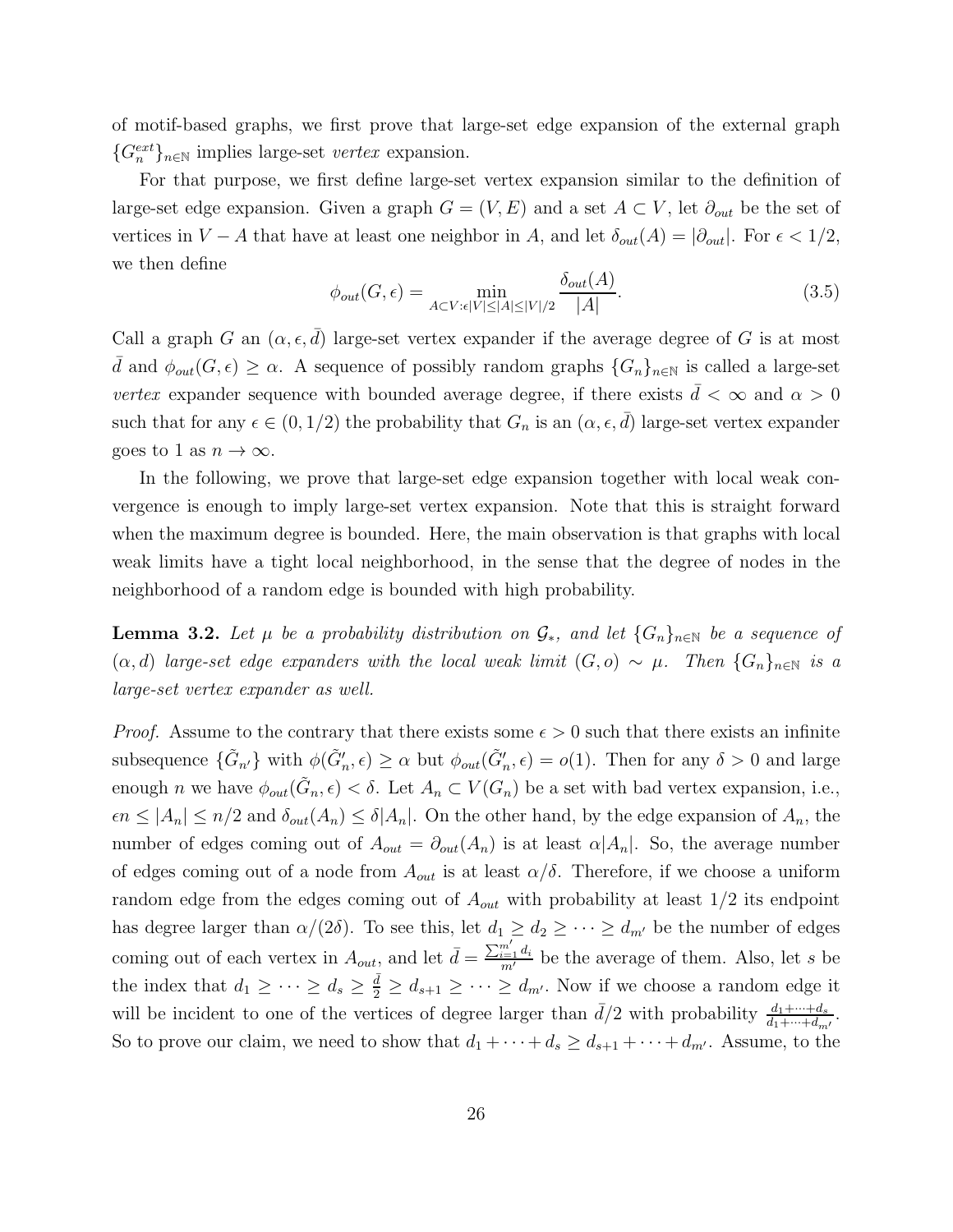of motif-based graphs, we first prove that large-set edge expansion of the external graph  ${G_n^{ext}}_{n \in \mathbb{N}}$  implies large-set vertex expansion.

For that purpose, we first define large-set vertex expansion similar to the definition of large-set edge expansion. Given a graph  $G = (V, E)$  and a set  $A \subset V$ , let  $\partial_{out}$  be the set of vertices in  $V - A$  that have at least one neighbor in A, and let  $\delta_{out}(A) = |\partial_{out}|$ . For  $\epsilon < 1/2$ , we then define

$$
\phi_{out}(G,\epsilon) = \min_{A \subset V: \epsilon|V| \le |A| \le |V|/2} \frac{\delta_{out}(A)}{|A|}.
$$
\n(3.5)

Call a graph G an  $(\alpha, \epsilon, \bar{d})$  large-set vertex expander if the average degree of G is at most  $\bar{d}$  and  $\phi_{out}(G, \epsilon) \geq \alpha$ . A sequence of possibly random graphs  $\{G_n\}_{n\in\mathbb{N}}$  is called a large-set vertex expander sequence with bounded average degree, if there exists  $\bar{d} < \infty$  and  $\alpha > 0$ such that for any  $\epsilon \in (0, 1/2)$  the probability that  $G_n$  is an  $(\alpha, \epsilon, \bar{d})$  large-set vertex expander goes to 1 as  $n \to \infty$ .

In the following, we prove that large-set edge expansion together with local weak convergence is enough to imply large-set vertex expansion. Note that this is straight forward when the maximum degree is bounded. Here, the main observation is that graphs with local weak limits have a tight local neighborhood, in the sense that the degree of nodes in the neighborhood of a random edge is bounded with high probability.

<span id="page-26-0"></span>**Lemma 3.2.** Let  $\mu$  be a probability distribution on  $\mathcal{G}_*$ , and let  $\{G_n\}_{n\in\mathbb{N}}$  be a sequence of  $(\alpha, d)$  large-set edge expanders with the local weak limit  $(G, o) \sim \mu$ . Then  $\{G_n\}_{n \in \mathbb{N}}$  is a large-set vertex expander as well.

*Proof.* Assume to the contrary that there exists some  $\epsilon > 0$  such that there exists an infinite subsequence  $\{\tilde{G}_{n'}\}$  with  $\phi(\tilde{G}'_n, \epsilon) \ge \alpha$  but  $\phi_{out}(\tilde{G}'_n, \epsilon) = o(1)$ . Then for any  $\delta > 0$  and large enough *n* we have  $\phi_{out}(\tilde{G}_n, \epsilon) < \delta$ . Let  $A_n \subset V(G_n)$  be a set with bad vertex expansion, i.e.,  $\epsilon n \leq |A_n| \leq n/2$  and  $\delta_{out}(A_n) \leq \delta |A_n|$ . On the other hand, by the edge expansion of  $A_n$ , the number of edges coming out of  $A_{out} = \partial_{out}(A_n)$  is at least  $\alpha |A_n|$ . So, the average number of edges coming out of a node from  $A_{out}$  is at least  $\alpha/\delta$ . Therefore, if we choose a uniform random edge from the edges coming out of  $A_{out}$  with probability at least  $1/2$  its endpoint has degree larger than  $\alpha/(2\delta)$ . To see this, let  $d_1 \geq d_2 \geq \cdots \geq d_{m'}$  be the number of edges coming out of each vertex in  $A_{out}$ , and let  $\bar{d} = \frac{\sum_{i=1}^{m'} d_i}{m'}$  be the average of them. Also, let s be the index that  $d_1 \geq \cdots \geq d_s \geq \frac{\bar{d}}{2} \geq d_{s+1} \geq \cdots \geq d_{m'}$ . Now if we choose a random edge it will be incident to one of the vertices of degree larger than  $\bar{d}/2$  with probability  $\frac{d_1+\cdots+d_s}{d_1+\cdots+d_{m'}}$ . So to prove our claim, we need to show that  $d_1 + \cdots + d_s \geq d_{s+1} + \cdots + d_{m'}$ . Assume, to the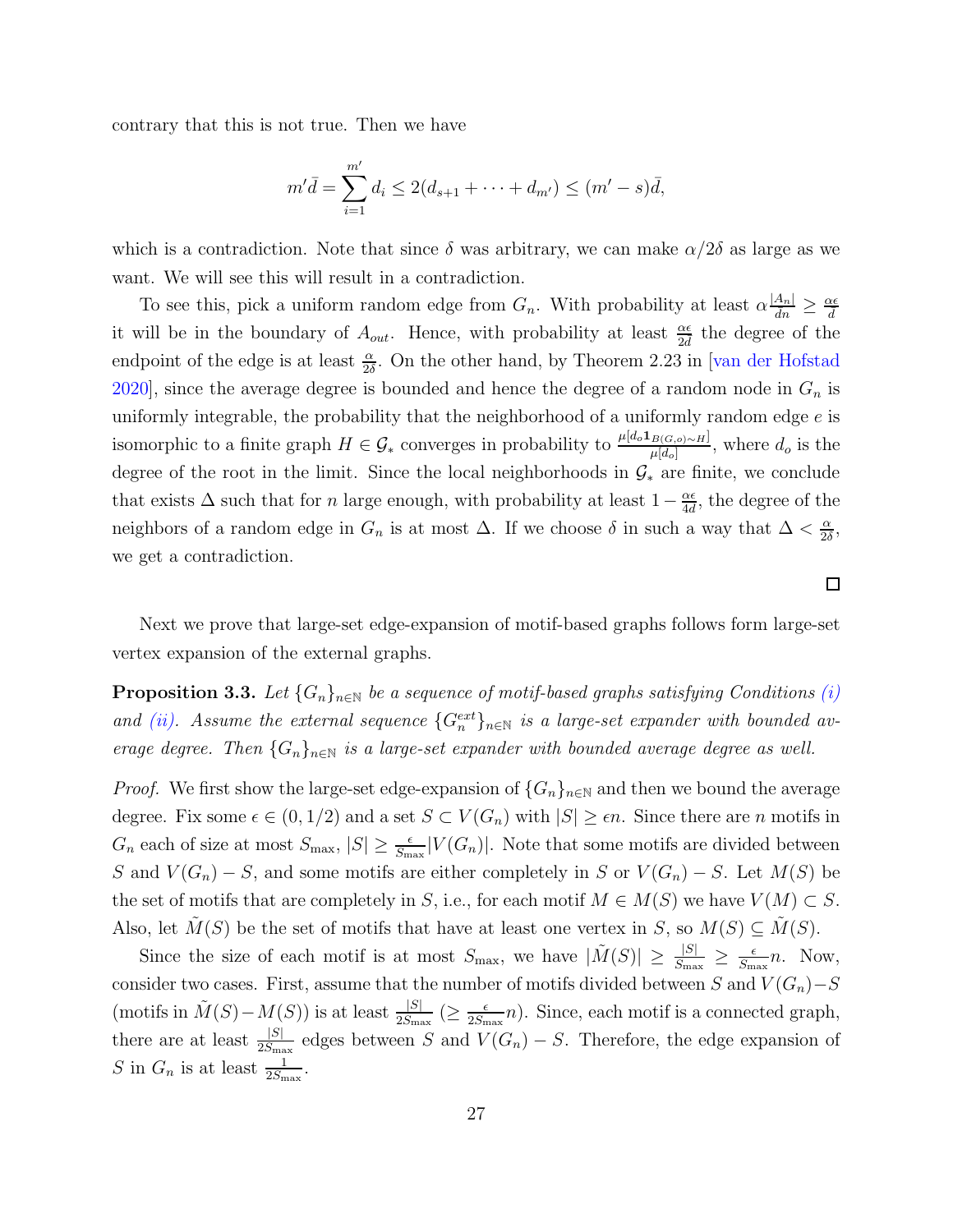contrary that this is not true. Then we have

$$
m'\bar{d} = \sum_{i=1}^{m'} d_i \le 2(d_{s+1} + \dots + d_{m'}) \le (m' - s)\bar{d},
$$

which is a contradiction. Note that since  $\delta$  was arbitrary, we can make  $\alpha/2\delta$  as large as we want. We will see this will result in a contradiction.

To see this, pick a uniform random edge from  $G_n$ . With probability at least  $\alpha \frac{|A_n|}{d n} \ge \frac{\alpha \epsilon}{d}$ it will be in the boundary of  $A_{out}$ . Hence, with probability at least  $\frac{\alpha\epsilon}{2d}$  the degree of the endpoint of the edge is at least  $\frac{\alpha}{2\delta}$ . On the other hand, by Theorem 2.23 in [\[van der Hofstad](#page-35-4)] [2020\]](#page-35-4), since the average degree is bounded and hence the degree of a random node in  $G_n$  is uniformly integrable, the probability that the neighborhood of a uniformly random edge  $e$  is isomorphic to a finite graph  $H \in \mathcal{G}_*$  converges in probability to  $\frac{\mu[d_o\mathbf{1}_{B(G,o)\sim H}]}{\mu[d_o]}$ , where  $d_o$  is the degree of the root in the limit. Since the local neighborhoods in  $\mathcal{G}_*$  are finite, we conclude that exists  $\Delta$  such that for n large enough, with probability at least  $1-\frac{\alpha\epsilon}{4d}$ , the degree of the neighbors of a random edge in  $G_n$  is at most  $\Delta$ . If we choose  $\delta$  in such a way that  $\Delta < \frac{\alpha}{2\delta}$  $\frac{\alpha}{2\delta}$ we get a contradiction.

<span id="page-27-0"></span>Next we prove that large-set edge-expansion of motif-based graphs follows form large-set vertex expansion of the external graphs.

**Proposition 3.3.** Let  $\{G_n\}_{n\in\mathbb{N}}$  be a sequence of motif-based graphs satisfying Conditions [\(i\)](#page-9-1) and [\(ii\).](#page-9-2) Assume the external sequence  $\{G_n^{ext}\}_{n\in\mathbb{N}}$  is a large-set expander with bounded average degree. Then  $\{G_n\}_{n\in\mathbb{N}}$  is a large-set expander with bounded average degree as well.

*Proof.* We first show the large-set edge-expansion of  $\{G_n\}_{n\in\mathbb{N}}$  and then we bound the average degree. Fix some  $\epsilon \in (0, 1/2)$  and a set  $S \subset V(G_n)$  with  $|S| \geq \epsilon n$ . Since there are n motifs in  $G_n$  each of size at most  $S_{\text{max}}$ ,  $|S| \ge \frac{\epsilon}{S_{\text{max}}} |V(G_n)|$ . Note that some motifs are divided between S and  $V(G_n) - S$ , and some motifs are either completely in S or  $V(G_n) - S$ . Let  $M(S)$  be the set of motifs that are completely in S, i.e., for each motif  $M \in M(S)$  we have  $V(M) \subset S$ . Also, let  $M(S)$  be the set of motifs that have at least one vertex in S, so  $M(S) \subseteq \tilde{M}(S)$ .

Since the size of each motif is at most  $S_{\text{max}}$ , we have  $|\tilde{M}(S)| \geq \frac{|S|}{S_{\text{max}}} \geq \frac{\epsilon}{S_{\text{max}}}$  $\frac{\epsilon}{S_{\text{max}}}n$ . Now, consider two cases. First, assume that the number of motifs divided between S and  $V(G_n) - S$ (motifs in  $\tilde{M}(S) - M(S)$ ) is at least  $\frac{|S|}{2S_{\text{max}}}$  ( $\geq \frac{\epsilon}{2S_{\text{max}}}$  $\frac{\epsilon}{2S_{\text{max}}}n$ ). Since, each motif is a connected graph, there are at least  $\frac{|S|}{2S_{\text{max}}}$  edges between S and  $V(G_n) - S$ . Therefore, the edge expansion of S in  $G_n$  is at least  $\frac{1}{2S_{\text{max}}}$ .

 $\Box$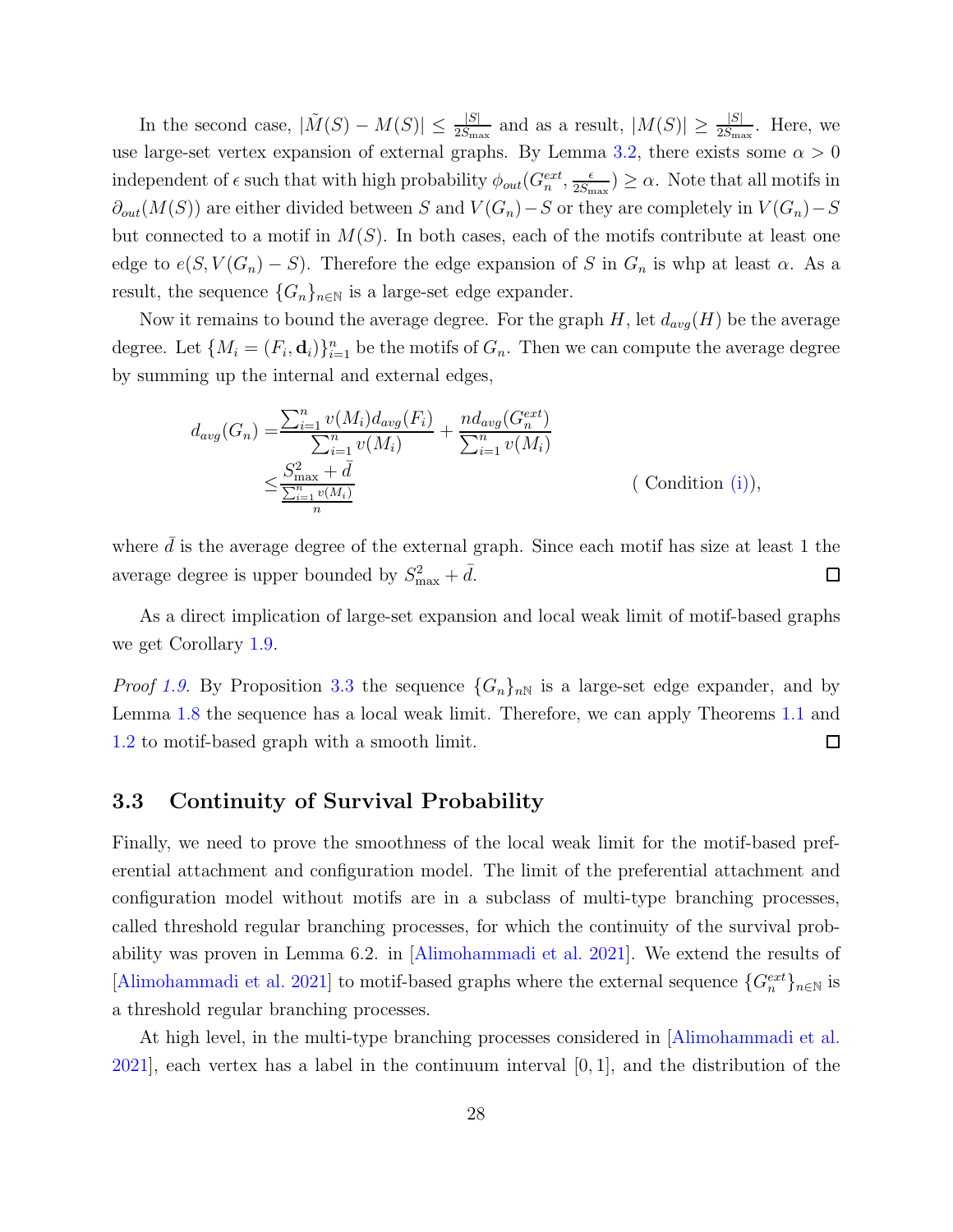In the second case,  $|\tilde{M}(S) - M(S)| \leq \frac{|S|}{2S_{\text{max}}}$  and as a result,  $|M(S)| \geq \frac{|S|}{2S_{\text{max}}}$ . Here, we use large-set vertex expansion of external graphs. By Lemma [3.2,](#page-26-0) there exists some  $\alpha > 0$ independent of  $\epsilon$  such that with high probability  $\phi_{out}(G_n^{ext}, \frac{\epsilon}{2S_n})$  $\frac{\epsilon}{2S_{\text{max}}}\geq \alpha$ . Note that all motifs in  $∂<sub>out</sub>(M(S))$  are either divided between S and  $V(G_n)-S$  or they are completely in  $V(G_n)-S$ but connected to a motif in  $M(S)$ . In both cases, each of the motifs contribute at least one edge to  $e(S, V(G_n) - S)$ . Therefore the edge expansion of S in  $G_n$  is whp at least  $\alpha$ . As a result, the sequence  $\{G_n\}_{n\in\mathbb{N}}$  is a large-set edge expander.

Now it remains to bound the average degree. For the graph H, let  $d_{avg}(H)$  be the average degree. Let  $\{M_i = (F_i, \mathbf{d}_i)\}_{i=1}^n$  be the motifs of  $G_n$ . Then we can compute the average degree by summing up the internal and external edges,

$$
d_{avg}(G_n) = \frac{\sum_{i=1}^{n} v(M_i) d_{avg}(F_i)}{\sum_{i=1}^{n} v(M_i)} + \frac{nd_{avg}(G_n^{ext})}{\sum_{i=1}^{n} v(M_i)}
$$
  

$$
\leq \frac{S_{\max}^2 + \bar{d}}{\frac{\sum_{i=1}^{n} v(M_i)}{n}}
$$
 (Condition (i)),

where  $d$  is the average degree of the external graph. Since each motif has size at least 1 the average degree is upper bounded by  $S_{\text{max}}^2 + \bar{d}$ .  $\Box$ 

As a direct implication of large-set expansion and local weak limit of motif-based graphs we get Corollary [1.9.](#page-9-3)

*Proof [1.9.](#page-9-3)* By Proposition [3.3](#page-27-0) the sequence  $\{G_n\}_{n\mathbb{N}}$  is a large-set edge expander, and by Lemma [1.8](#page-9-4) the sequence has a local weak limit. Therefore, we can apply Theorems [1.1](#page-3-0) and [1.2](#page-4-0) to motif-based graph with a smooth limit.  $\Box$ 

#### 3.3 Continuity of Survival Probability

Finally, we need to prove the smoothness of the local weak limit for the motif-based preferential attachment and configuration model. The limit of the preferential attachment and configuration model without motifs are in a subclass of multi-type branching processes, called threshold regular branching processes, for which the continuity of the survival probability was proven in Lemma 6.2. in [\[Alimohammadi et al. 2021](#page-31-2)]. We extend the results of [\[Alimohammadi et al. 2021\]](#page-31-2) to motif-based graphs where the external sequence  $\{G_n^{ext}\}_{n\in\mathbb{N}}$  is a threshold regular branching processes.

At high level, in the multi-type branching processes considered in [\[Alimohammadi et al.](#page-31-2)  $2021$ , each vertex has a label in the continuum interval  $[0, 1]$ , and the distribution of the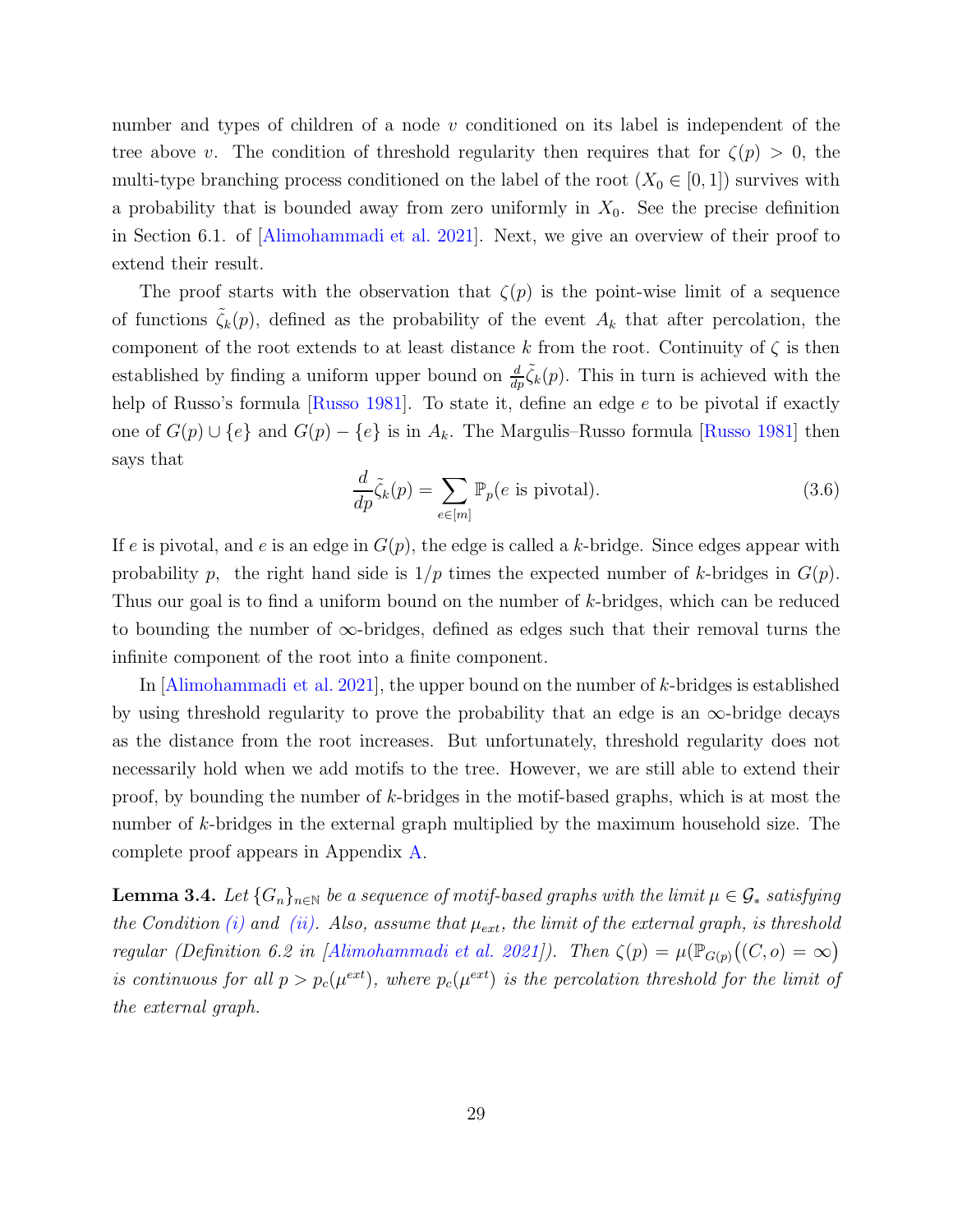number and types of children of a node  $v$  conditioned on its label is independent of the tree above v. The condition of threshold regularity then requires that for  $\zeta(p) > 0$ , the multi-type branching process conditioned on the label of the root  $(X_0 \in [0, 1])$  survives with a probability that is bounded away from zero uniformly in  $X_0$ . See the precise definition in Section 6.1. of [\[Alimohammadi et al. 2021\]](#page-31-2). Next, we give an overview of their proof to extend their result.

The proof starts with the observation that  $\zeta(p)$  is the point-wise limit of a sequence of functions  $\tilde{\zeta}_k(p)$ , defined as the probability of the event  $A_k$  that after percolation, the component of the root extends to at least distance k from the root. Continuity of  $\zeta$  is then established by finding a uniform upper bound on  $\frac{d}{dp}\tilde{\zeta}_k(p)$ . This in turn is achieved with the help of Russo's formula [\[Russo 1981\]](#page-34-11). To state it, define an edge e to be pivotal if exactly one of  $G(p) \cup \{e\}$  and  $G(p) - \{e\}$  is in  $A_k$ . The Margulis–Russo formula [\[Russo 1981](#page-34-11)] then says that

<span id="page-29-1"></span>
$$
\frac{d}{dp}\tilde{\zeta}_k(p) = \sum_{e \in [m]} \mathbb{P}_p(e \text{ is pivotal}).\tag{3.6}
$$

If e is pivotal, and e is an edge in  $G(p)$ , the edge is called a k-bridge. Since edges appear with probability p, the right hand side is  $1/p$  times the expected number of k-bridges in  $G(p)$ . Thus our goal is to find a uniform bound on the number of k-bridges, which can be reduced to bounding the number of  $\infty$ -bridges, defined as edges such that their removal turns the infinite component of the root into a finite component.

In [\[Alimohammadi et al. 2021\]](#page-31-2), the upper bound on the number of k-bridges is established by using threshold regularity to prove the probability that an edge is an  $\infty$ -bridge decays as the distance from the root increases. But unfortunately, threshold regularity does not necessarily hold when we add motifs to the tree. However, we are still able to extend their proof, by bounding the number of  $k$ -bridges in the motif-based graphs, which is at most the number of k-bridges in the external graph multiplied by the maximum household size. The complete proof appears in Appendix [A.](#page-36-0)

<span id="page-29-0"></span>**Lemma 3.4.** Let  $\{G_n\}_{n\in\mathbb{N}}$  be a sequence of motif-based graphs with the limit  $\mu \in \mathcal{G}_*$  satisfying the Condition [\(i\)](#page-9-1) and [\(ii\).](#page-9-2) Also, assume that  $\mu_{ext}$ , the limit of the external graph, is threshold regular (Definition 6.2 in [\[Alimohammadi et al. 2021](#page-31-2)]). Then  $\zeta(p) = \mu(\mathbb{P}_{G(p)}((C,o) = \infty)$ is continuous for all  $p > p_c(\mu^{ext})$ , where  $p_c(\mu^{ext})$  is the percolation threshold for the limit of the external graph.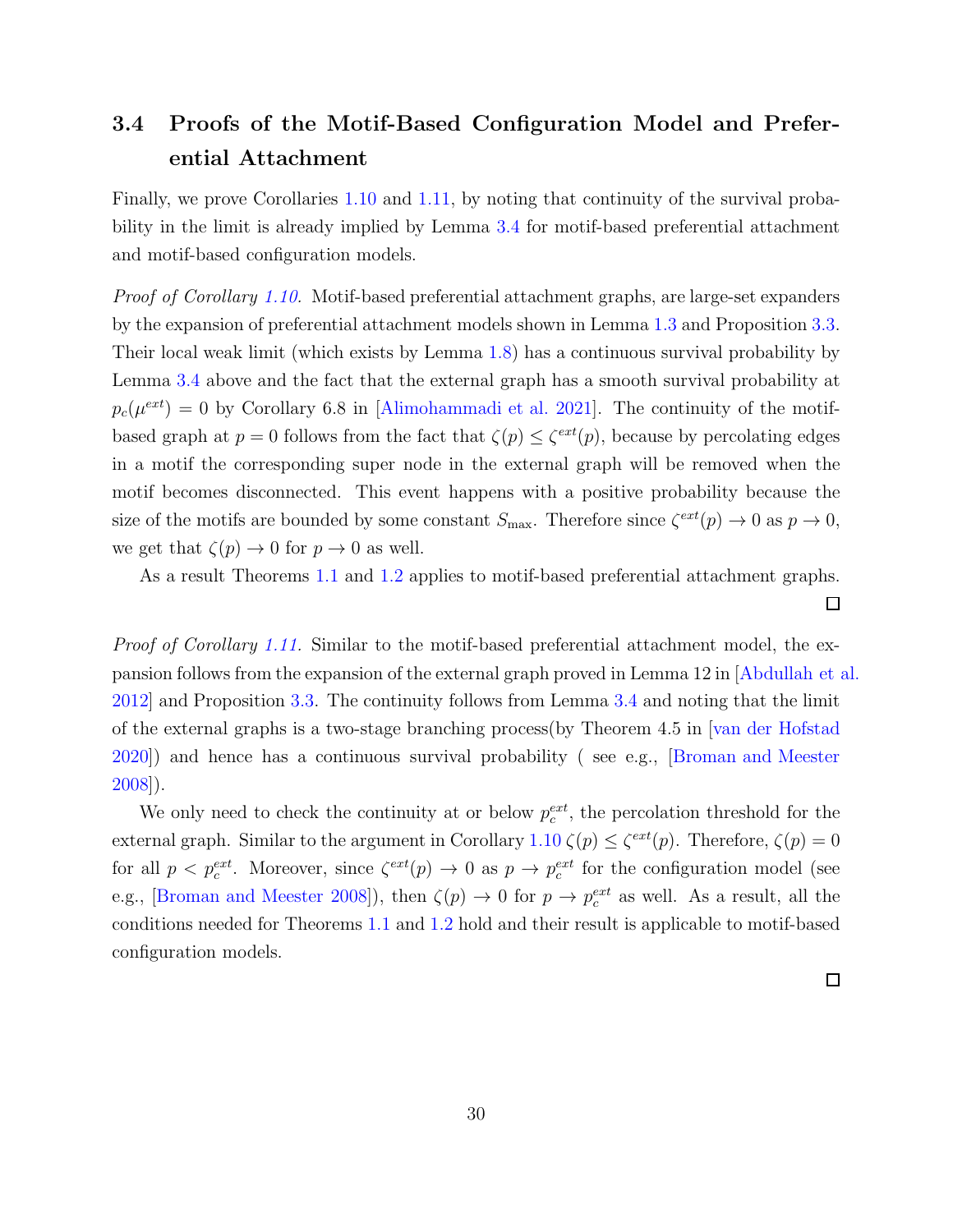## <span id="page-30-0"></span>3.4 Proofs of the Motif-Based Configuration Model and Preferential Attachment

Finally, we prove Corollaries [1.10](#page-9-0) and [1.11,](#page-9-5) by noting that continuity of the survival probability in the limit is already implied by Lemma [3.4](#page-29-0) for motif-based preferential attachment and motif-based configuration models.

Proof of Corollary [1.10.](#page-9-0) Motif-based preferential attachment graphs, are large-set expanders by the expansion of preferential attachment models shown in Lemma [1.3](#page-6-1) and Proposition [3.3.](#page-27-0) Their local weak limit (which exists by Lemma [1.8\)](#page-9-4) has a continuous survival probability by Lemma [3.4](#page-29-0) above and the fact that the external graph has a smooth survival probability at  $p_c(\mu^{ext}) = 0$  by Corollary 6.8 in [\[Alimohammadi et al. 2021\]](#page-31-2). The continuity of the motifbased graph at  $p = 0$  follows from the fact that  $\zeta(p) \leq \zeta^{ext}(p)$ , because by percolating edges in a motif the corresponding super node in the external graph will be removed when the motif becomes disconnected. This event happens with a positive probability because the size of the motifs are bounded by some constant  $S_{\text{max}}$ . Therefore since  $\zeta^{ext}(p) \to 0$  as  $p \to 0$ , we get that  $\zeta(p) \to 0$  for  $p \to 0$  as well.

As a result Theorems [1.1](#page-3-0) and [1.2](#page-4-0) applies to motif-based preferential attachment graphs.

Proof of Corollary [1.11.](#page-9-5) Similar to the motif-based preferential attachment model, the expansion follows from the expansion of the external graph proved in Lemma 12 in [\[Abdullah et al.](#page-31-3) [2012\]](#page-31-3) and Proposition [3.3.](#page-27-0) The continuity follows from Lemma [3.4](#page-29-0) and noting that the limit of the external graphs is a two-stage branching process(by Theorem 4.5 in [\[van der Hofstad](#page-35-4) [2020\]](#page-35-4)) and hence has a continuous survival probability ( see e.g., [\[Broman and Meester](#page-33-7) [2008\]](#page-33-7)).

We only need to check the continuity at or below  $p_c^{ext}$ , the percolation threshold for the external graph. Similar to the argument in Corollary  $1.10 \zeta(p) \leq \zeta^{ext}(p)$  $1.10 \zeta(p) \leq \zeta^{ext}(p)$ . Therefore,  $\zeta(p) = 0$ for all  $p < p_c^{ext}$ . Moreover, since  $\zeta^{ext}(p) \to 0$  as  $p \to p_c^{ext}$  for the configuration model (see e.g., [\[Broman and Meester 2008\]](#page-33-7)), then  $\zeta(p) \to 0$  for  $p \to p_c^{ext}$  as well. As a result, all the conditions needed for Theorems [1.1](#page-3-0) and [1.2](#page-4-0) hold and their result is applicable to motif-based configuration models.

 $\Box$ 

 $\Box$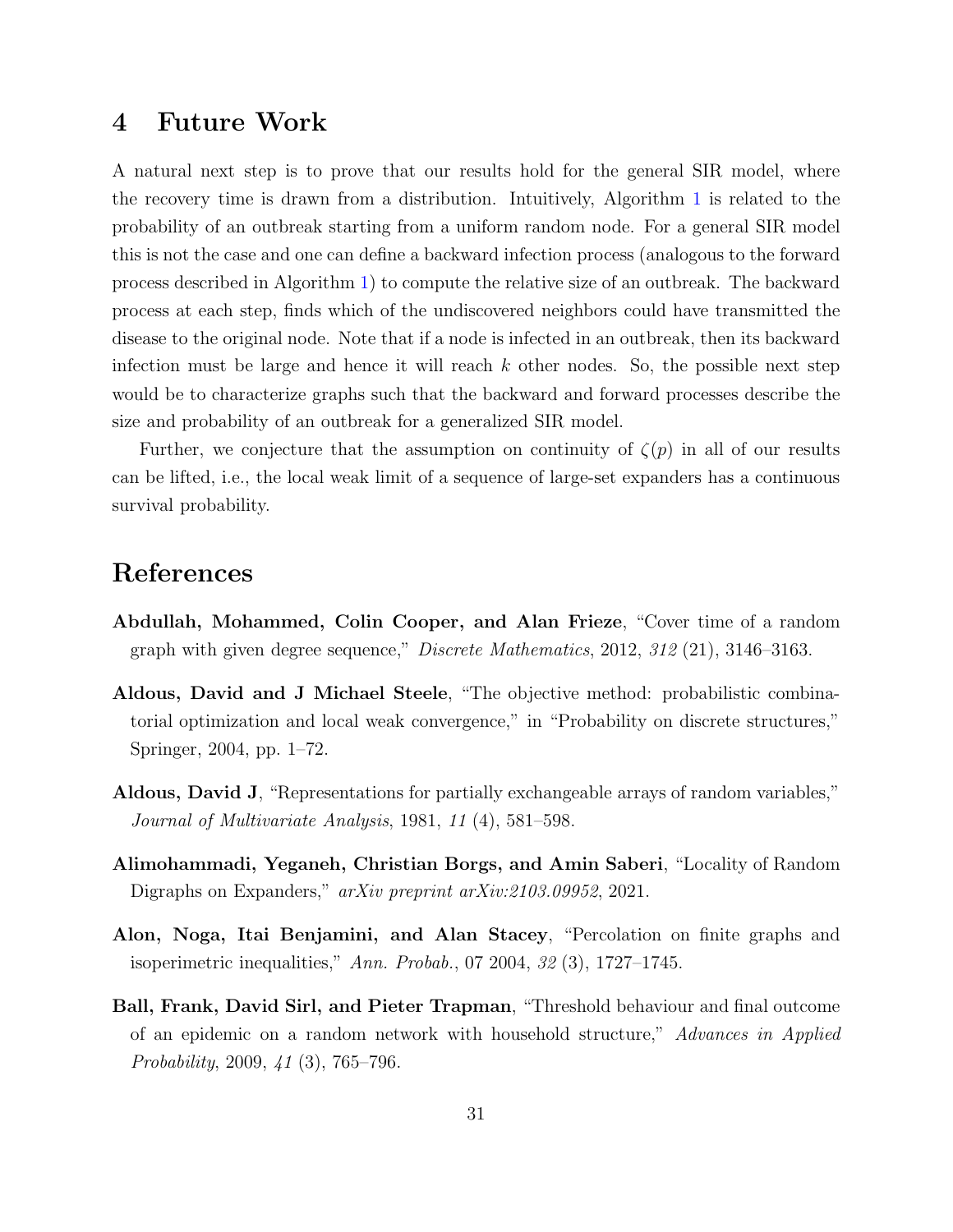## 4 Future Work

A natural next step is to prove that our results hold for the general SIR model, where the recovery time is drawn from a distribution. Intuitively, Algorithm [1](#page-5-0) is related to the probability of an outbreak starting from a uniform random node. For a general SIR model this is not the case and one can define a backward infection process (analogous to the forward process described in Algorithm [1\)](#page-5-0) to compute the relative size of an outbreak. The backward process at each step, finds which of the undiscovered neighbors could have transmitted the disease to the original node. Note that if a node is infected in an outbreak, then its backward infection must be large and hence it will reach  $k$  other nodes. So, the possible next step would be to characterize graphs such that the backward and forward processes describe the size and probability of an outbreak for a generalized SIR model.

Further, we conjecture that the assumption on continuity of  $\zeta(p)$  in all of our results can be lifted, i.e., the local weak limit of a sequence of large-set expanders has a continuous survival probability.

### References

- <span id="page-31-3"></span>Abdullah, Mohammed, Colin Cooper, and Alan Frieze, "Cover time of a random graph with given degree sequence," Discrete Mathematics, 2012, 312 (21), 3146–3163.
- <span id="page-31-5"></span>Aldous, David and J Michael Steele, "The objective method: probabilistic combinatorial optimization and local weak convergence," in "Probability on discrete structures," Springer, 2004, pp. 1–72.
- <span id="page-31-1"></span>Aldous, David J, "Representations for partially exchangeable arrays of random variables," Journal of Multivariate Analysis, 1981, 11 (4), 581–598.
- <span id="page-31-2"></span>Alimohammadi, Yeganeh, Christian Borgs, and Amin Saberi, "Locality of Random Digraphs on Expanders," arXiv preprint arXiv:2103.09952, 2021.
- <span id="page-31-4"></span>Alon, Noga, Itai Benjamini, and Alan Stacey, "Percolation on finite graphs and isoperimetric inequalities," Ann. Probab., 07 2004,  $32(3)$ , 1727–1745.
- <span id="page-31-0"></span>Ball, Frank, David Sirl, and Pieter Trapman, "Threshold behaviour and final outcome of an epidemic on a random network with household structure," Advances in Applied Probability, 2009, 41 (3), 765–796.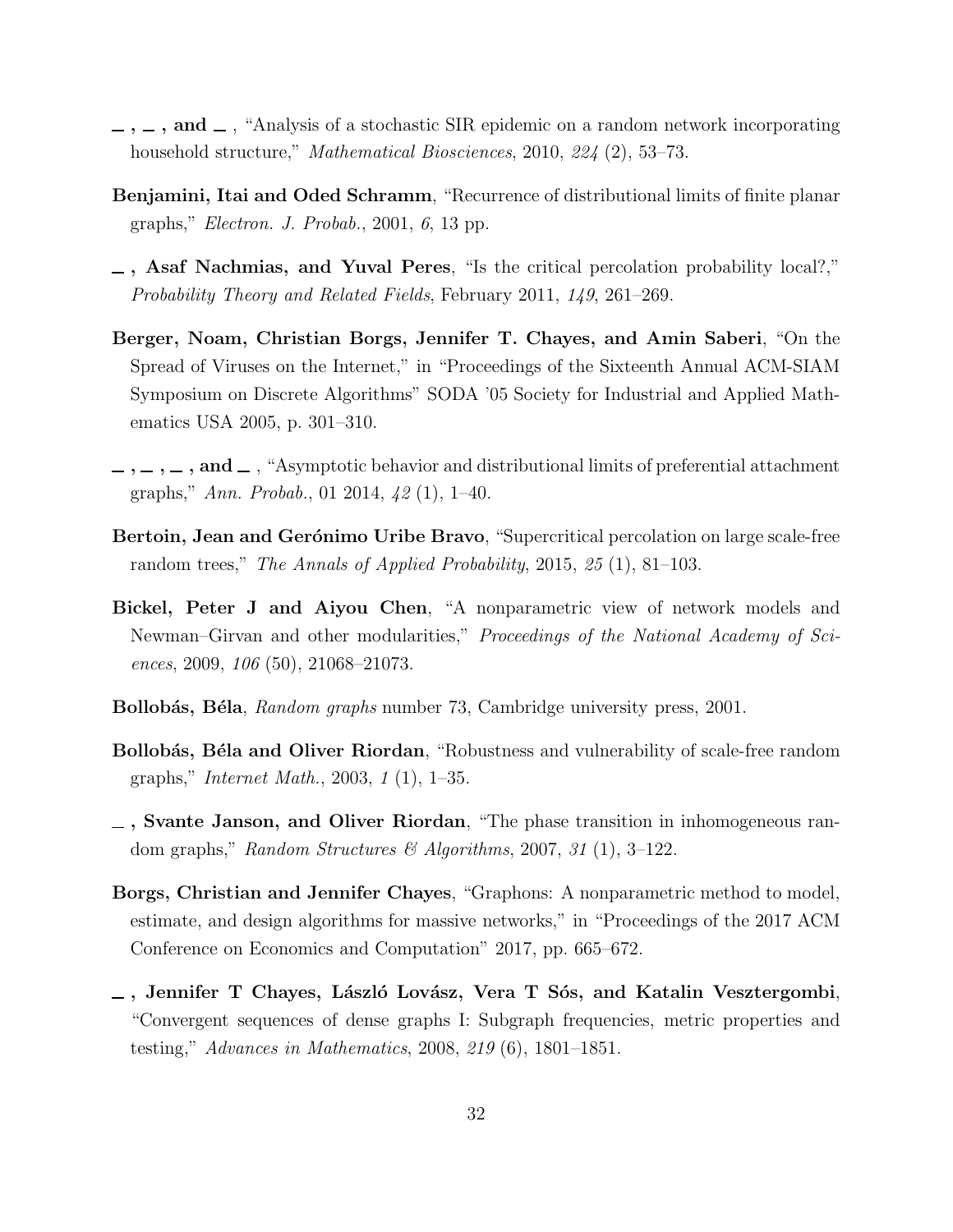- <span id="page-32-4"></span> $\ldots$ ,  $\ldots$ , and  $\ldots$ , "Analysis of a stochastic SIR epidemic on a random network incorporating household structure," Mathematical Biosciences, 2010, 224 (2), 53-73.
- <span id="page-32-11"></span>Benjamini, Itai and Oded Schramm, "Recurrence of distributional limits of finite planar graphs," Electron. J. Probab., 2001, 6, 13 pp.
- <span id="page-32-7"></span>, Asaf Nachmias, and Yuval Peres, "Is the critical percolation probability local?," Probability Theory and Related Fields, February 2011, 149, 261–269.
- <span id="page-32-1"></span>Berger, Noam, Christian Borgs, Jennifer T. Chayes, and Amin Saberi, "On the Spread of Viruses on the Internet," in "Proceedings of the Sixteenth Annual ACM-SIAM Symposium on Discrete Algorithms" SODA '05 Society for Industrial and Applied Mathematics USA 2005, p. 301–310.
- <span id="page-32-5"></span> $,\ldots,\ldots,\mathbf{and}\ldots$  "Asymptotic behavior and distributional limits of preferential attachment graphs," Ann. Probab., 01 2014, 42 (1), 1–40.
- <span id="page-32-8"></span>Bertoin, Jean and Gerónimo Uribe Bravo, "Supercritical percolation on large scale-free random trees," The Annals of Applied Probability, 2015, 25 (1), 81–103.
- <span id="page-32-9"></span>Bickel, Peter J and Aiyou Chen, "A nonparametric view of network models and Newman–Girvan and other modularities," Proceedings of the National Academy of Sciences, 2009, 106 (50), 21068–21073.
- <span id="page-32-6"></span>**Bollobás, Béla**, *Random graphs* number 73, Cambridge university press, 2001.
- <span id="page-32-0"></span>Bollobás, Béla and Oliver Riordan, "Robustness and vulnerability of scale-free random graphs," Internet Math., 2003, 1 (1), 1–35.
- <span id="page-32-2"></span>, Svante Janson, and Oliver Riordan, "The phase transition in inhomogeneous random graphs," Random Structures & Algorithms, 2007, 31 (1), 3–122.
- <span id="page-32-10"></span>Borgs, Christian and Jennifer Chayes, "Graphons: A nonparametric method to model, estimate, and design algorithms for massive networks," in "Proceedings of the 2017 ACM Conference on Economics and Computation" 2017, pp. 665–672.
- <span id="page-32-3"></span> $\overline{\phantom{a}}$ , Jennifer T Chayes, László Lovász, Vera T Sós, and Katalin Vesztergombi, "Convergent sequences of dense graphs I: Subgraph frequencies, metric properties and testing," Advances in Mathematics, 2008, 219 (6), 1801–1851.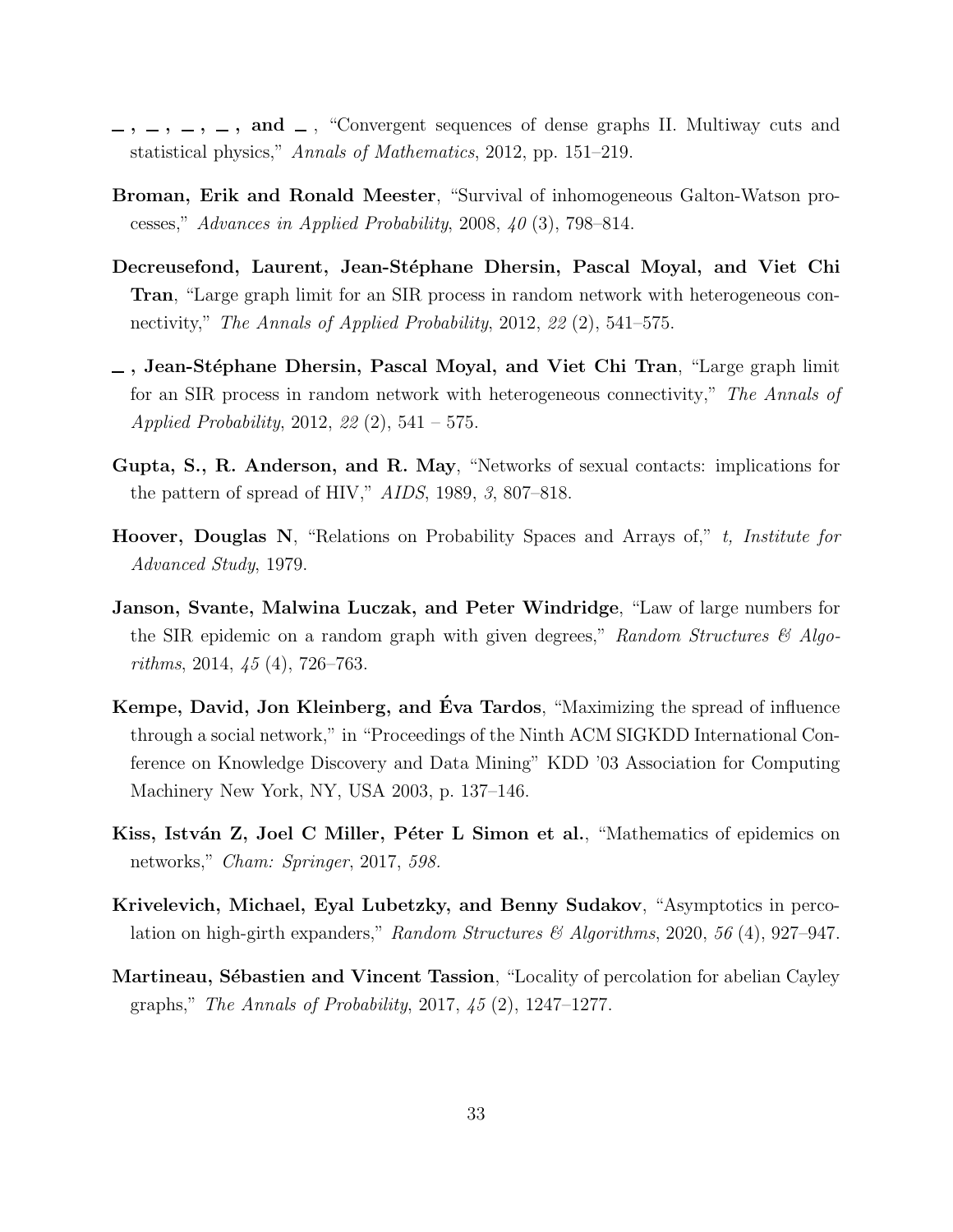- <span id="page-33-4"></span> $\ldots$ ,  $\ldots$ , and  $\ldots$ , "Convergent sequences of dense graphs II. Multiway cuts and statistical physics," Annals of Mathematics, 2012, pp. 151–219.
- <span id="page-33-7"></span>Broman, Erik and Ronald Meester, "Survival of inhomogeneous Galton-Watson processes," Advances in Applied Probability, 2008, 40 (3), 798–814.
- <span id="page-33-8"></span>Decreusefond, Laurent, Jean-Stéphane Dhersin, Pascal Moyal, and Viet Chi Tran, "Large graph limit for an SIR process in random network with heterogeneous connectivity," The Annals of Applied Probability, 2012, 22 (2), 541–575.
- <span id="page-33-1"></span> $\overline{\phantom{a}}$ , Jean-Stéphane Dhersin, Pascal Moyal, and Viet Chi Tran, "Large graph limit for an SIR process in random network with heterogeneous connectivity," The Annals of Applied Probability, 2012, 22 (2), 541 – 575.
- <span id="page-33-0"></span>Gupta, S., R. Anderson, and R. May, "Networks of sexual contacts: implications for the pattern of spread of HIV," AIDS, 1989, 3, 807–818.
- <span id="page-33-3"></span>Hoover, Douglas N, "Relations on Probability Spaces and Arrays of," t, Institute for Advanced Study, 1979.
- <span id="page-33-2"></span>Janson, Svante, Malwina Luczak, and Peter Windridge, "Law of large numbers for the SIR epidemic on a random graph with given degrees," Random Structures  $\mathscr{C}$  Algorithms, 2014, 45 (4), 726–763.
- <span id="page-33-5"></span>Kempe, David, Jon Kleinberg, and Éva Tardos, "Maximizing the spread of influence through a social network," in "Proceedings of the Ninth ACM SIGKDD International Conference on Knowledge Discovery and Data Mining" KDD '03 Association for Computing Machinery New York, NY, USA 2003, p. 137–146.
- <span id="page-33-6"></span>Kiss, István Z, Joel C Miller, Péter L Simon et al., "Mathematics of epidemics on networks," Cham: Springer, 2017, 598.
- <span id="page-33-10"></span>Krivelevich, Michael, Eyal Lubetzky, and Benny Sudakov, "Asymptotics in percolation on high-girth expanders," Random Structures & Algorithms, 2020, 56 (4), 927-947.
- <span id="page-33-9"></span>Martineau, Sébastien and Vincent Tassion, "Locality of percolation for abelian Cayley graphs," The Annals of Probability, 2017, 45 (2), 1247–1277.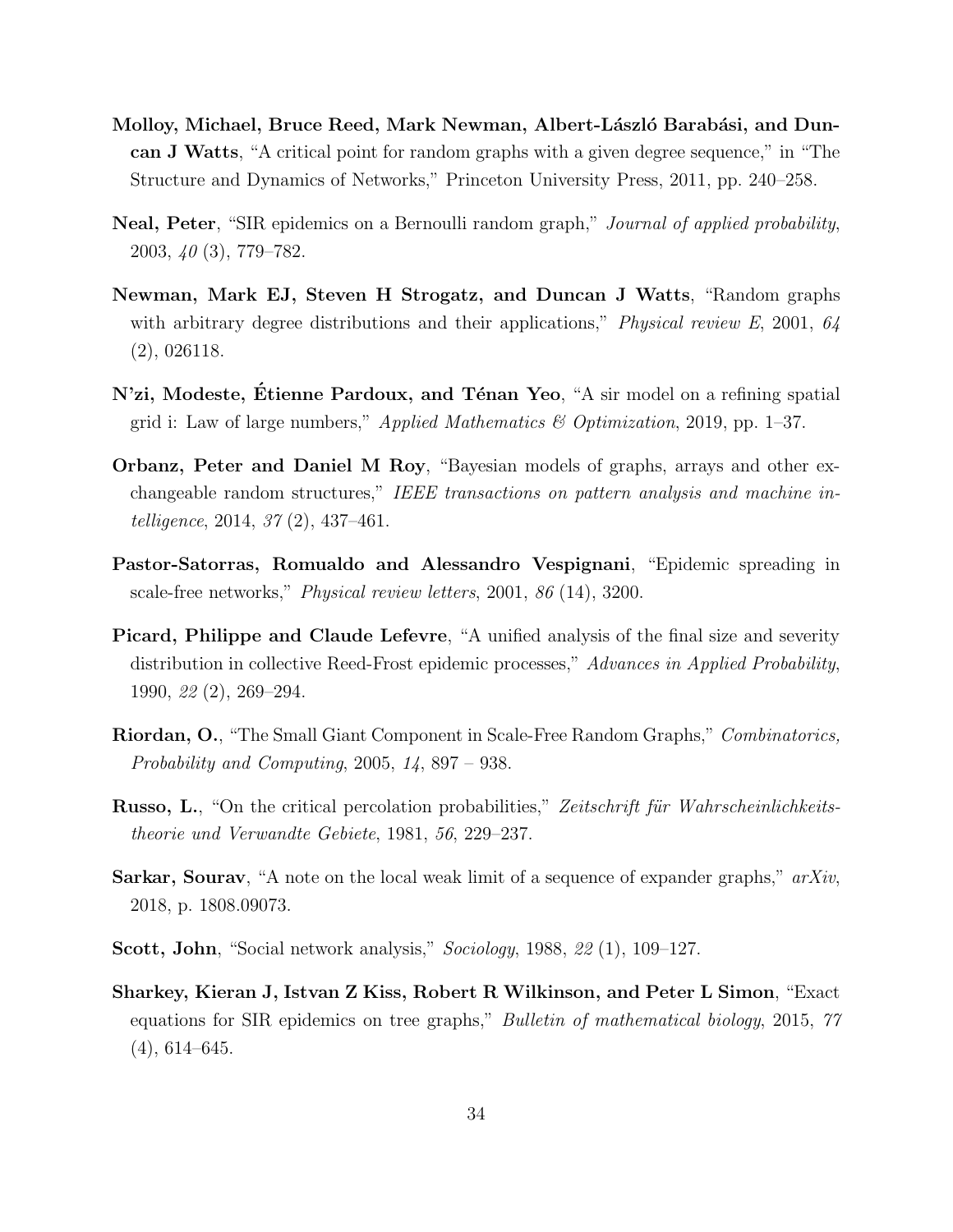- <span id="page-34-0"></span>Molloy, Michael, Bruce Reed, Mark Newman, Albert-László Barabási, and Duncan J Watts, "A critical point for random graphs with a given degree sequence," in "The Structure and Dynamics of Networks," Princeton University Press, 2011, pp. 240–258.
- <span id="page-34-2"></span>Neal, Peter, "SIR epidemics on a Bernoulli random graph," Journal of applied probability, 2003, 40 (3), 779–782.
- <span id="page-34-5"></span>Newman, Mark EJ, Steven H Strogatz, and Duncan J Watts, "Random graphs with arbitrary degree distributions and their applications," *Physical review E*, 2001,  $64$ (2), 026118.
- <span id="page-34-7"></span>N'zi, Modeste, Etienne Pardoux, and Ténan Yeo, "A sir model on a refining spatial grid i: Law of large numbers," *Applied Mathematics*  $\mathcal{C}$  *Optimization*, 2019, pp. 1–37.
- <span id="page-34-10"></span>Orbanz, Peter and Daniel M Roy, "Bayesian models of graphs, arrays and other exchangeable random structures," IEEE transactions on pattern analysis and machine intelligence, 2014, 37 (2), 437–461.
- <span id="page-34-3"></span>Pastor-Satorras, Romualdo and Alessandro Vespignani, "Epidemic spreading in scale-free networks," Physical review letters, 2001, 86 (14), 3200.
- <span id="page-34-8"></span>Picard, Philippe and Claude Lefevre, "A unified analysis of the final size and severity distribution in collective Reed-Frost epidemic processes," Advances in Applied Probability, 1990, 22 (2), 269–294.
- <span id="page-34-1"></span>Riordan, O., "The Small Giant Component in Scale-Free Random Graphs," Combinatorics, Probability and Computing, 2005, 14, 897 – 938.
- <span id="page-34-11"></span>Russo, L., "On the critical percolation probabilities," Zeitschrift für Wahrscheinlichkeitstheorie und Verwandte Gebiete, 1981, 56, 229–237.
- <span id="page-34-9"></span>**Sarkar, Sourav**, "A note on the local weak limit of a sequence of expander graphs,"  $arXiv$ , 2018, p. 1808.09073.
- <span id="page-34-4"></span>Scott, John, "Social network analysis," Sociology, 1988, 22 (1), 109–127.
- <span id="page-34-6"></span>Sharkey, Kieran J, Istvan Z Kiss, Robert R Wilkinson, and Peter L Simon, "Exact equations for SIR epidemics on tree graphs," Bulletin of mathematical biology, 2015, 77  $(4), 614-645.$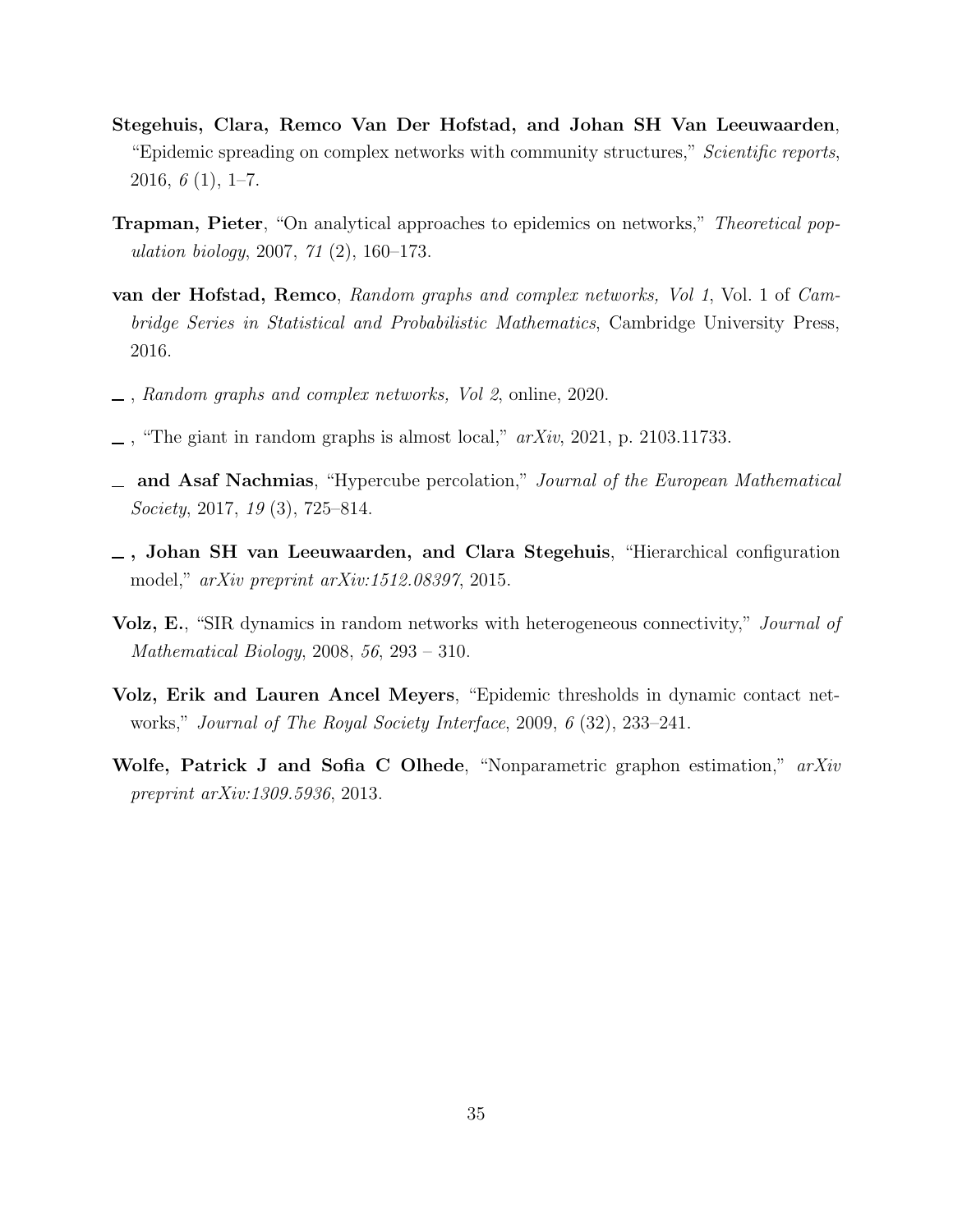- <span id="page-35-5"></span>Stegehuis, Clara, Remco Van Der Hofstad, and Johan SH Van Leeuwaarden, "Epidemic spreading on complex networks with community structures," Scientific reports, 2016,  $6(1)$ , 1–7.
- <span id="page-35-2"></span>**Trapman, Pieter**, "On analytical approaches to epidemics on networks," *Theoretical pop*ulation biology, 2007, 71 (2), 160–173.
- <span id="page-35-3"></span>van der Hofstad, Remco, Random graphs and complex networks, Vol 1, Vol. 1 of Cambridge Series in Statistical and Probabilistic Mathematics, Cambridge University Press, 2016.
- <span id="page-35-4"></span>, Random graphs and complex networks, Vol 2, online, 2020.
- <span id="page-35-9"></span> $\Box$ , "The giant in random graphs is almost local,"  $arXiv$ , 2021, p. 2103.11733.
- <span id="page-35-8"></span>and Asaf Nachmias, "Hypercube percolation," Journal of the European Mathematical Society, 2017, 19 (3), 725–814.
- <span id="page-35-0"></span>, Johan SH van Leeuwaarden, and Clara Stegehuis, "Hierarchical configuration model," arXiv preprint arXiv:1512.08397, 2015.
- <span id="page-35-6"></span>Volz, E., "SIR dynamics in random networks with heterogeneous connectivity," *Journal of* Mathematical Biology, 2008, 56, 293 – 310.
- <span id="page-35-7"></span>Volz, Erik and Lauren Ancel Meyers, "Epidemic thresholds in dynamic contact networks," Journal of The Royal Society Interface, 2009, 6 (32), 233–241.
- <span id="page-35-1"></span>Wolfe, Patrick J and Sofia C Olhede, "Nonparametric graphon estimation," arXiv preprint arXiv:1309.5936, 2013.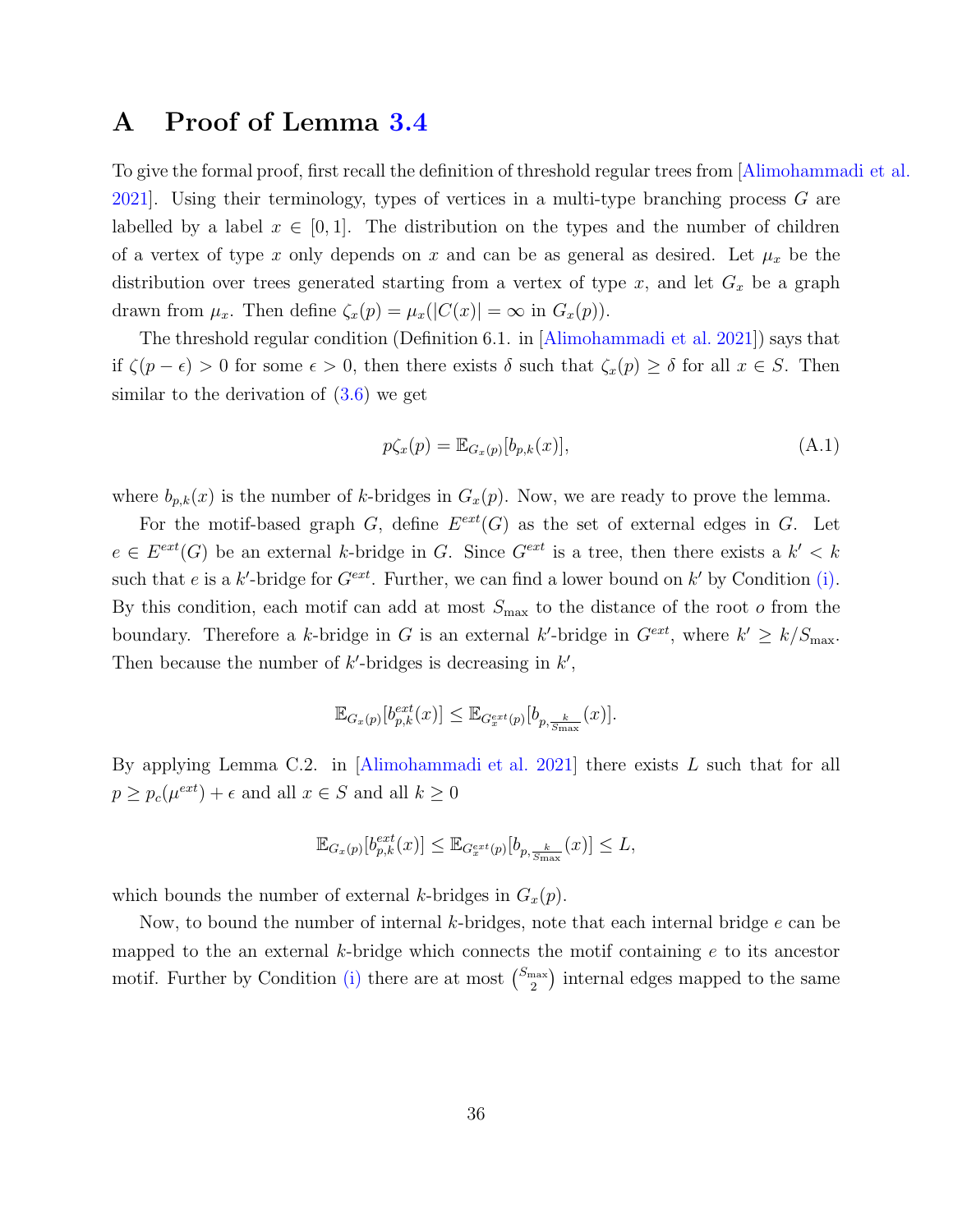## <span id="page-36-0"></span>A Proof of Lemma [3.4](#page-29-0)

To give the formal proof, first recall the definition of threshold regular trees from [\[Alimohammadi et al.](#page-31-2) [2021\]](#page-31-2). Using their terminology, types of vertices in a multi-type branching process  $G$  are labelled by a label  $x \in [0,1]$ . The distribution on the types and the number of children of a vertex of type x only depends on x and can be as general as desired. Let  $\mu_x$  be the distribution over trees generated starting from a vertex of type  $x$ , and let  $G_x$  be a graph drawn from  $\mu_x$ . Then define  $\zeta_x(p) = \mu_x(|C(x)| = \infty$  in  $G_x(p)$ .

The threshold regular condition (Definition 6.1. in [\[Alimohammadi et al. 2021\]](#page-31-2)) says that if  $\zeta(p - \epsilon) > 0$  for some  $\epsilon > 0$ , then there exists  $\delta$  such that  $\zeta_x(p) \geq \delta$  for all  $x \in S$ . Then similar to the derivation of  $(3.6)$  we get

$$
p\zeta_x(p) = \mathbb{E}_{G_x(p)}[b_{p,k}(x)],\tag{A.1}
$$

where  $b_{p,k}(x)$  is the number of k-bridges in  $G_x(p)$ . Now, we are ready to prove the lemma.

For the motif-based graph  $G$ , define  $E^{ext}(G)$  as the set of external edges in G. Let  $e \in E^{ext}(G)$  be an external k-bridge in G. Since  $G^{ext}$  is a tree, then there exists a  $k' < k$ such that e is a k'-bridge for  $G^{ext}$ . Further, we can find a lower bound on k' by Condition [\(i\).](#page-9-1) By this condition, each motif can add at most  $S_{\text{max}}$  to the distance of the root o from the boundary. Therefore a k-bridge in G is an external k'-bridge in  $G^{ext}$ , where  $k' \geq k/S_{\text{max}}$ . Then because the number of  $k'$ -bridges is decreasing in  $k'$ ,

$$
\mathbb{E}_{G_x(p)}[b_{p,k}^{ext}(x)] \leq \mathbb{E}_{G_x^{ext}(p)}[b_{p,\frac{k}{\text{Smax}}}(x)].
$$

By applying Lemma C.2. in [\[Alimohammadi et al. 2021](#page-31-2)] there exists L such that for all  $p \ge p_c(\mu^{ext}) + \epsilon$  and all  $x \in S$  and all  $k \ge 0$ 

$$
\mathbb{E}_{G_x(p)}[b_{p,k}^{ext}(x)] \leq \mathbb{E}_{G_x^{ext}(p)}[b_{p,\frac{k}{\text{S}_{\text{max}}}}(x)] \leq L,
$$

which bounds the number of external k-bridges in  $G_x(p)$ .

Now, to bound the number of internal k-bridges, note that each internal bridge  $e$  can be mapped to the an external k-bridge which connects the motif containing  $e$  to its ancestor motif. Further by Condition [\(i\)](#page-9-1) there are at most  $\binom{S_{\text{max}}}{2}$  $\binom{\text{max}}{2}$  internal edges mapped to the same